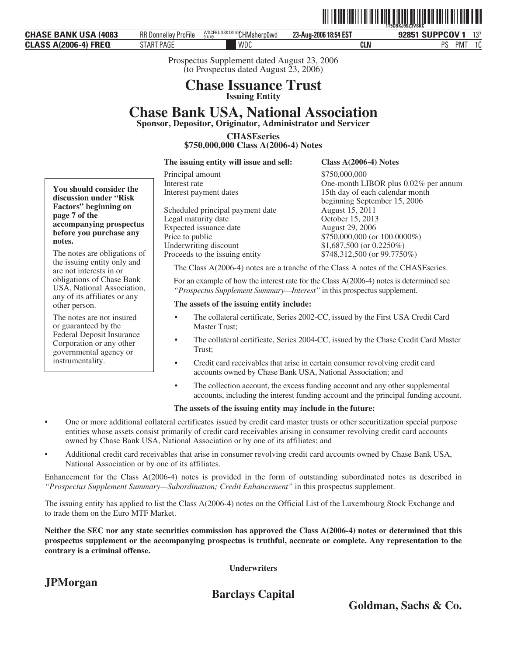| <b>CHASE BANK USA (4083)</b> | KK Donnellev<br>ProFile | WDCFBUDSK13550CHMsherp0wd | 23-Aug-2006 18:54 EST | 92851 SUPPCOV<br>$12*$<br>ιυ |
|------------------------------|-------------------------|---------------------------|-----------------------|------------------------------|
| <b>CLASS A(2006-4) FREQ</b>  | START PAGE              | WDC                       | <b>CLN</b>            | PMT<br>10<br>ΙU              |

Prospectus Supplement dated August 23, 2006 (to Prospectus dated August 23, 2006)

### **Chase Issuance Trust Issuing Entity**

# **Chase Bank USA, National Association**

**Sponsor, Depositor, Originator, Administrator and Servicer**

**CHASEseries \$750,000,000 Class A(2006-4) Notes**

**The issuing entity will issue and sell: Class A(2006-4) Notes**

Legal maturity date

Principal amount \$750,000,000 Interest rate One-month LIBOR plus 0.02% per annum<br>Interest payment dates 15th day of each calendar month 15th day of each calendar month beginning September 15, 2006 Scheduled principal payment date August 15, 2011<br>Legal maturity date Corober 15, 2013 Expected issuance date August 29, 2006<br>Price to public  $$750,000,000$  (or Price to public<br>
Underwriting discount<br>  $\frac{$750,000,000}{6}$  (or 0.2250%)  $$1,687,500$  (or 0.2250%) Proceeds to the issuing entity \$748,312,500 (or 99.7750%)

The Class A(2006-4) notes are a tranche of the Class A notes of the CHASEseries.

For an example of how the interest rate for the Class A(2006-4) notes is determined see *"Prospectus Supplement Summary—Interest"* in this prospectus supplement.

#### **The assets of the issuing entity include:**

- The collateral certificate, Series 2002-CC, issued by the First USA Credit Card Master Trust;
- The collateral certificate, Series 2004-CC, issued by the Chase Credit Card Master Trust;
- Credit card receivables that arise in certain consumer revolving credit card accounts owned by Chase Bank USA, National Association; and
- The collection account, the excess funding account and any other supplemental accounts, including the interest funding account and the principal funding account.

#### **The assets of the issuing entity may include in the future:**

- One or more additional collateral certificates issued by credit card master trusts or other securitization special purpose entities whose assets consist primarily of credit card receivables arising in consumer revolving credit card accounts owned by Chase Bank USA, National Association or by one of its affiliates; and
- Additional credit card receivables that arise in consumer revolving credit card accounts owned by Chase Bank USA, National Association or by one of its affiliates.

Enhancement for the Class A(2006-4) notes is provided in the form of outstanding subordinated notes as described in *"Prospectus Supplement Summary—Subordination; Credit Enhancement"* in this prospectus supplement.

The issuing entity has applied to list the Class A(2006-4) notes on the Official List of the Luxembourg Stock Exchange and to trade them on the Euro MTF Market.

**Neither the SEC nor any state securities commission has approved the Class A(2006-4) notes or determined that this prospectus supplement or the accompanying prospectus is truthful, accurate or complete. Any representation to the contrary is a criminal offense.**

**Underwriters**

**JPMorgan**

**Barclays Capital**

**Goldman, Sachs & Co.**

**You should consider the discussion under "Risk Factors" beginning on page 7 of the accompanying prospectus before you purchase any notes.**

The notes are obligations of the issuing entity only and are not interests in or obligations of Chase Bank USA, National Association, any of its affiliates or any other person.

The notes are not insured or guaranteed by the Federal Deposit Insurance Corporation or any other governmental agency or instrumentality.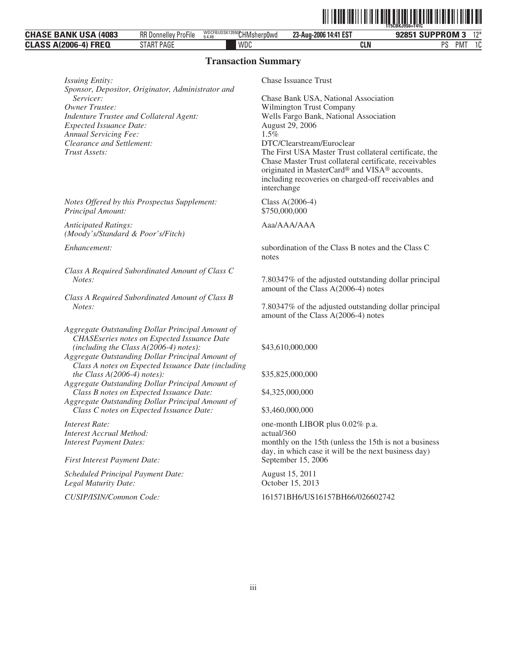|                                                            |                                          |                                     |                            | 1T5CBKJ9S6=T41C                       |
|------------------------------------------------------------|------------------------------------------|-------------------------------------|----------------------------|---------------------------------------|
| : Bank USA<br><b>CHASE</b><br>4083                         | $-1$<br>RR D<br>, Donnelley ,<br>ProFile | WDCFBUDSK13550CHMsherp0wd<br>9.4.49 | 14:41 EST<br>23-Aug-2006 1 | <b>SUPPROM 3</b><br>12<br>020E1       |
| <b>FREQ</b><br>$A(2006-4)$<br><b>CLACC</b><br><b>ULAJJ</b> | START PAGE                               | WDC                                 | <b>CLN</b>                 | nс<br>$\sim$<br>PM <sup>-</sup><br>טו |

#### **Transaction Summary**

*Issuing Entity:* Chase Issuance Trust *Sponsor, Depositor, Originator, Administrator and Servicer:* Chase Bank USA, National Association<br> *Owner Trustee:* Wilmington Trust Company *Indenture Trustee and Collateral Agent:* Wells Fargo Bank, National Association Expected Issuance Date: August 29, 2006 *Expected Issuance Date:* August 2006<br> *Annual Servicing Fee:* 2006 2006 2006 2016 *Annual Servicing Fee:*<br>*Clearance and Settlement: Clearance and Settlement:* DTC/Clearstream/Euroclear<br> *Trust Assets:* The First USA Master Trust

*Notes Offered by this Prospectus Supplement:* Class A(2006-4) *Principal Amount:* \$750,000,000

*Anticipated Ratings: (Moody's/Standard & Poor's/Fitch)*

*Class A Required Subordinated Amount of Class C*

*Class A Required Subordinated Amount of Class B*

*Aggregate Outstanding Dollar Principal Amount of CHASEseries notes on Expected Issuance Date (including the Class A(2006-4) notes):* \$43,610,000,000

*Aggregate Outstanding Dollar Principal Amount of Class A notes on Expected Issuance Date (including the Class A(2006-4) notes):* \$35,825,000,000

*Aggregate Outstanding Dollar Principal Amount of Class B notes on Expected Issuance Date:* \$4,325,000,000

*Aggregate Outstanding Dollar Principal Amount of Class C notes on Expected Issuance Date:* \$3,460,000,000

*Interest Accrual Method:* actual/360

*First Interest Payment Date:* September 15, 2006

*Scheduled Principal Payment Date:* August 15, 2011 *Legal Maturity Date:* October 15, 2013

**Wilmington Trust Company** The First USA Master Trust collateral certificate, the Chase Master Trust collateral certificate, receivables originated in MasterCard® and VISA® accounts, including recoveries on charged-off receivables and interchange

ˆ1T5CBKJ9S6=T41CqŠ **1T5CBKJ9S6=T41C**

Aaa/AAA/AAA

*Enhancement:* subordination of the Class B notes and the Class C notes

*Notes:* 7.80347% of the adjusted outstanding dollar principal amount of the Class A(2006-4) notes

*Notes:* 7.80347% of the adjusted outstanding dollar principal amount of the Class A(2006-4) notes

*Interest Rate:* one-month LIBOR plus 0.02% p.a. *Interest Payment Dates:* monthly on the 15th (unless the 15th is not a business day, in which case it will be the next business day)

*CUSIP/ISIN/Common Code:* 161571BH6/US16157BH66/026602742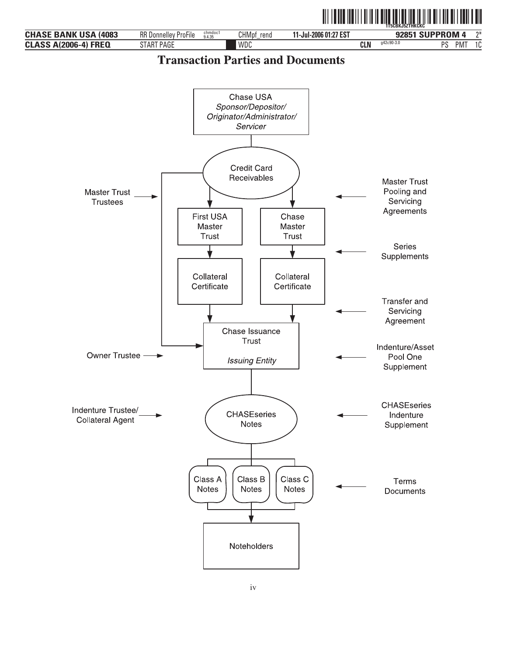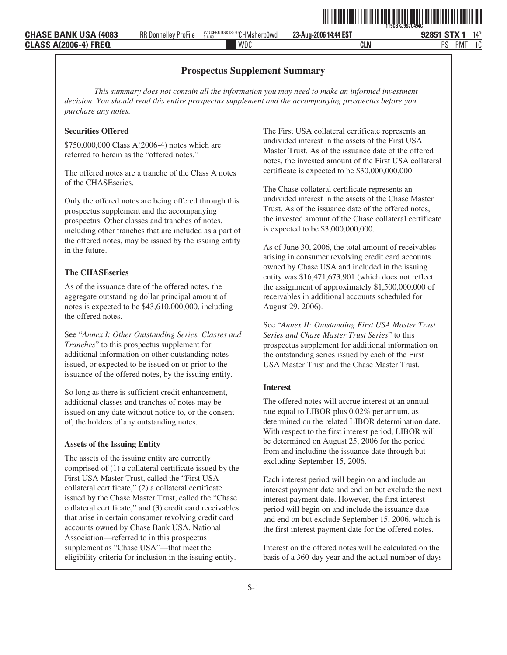| BUDSK135507-11P<br>WDCF.<br>14:44 EST<br><b>BABU/110/</b><br><b>RR Donnelley</b><br>$- - -$<br>4083<br><b>CHA</b><br>020E1.<br>$23 -$ Aug-2006 <sup>1</sup><br>rpOwd<br>ProFile<br>CHMshe<br>.ISD<br>* BANN<br>$9.4.4^c$ |                 | $11*$        |
|--------------------------------------------------------------------------------------------------------------------------------------------------------------------------------------------------------------------------|-----------------|--------------|
|                                                                                                                                                                                                                          |                 |              |
| WDC<br><b>FRF0</b><br><sub>D</sub> e<br>CLN<br>CL A<br>. Ih-4'<br>u                                                                                                                                                      | PM <sup>-</sup> | $\sim$<br>טו |

#### **Prospectus Supplement Summary**

*This summary does not contain all the information you may need to make an informed investment decision. You should read this entire prospectus supplement and the accompanying prospectus before you purchase any notes.*

#### **Securities Offered**

\$750,000,000 Class A(2006-4) notes which are referred to herein as the "offered notes."

The offered notes are a tranche of the Class A notes of the CHASEseries.

Only the offered notes are being offered through this prospectus supplement and the accompanying prospectus. Other classes and tranches of notes, including other tranches that are included as a part of the offered notes, may be issued by the issuing entity in the future.

#### **The CHASEseries**

As of the issuance date of the offered notes, the aggregate outstanding dollar principal amount of notes is expected to be \$43,610,000,000, including the offered notes.

See "*Annex I: Other Outstanding Series, Classes and Tranches*" to this prospectus supplement for additional information on other outstanding notes issued, or expected to be issued on or prior to the issuance of the offered notes, by the issuing entity.

So long as there is sufficient credit enhancement, additional classes and tranches of notes may be issued on any date without notice to, or the consent of, the holders of any outstanding notes.

#### **Assets of the Issuing Entity**

The assets of the issuing entity are currently comprised of (1) a collateral certificate issued by the First USA Master Trust, called the "First USA collateral certificate," (2) a collateral certificate issued by the Chase Master Trust, called the "Chase collateral certificate," and (3) credit card receivables that arise in certain consumer revolving credit card accounts owned by Chase Bank USA, National Association—referred to in this prospectus supplement as "Chase USA"—that meet the eligibility criteria for inclusion in the issuing entity.

The First USA collateral certificate represents an undivided interest in the assets of the First USA Master Trust. As of the issuance date of the offered notes, the invested amount of the First USA collateral certificate is expected to be \$30,000,000,000.

ˆ1T5CBKJ9S7C494CvŠ **1T5CBKJ9S7C494C**

The Chase collateral certificate represents an undivided interest in the assets of the Chase Master Trust. As of the issuance date of the offered notes, the invested amount of the Chase collateral certificate is expected to be \$3,000,000,000.

As of June 30, 2006, the total amount of receivables arising in consumer revolving credit card accounts owned by Chase USA and included in the issuing entity was \$16,471,673,901 (which does not reflect the assignment of approximately \$1,500,000,000 of receivables in additional accounts scheduled for August 29, 2006).

See "*Annex II: Outstanding First USA Master Trust Series and Chase Master Trust Series*" to this prospectus supplement for additional information on the outstanding series issued by each of the First USA Master Trust and the Chase Master Trust.

#### **Interest**

The offered notes will accrue interest at an annual rate equal to LIBOR plus 0.02% per annum, as determined on the related LIBOR determination date. With respect to the first interest period, LIBOR will be determined on August 25, 2006 for the period from and including the issuance date through but excluding September 15, 2006.

Each interest period will begin on and include an interest payment date and end on but exclude the next interest payment date. However, the first interest period will begin on and include the issuance date and end on but exclude September 15, 2006, which is the first interest payment date for the offered notes.

Interest on the offered notes will be calculated on the basis of a 360-day year and the actual number of days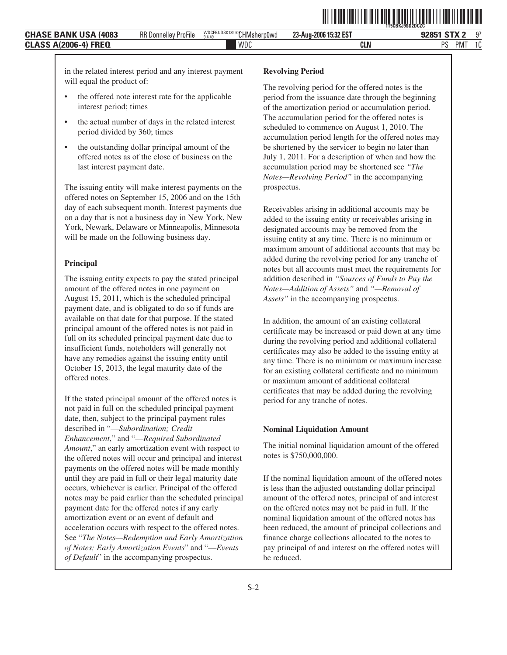**23-Aug-2006 15:32 EST**

PMT 1C

- the offered note interest rate for the applicable interest period; times
- the actual number of days in the related interest period divided by 360; times
- the outstanding dollar principal amount of the offered notes as of the close of business on the last interest payment date.

The issuing entity will make interest payments on the offered notes on September 15, 2006 and on the 15th day of each subsequent month. Interest payments due on a day that is not a business day in New York, New York, Newark, Delaware or Minneapolis, Minnesota will be made on the following business day.

#### **Principal**

The issuing entity expects to pay the stated principal amount of the offered notes in one payment on August 15, 2011, which is the scheduled principal payment date, and is obligated to do so if funds are available on that date for that purpose. If the stated principal amount of the offered notes is not paid in full on its scheduled principal payment date due to insufficient funds, noteholders will generally not have any remedies against the issuing entity until October 15, 2013, the legal maturity date of the offered notes.

If the stated principal amount of the offered notes is not paid in full on the scheduled principal payment date, then, subject to the principal payment rules described in "—*Subordination; Credit Enhancement*," and "—*Required Subordinated Amount*," an early amortization event with respect to the offered notes will occur and principal and interest payments on the offered notes will be made monthly until they are paid in full or their legal maturity date occurs, whichever is earlier. Principal of the offered notes may be paid earlier than the scheduled principal payment date for the offered notes if any early amortization event or an event of default and acceleration occurs with respect to the offered notes. See "*The Notes—Redemption and Early Amortization of Notes; Early Amortization Events*" and "—*Events of Default*" in the accompanying prospectus.

#### **Revolving Period**

The revolving period for the offered notes is the period from the issuance date through the beginning of the amortization period or accumulation period. The accumulation period for the offered notes is scheduled to commence on August 1, 2010. The accumulation period length for the offered notes may be shortened by the servicer to begin no later than July 1, 2011. For a description of when and how the accumulation period may be shortened see *"The Notes—Revolving Period"* in the accompanying prospectus.

**▌▏▏▎▌▌▌▌▌▌▌▌▌▌▌▌▌▌▌▌▌▌▌▌▌▌▌▌▌▌▌▌▌▌▌▌▏▏▏▏▏** 

Receivables arising in additional accounts may be added to the issuing entity or receivables arising in designated accounts may be removed from the issuing entity at any time. There is no minimum or maximum amount of additional accounts that may be added during the revolving period for any tranche of notes but all accounts must meet the requirements for addition described in *"Sources of Funds to Pay the Notes—Addition of Assets"* and *"—Removal of Assets"* in the accompanying prospectus.

In addition, the amount of an existing collateral certificate may be increased or paid down at any time during the revolving period and additional collateral certificates may also be added to the issuing entity at any time. There is no minimum or maximum increase for an existing collateral certificate and no minimum or maximum amount of additional collateral certificates that may be added during the revolving period for any tranche of notes.

#### **Nominal Liquidation Amount**

The initial nominal liquidation amount of the offered notes is \$750,000,000.

If the nominal liquidation amount of the offered notes is less than the adjusted outstanding dollar principal amount of the offered notes, principal of and interest on the offered notes may not be paid in full. If the nominal liquidation amount of the offered notes has been reduced, the amount of principal collections and finance charge collections allocated to the notes to pay principal of and interest on the offered notes will be reduced.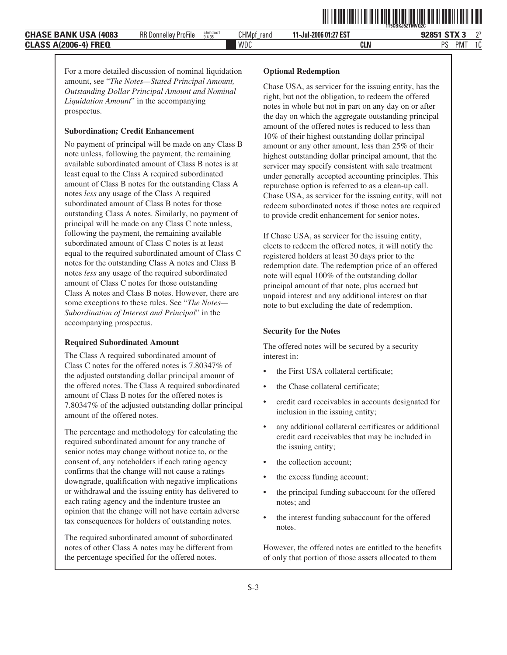**11-Jul-2006 01:27 EST**

WDC **CLN** PS PMT 1C

For a more detailed discussion of nominal liquidation amount, see "*The Notes—Stated Principal Amount, Outstanding Dollar Principal Amount and Nominal Liquidation Amount*" in the accompanying prospectus.

#### **Subordination; Credit Enhancement**

No payment of principal will be made on any Class B note unless, following the payment, the remaining available subordinated amount of Class B notes is at least equal to the Class A required subordinated amount of Class B notes for the outstanding Class A notes *less* any usage of the Class A required subordinated amount of Class B notes for those outstanding Class A notes. Similarly, no payment of principal will be made on any Class C note unless, following the payment, the remaining available subordinated amount of Class C notes is at least equal to the required subordinated amount of Class C notes for the outstanding Class A notes and Class B notes *less* any usage of the required subordinated amount of Class C notes for those outstanding Class A notes and Class B notes. However, there are some exceptions to these rules. See "*The Notes— Subordination of Interest and Principal*" in the accompanying prospectus.

#### **Required Subordinated Amount**

The Class A required subordinated amount of Class C notes for the offered notes is 7.80347% of the adjusted outstanding dollar principal amount of the offered notes. The Class A required subordinated amount of Class B notes for the offered notes is 7.80347% of the adjusted outstanding dollar principal amount of the offered notes.

The percentage and methodology for calculating the required subordinated amount for any tranche of senior notes may change without notice to, or the consent of, any noteholders if each rating agency confirms that the change will not cause a ratings downgrade, qualification with negative implications or withdrawal and the issuing entity has delivered to each rating agency and the indenture trustee an opinion that the change will not have certain adverse tax consequences for holders of outstanding notes.

The required subordinated amount of subordinated notes of other Class A notes may be different from the percentage specified for the offered notes.

#### **Optional Redemption**

Chase USA, as servicer for the issuing entity, has the right, but not the obligation, to redeem the offered notes in whole but not in part on any day on or after the day on which the aggregate outstanding principal amount of the offered notes is reduced to less than 10% of their highest outstanding dollar principal amount or any other amount, less than 25% of their highest outstanding dollar principal amount, that the servicer may specify consistent with sale treatment under generally accepted accounting principles. This repurchase option is referred to as a clean-up call. Chase USA, as servicer for the issuing entity, will not redeem subordinated notes if those notes are required to provide credit enhancement for senior notes.

If Chase USA, as servicer for the issuing entity, elects to redeem the offered notes, it will notify the registered holders at least 30 days prior to the redemption date. The redemption price of an offered note will equal 100% of the outstanding dollar principal amount of that note, plus accrued but unpaid interest and any additional interest on that note to but excluding the date of redemption.

#### **Security for the Notes**

The offered notes will be secured by a security interest in:

- the First USA collateral certificate;
- the Chase collateral certificate;
- credit card receivables in accounts designated for inclusion in the issuing entity;
- any additional collateral certificates or additional credit card receivables that may be included in the issuing entity;
- the collection account;
- the excess funding account;
- the principal funding subaccount for the offered notes; and
- the interest funding subaccount for the offered notes.

However, the offered notes are entitled to the benefits of only that portion of those assets allocated to them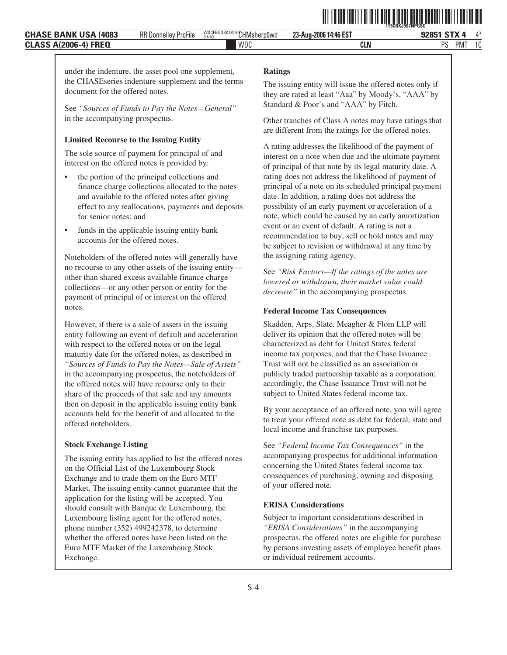**23-Aug-2006 14:46 EST**

under the indenture, the asset pool one supplement, the CHASEseries indenture supplement and the terms document for the offered notes.

See *"Sources of Funds to Pay the Notes—General"* in the accompanying prospectus.

#### **Limited Recourse to the Issuing Entity**

The sole source of payment for principal of and interest on the offered notes is provided by:

- the portion of the principal collections and finance charge collections allocated to the notes and available to the offered notes after giving effect to any reallocations, payments and deposits for senior notes; and
- funds in the applicable issuing entity bank accounts for the offered notes.

Noteholders of the offered notes will generally have no recourse to any other assets of the issuing entity other than shared excess available finance charge collections—or any other person or entity for the payment of principal of or interest on the offered notes.

However, if there is a sale of assets in the issuing entity following an event of default and acceleration with respect to the offered notes or on the legal maturity date for the offered notes, as described in *"Sources of Funds to Pay the Notes—Sale of Assets"* in the accompanying prospectus, the noteholders of the offered notes will have recourse only to their share of the proceeds of that sale and any amounts then on deposit in the applicable issuing entity bank accounts held for the benefit of and allocated to the offered noteholders.

#### **Stock Exchange Listing**

The issuing entity has applied to list the offered notes on the Official List of the Luxembourg Stock Exchange and to trade them on the Euro MTF Market. The issuing entity cannot guarantee that the application for the listing will be accepted. You should consult with Banque de Luxembourg, the Luxembourg listing agent for the offered notes, phone number (352) 499242378, to determine whether the offered notes have been listed on the Euro MTF Market of the Luxembourg Stock Exchange.

#### **Ratings**

The issuing entity will issue the offered notes only if they are rated at least "Aaa" by Moody's, "AAA" by Standard & Poor's and "AAA" by Fitch.

ˆ1T5CBKJ9S7NPGSC:Š **1T5CBKJ9S7NPGSC**

Other tranches of Class A notes may have ratings that are different from the ratings for the offered notes.

A rating addresses the likelihood of the payment of interest on a note when due and the ultimate payment of principal of that note by its legal maturity date. A rating does not address the likelihood of payment of principal of a note on its scheduled principal payment date. In addition, a rating does not address the possibility of an early payment or acceleration of a note, which could be caused by an early amortization event or an event of default. A rating is not a recommendation to buy, sell or hold notes and may be subject to revision or withdrawal at any time by the assigning rating agency.

See *"Risk Factors—If the ratings of the notes are lowered or withdrawn, their market value could decrease"* in the accompanying prospectus.

#### **Federal Income Tax Consequences**

Skadden, Arps, Slate, Meagher & Flom LLP will deliver its opinion that the offered notes will be characterized as debt for United States federal income tax purposes, and that the Chase Issuance Trust will not be classified as an association or publicly traded partnership taxable as a corporation; accordingly, the Chase Issuance Trust will not be subject to United States federal income tax.

By your acceptance of an offered note, you will agree to treat your offered note as debt for federal, state and local income and franchise tax purposes.

See *"Federal Income Tax Consequences"* in the accompanying prospectus for additional information concerning the United States federal income tax consequences of purchasing, owning and disposing of your offered note.

#### **ERISA Considerations**

Subject to important considerations described in *"ERISA Considerations"* in the accompanying prospectus, the offered notes are eligible for purchase by persons investing assets of employee benefit plans or individual retirement accounts.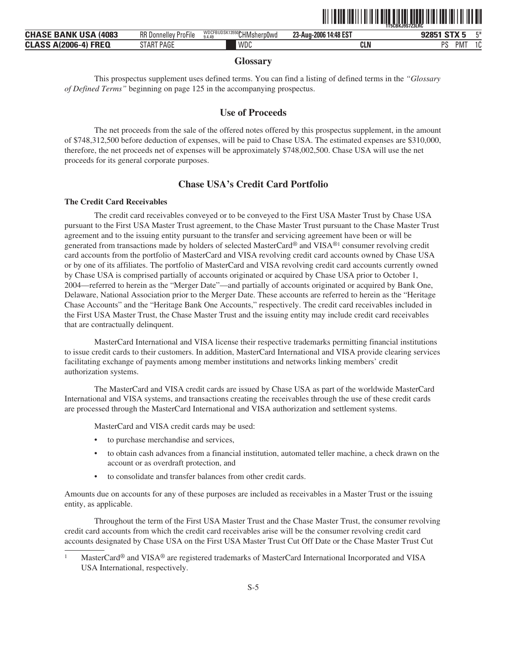

| <b>CHASE BANK USA</b><br>(4083      | RR D<br>ProFile<br><b>Donnr</b><br>ellev | <b>WDCFBUDSK1</b><br>Thek13550 CHMsherp0wd<br>9.4.49 | 14:48 ES1<br>23-Aug-2006 | $-4.0T17 -$              | <b>FM</b> |
|-------------------------------------|------------------------------------------|------------------------------------------------------|--------------------------|--------------------------|-----------|
| ኔ-4) FRE0<br>A(2006<br><b>CLASS</b> | SIAK<br><b>PAGE</b>                      | <b>WDC</b>                                           | <b>CLN</b>               | <b>DC</b><br>-- --<br>РM | $\sim$    |

#### **Glossary**

This prospectus supplement uses defined terms. You can find a listing of defined terms in the *"Glossary of Defined Terms"* beginning on page 125 in the accompanying prospectus.

### **Use of Proceeds**

The net proceeds from the sale of the offered notes offered by this prospectus supplement, in the amount of \$748,312,500 before deduction of expenses, will be paid to Chase USA. The estimated expenses are \$310,000, therefore, the net proceeds net of expenses will be approximately \$748,002,500. Chase USA will use the net proceeds for its general corporate purposes.

### **Chase USA's Credit Card Portfolio**

#### **The Credit Card Receivables**

The credit card receivables conveyed or to be conveyed to the First USA Master Trust by Chase USA pursuant to the First USA Master Trust agreement, to the Chase Master Trust pursuant to the Chase Master Trust agreement and to the issuing entity pursuant to the transfer and servicing agreement have been or will be generated from transactions made by holders of selected MasterCard® and VISA®1 consumer revolving credit card accounts from the portfolio of MasterCard and VISA revolving credit card accounts owned by Chase USA or by one of its affiliates. The portfolio of MasterCard and VISA revolving credit card accounts currently owned by Chase USA is comprised partially of accounts originated or acquired by Chase USA prior to October 1, 2004—referred to herein as the "Merger Date"—and partially of accounts originated or acquired by Bank One, Delaware, National Association prior to the Merger Date. These accounts are referred to herein as the "Heritage Chase Accounts" and the "Heritage Bank One Accounts," respectively. The credit card receivables included in the First USA Master Trust, the Chase Master Trust and the issuing entity may include credit card receivables that are contractually delinquent.

MasterCard International and VISA license their respective trademarks permitting financial institutions to issue credit cards to their customers. In addition, MasterCard International and VISA provide clearing services facilitating exchange of payments among member institutions and networks linking members' credit authorization systems.

The MasterCard and VISA credit cards are issued by Chase USA as part of the worldwide MasterCard International and VISA systems, and transactions creating the receivables through the use of these credit cards are processed through the MasterCard International and VISA authorization and settlement systems.

MasterCard and VISA credit cards may be used:

- to purchase merchandise and services,
- to obtain cash advances from a financial institution, automated teller machine, a check drawn on the account or as overdraft protection, and
- to consolidate and transfer balances from other credit cards.

Amounts due on accounts for any of these purposes are included as receivables in a Master Trust or the issuing entity, as applicable.

Throughout the term of the First USA Master Trust and the Chase Master Trust, the consumer revolving credit card accounts from which the credit card receivables arise will be the consumer revolving credit card accounts designated by Chase USA on the First USA Master Trust Cut Off Date or the Chase Master Trust Cut

<sup>&</sup>lt;sup>1</sup> MasterCard<sup>®</sup> and VISA® are registered trademarks of MasterCard International Incorporated and VISA USA International, respectively.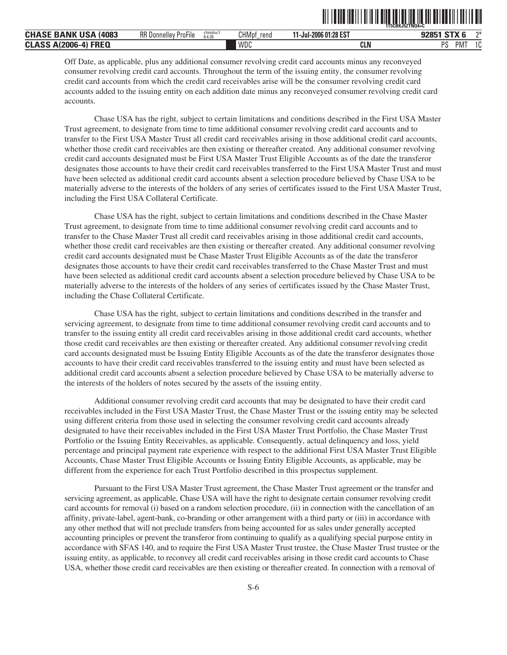|                                                                |                             |                   |                      |                             | 1T5CBKJ5ZTNQ4=C           |    |
|----------------------------------------------------------------|-----------------------------|-------------------|----------------------|-----------------------------|---------------------------|----|
| <b>CHASE BANK USA</b><br>(4083                                 | <b>RR Donnelley ProFile</b> | chmdoci<br>9.4.35 | <b>CHMpt</b><br>rend | 1-Jul-2006 01:28 EST<br>. . | $G_{T}V$<br>090E4<br>9209 | ግ* |
| <b>FREQ</b><br><b>\(2006</b> -<br><b>CLASS</b><br>. - 4<br>AG. |                             |                   | <b>WDC</b>           | <b>CLN</b>                  | DC<br>PM.<br>υ            |    |

ˆ1T5CBKJ5ZTNQ4=C\*Š **1T5CBKJ5ZTNQ4=C**

Off Date, as applicable, plus any additional consumer revolving credit card accounts minus any reconveyed consumer revolving credit card accounts. Throughout the term of the issuing entity, the consumer revolving credit card accounts from which the credit card receivables arise will be the consumer revolving credit card accounts added to the issuing entity on each addition date minus any reconveyed consumer revolving credit card accounts.

Chase USA has the right, subject to certain limitations and conditions described in the First USA Master Trust agreement, to designate from time to time additional consumer revolving credit card accounts and to transfer to the First USA Master Trust all credit card receivables arising in those additional credit card accounts, whether those credit card receivables are then existing or thereafter created. Any additional consumer revolving credit card accounts designated must be First USA Master Trust Eligible Accounts as of the date the transferor designates those accounts to have their credit card receivables transferred to the First USA Master Trust and must have been selected as additional credit card accounts absent a selection procedure believed by Chase USA to be materially adverse to the interests of the holders of any series of certificates issued to the First USA Master Trust, including the First USA Collateral Certificate.

Chase USA has the right, subject to certain limitations and conditions described in the Chase Master Trust agreement, to designate from time to time additional consumer revolving credit card accounts and to transfer to the Chase Master Trust all credit card receivables arising in those additional credit card accounts, whether those credit card receivables are then existing or thereafter created. Any additional consumer revolving credit card accounts designated must be Chase Master Trust Eligible Accounts as of the date the transferor designates those accounts to have their credit card receivables transferred to the Chase Master Trust and must have been selected as additional credit card accounts absent a selection procedure believed by Chase USA to be materially adverse to the interests of the holders of any series of certificates issued by the Chase Master Trust, including the Chase Collateral Certificate.

Chase USA has the right, subject to certain limitations and conditions described in the transfer and servicing agreement, to designate from time to time additional consumer revolving credit card accounts and to transfer to the issuing entity all credit card receivables arising in those additional credit card accounts, whether those credit card receivables are then existing or thereafter created. Any additional consumer revolving credit card accounts designated must be Issuing Entity Eligible Accounts as of the date the transferor designates those accounts to have their credit card receivables transferred to the issuing entity and must have been selected as additional credit card accounts absent a selection procedure believed by Chase USA to be materially adverse to the interests of the holders of notes secured by the assets of the issuing entity.

Additional consumer revolving credit card accounts that may be designated to have their credit card receivables included in the First USA Master Trust, the Chase Master Trust or the issuing entity may be selected using different criteria from those used in selecting the consumer revolving credit card accounts already designated to have their receivables included in the First USA Master Trust Portfolio, the Chase Master Trust Portfolio or the Issuing Entity Receivables, as applicable. Consequently, actual delinquency and loss, yield percentage and principal payment rate experience with respect to the additional First USA Master Trust Eligible Accounts, Chase Master Trust Eligible Accounts or Issuing Entity Eligible Accounts, as applicable, may be different from the experience for each Trust Portfolio described in this prospectus supplement.

Pursuant to the First USA Master Trust agreement, the Chase Master Trust agreement or the transfer and servicing agreement, as applicable, Chase USA will have the right to designate certain consumer revolving credit card accounts for removal (i) based on a random selection procedure, (ii) in connection with the cancellation of an affinity, private-label, agent-bank, co-branding or other arrangement with a third party or (iii) in accordance with any other method that will not preclude transfers from being accounted for as sales under generally accepted accounting principles or prevent the transferor from continuing to qualify as a qualifying special purpose entity in accordance with SFAS 140, and to require the First USA Master Trust trustee, the Chase Master Trust trustee or the issuing entity, as applicable, to reconvey all credit card receivables arising in those credit card accounts to Chase USA, whether those credit card receivables are then existing or thereafter created. In connection with a removal of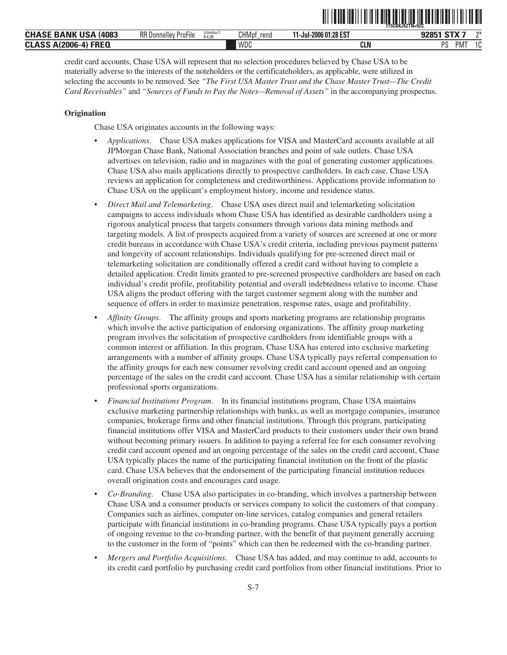|                                                                            |                             |                   |                           |                       | 1T5CBKJ5ZTN=9ZC |           |                 |
|----------------------------------------------------------------------------|-----------------------------|-------------------|---------------------------|-----------------------|-----------------|-----------|-----------------|
| : Bank USA<br>(4083<br><b>CHASE</b>                                        | <b>RR Donnelley ProFile</b> | chmdoc1<br>9.4.35 | <b>CHMpf</b><br>rena<br>- | 11-Jul-2006 01:28 EST | $-27$<br>020E1. |           | $n+$            |
| <b>FREQ</b><br><b>CLASS</b><br><b>A(2006</b><br>$\mathbf{A}$<br><b>MIZ</b> |                             |                   | <b>WDC</b>                | <b>CLN</b>            | nс              | <b>PM</b> | $\Lambda$<br>טו |

ˆ1T5CBKJ5ZTN=9ZCCŠ **1T5CBKJ5ZTN=9ZC**

credit card accounts, Chase USA will represent that no selection procedures believed by Chase USA to be materially adverse to the interests of the noteholders or the certificateholders, as applicable, were utilized in selecting the accounts to be removed. See *"The First USA Master Trust and the Chase Master Trust—The Credit Card Receivables"* and *"Sources of Funds to Pay the Notes—Removal of Assets"* in the accompanying prospectus.

#### **Origination**

Chase USA originates accounts in the following ways:

- *Applications*. Chase USA makes applications for VISA and MasterCard accounts available at all JPMorgan Chase Bank, National Association branches and point of sale outlets. Chase USA advertises on television, radio and in magazines with the goal of generating customer applications. Chase USA also mails applications directly to prospective cardholders. In each case, Chase USA reviews an application for completeness and creditworthiness. Applications provide information to Chase USA on the applicant's employment history, income and residence status.
- *Direct Mail and Telemarketing*. Chase USA uses direct mail and telemarketing solicitation campaigns to access individuals whom Chase USA has identified as desirable cardholders using a rigorous analytical process that targets consumers through various data mining methods and targeting models. A list of prospects acquired from a variety of sources are screened at one or more credit bureaus in accordance with Chase USA's credit criteria, including previous payment patterns and longevity of account relationships. Individuals qualifying for pre-screened direct mail or telemarketing solicitation are conditionally offered a credit card without having to complete a detailed application. Credit limits granted to pre-screened prospective cardholders are based on each individual's credit profile, profitability potential and overall indebtedness relative to income. Chase USA aligns the product offering with the target customer segment along with the number and sequence of offers in order to maximize penetration, response rates, usage and profitability.
- *Affinity Groups*. The affinity groups and sports marketing programs are relationship programs which involve the active participation of endorsing organizations. The affinity group marketing program involves the solicitation of prospective cardholders from identifiable groups with a common interest or affiliation. In this program, Chase USA has entered into exclusive marketing arrangements with a number of affinity groups. Chase USA typically pays referral compensation to the affinity groups for each new consumer revolving credit card account opened and an ongoing percentage of the sales on the credit card account. Chase USA has a similar relationship with certain professional sports organizations.
- *Financial Institutions Program*. In its financial institutions program, Chase USA maintains exclusive marketing partnership relationships with banks, as well as mortgage companies, insurance companies, brokerage firms and other financial institutions. Through this program, participating financial institutions offer VISA and MasterCard products to their customers under their own brand without becoming primary issuers. In addition to paying a referral fee for each consumer revolving credit card account opened and an ongoing percentage of the sales on the credit card account, Chase USA typically places the name of the participating financial institution on the front of the plastic card. Chase USA believes that the endorsement of the participating financial institution reduces overall origination costs and encourages card usage.
- *Co-Branding*. Chase USA also participates in co-branding, which involves a partnership between Chase USA and a consumer products or services company to solicit the customers of that company. Companies such as airlines, computer on-line services, catalog companies and general retailers participate with financial institutions in co-branding programs. Chase USA typically pays a portion of ongoing revenue to the co-branding partner, with the benefit of that payment generally accruing to the customer in the form of "points" which can then be redeemed with the co-branding partner.
- *Mergers and Portfolio Acquisitions*. Chase USA has added, and may continue to add, accounts to its credit card portfolio by purchasing credit card portfolios from other financial institutions. Prior to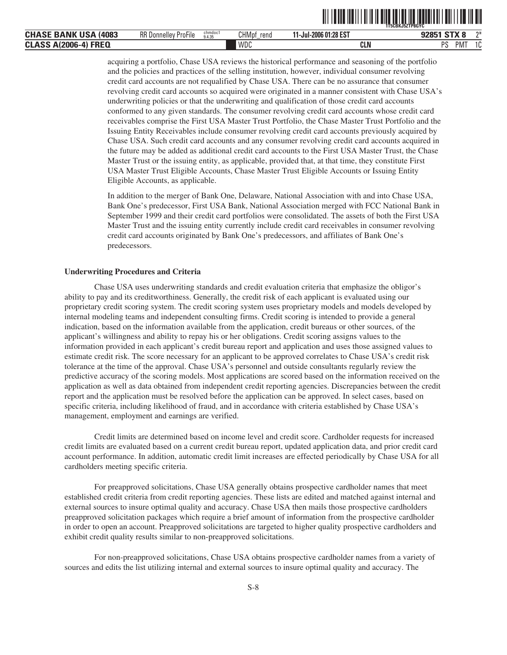|                                                                    |                                         |                   |                      |                       | `1T5CBKJ5ZTP8GYC                       |
|--------------------------------------------------------------------|-----------------------------------------|-------------------|----------------------|-----------------------|----------------------------------------|
| <b>CHASE BANK USA</b><br>(4083                                     | RR D<br>---<br>-<br>l Donnellev ProFile | chmdoc1<br>9.4.35 | <b>CHMpf</b><br>rend | 11-Jul-2006 01:28 EST | $\sim$ $\sim$ $\sim$<br>ግ*             |
| <b>JONNE</b><br><b>CLACC</b><br>ZUUb-4<br><b>ULAJJ</b><br>, $\sim$ |                                         |                   | WDC                  | CLN                   | DC<br>$\sim$<br><b>PMT</b><br>ΙU<br>ັບ |

acquiring a portfolio, Chase USA reviews the historical performance and seasoning of the portfolio and the policies and practices of the selling institution, however, individual consumer revolving credit card accounts are not requalified by Chase USA. There can be no assurance that consumer revolving credit card accounts so acquired were originated in a manner consistent with Chase USA's underwriting policies or that the underwriting and qualification of those credit card accounts conformed to any given standards. The consumer revolving credit card accounts whose credit card receivables comprise the First USA Master Trust Portfolio, the Chase Master Trust Portfolio and the Issuing Entity Receivables include consumer revolving credit card accounts previously acquired by Chase USA. Such credit card accounts and any consumer revolving credit card accounts acquired in the future may be added as additional credit card accounts to the First USA Master Trust, the Chase Master Trust or the issuing entity, as applicable, provided that, at that time, they constitute First USA Master Trust Eligible Accounts, Chase Master Trust Eligible Accounts or Issuing Entity Eligible Accounts, as applicable.

ˆ1T5CBKJ5ZTP8GYC^Š **1T5CBKJ5ZTP8GYC**

In addition to the merger of Bank One, Delaware, National Association with and into Chase USA, Bank One's predecessor, First USA Bank, National Association merged with FCC National Bank in September 1999 and their credit card portfolios were consolidated. The assets of both the First USA Master Trust and the issuing entity currently include credit card receivables in consumer revolving credit card accounts originated by Bank One's predecessors, and affiliates of Bank One's predecessors.

#### **Underwriting Procedures and Criteria**

Chase USA uses underwriting standards and credit evaluation criteria that emphasize the obligor's ability to pay and its creditworthiness. Generally, the credit risk of each applicant is evaluated using our proprietary credit scoring system. The credit scoring system uses proprietary models and models developed by internal modeling teams and independent consulting firms. Credit scoring is intended to provide a general indication, based on the information available from the application, credit bureaus or other sources, of the applicant's willingness and ability to repay his or her obligations. Credit scoring assigns values to the information provided in each applicant's credit bureau report and application and uses those assigned values to estimate credit risk. The score necessary for an applicant to be approved correlates to Chase USA's credit risk tolerance at the time of the approval. Chase USA's personnel and outside consultants regularly review the predictive accuracy of the scoring models. Most applications are scored based on the information received on the application as well as data obtained from independent credit reporting agencies. Discrepancies between the credit report and the application must be resolved before the application can be approved. In select cases, based on specific criteria, including likelihood of fraud, and in accordance with criteria established by Chase USA's management, employment and earnings are verified.

Credit limits are determined based on income level and credit score. Cardholder requests for increased credit limits are evaluated based on a current credit bureau report, updated application data, and prior credit card account performance. In addition, automatic credit limit increases are effected periodically by Chase USA for all cardholders meeting specific criteria.

For preapproved solicitations, Chase USA generally obtains prospective cardholder names that meet established credit criteria from credit reporting agencies. These lists are edited and matched against internal and external sources to insure optimal quality and accuracy. Chase USA then mails those prospective cardholders preapproved solicitation packages which require a brief amount of information from the prospective cardholder in order to open an account. Preapproved solicitations are targeted to higher quality prospective cardholders and exhibit credit quality results similar to non-preapproved solicitations.

For non-preapproved solicitations, Chase USA obtains prospective cardholder names from a variety of sources and edits the list utilizing internal and external sources to insure optimal quality and accuracy. The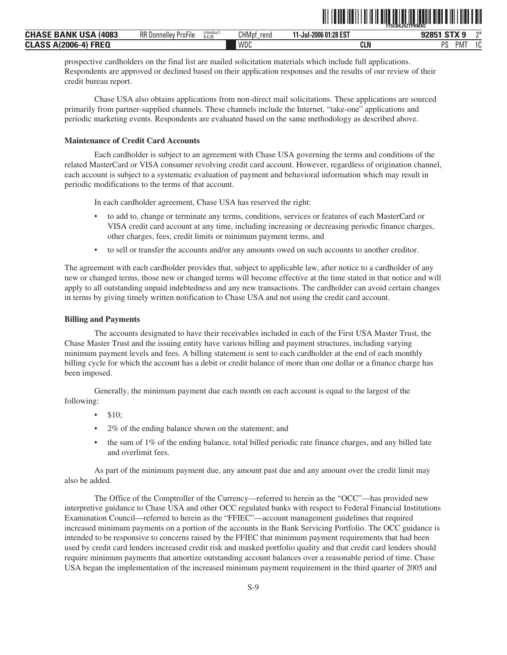| <b>BANK USA</b><br>(4083<br><b>CHASE</b>        | <b>RR Donnelley ProFile</b> | chmdoc1<br>9.4.35 | <b>CHMpf</b><br>rena | 01:28 EST ش<br>11-Jul-2006 | <b>CTV 0</b><br>07051 | $n+$            |
|-------------------------------------------------|-----------------------------|-------------------|----------------------|----------------------------|-----------------------|-----------------|
| A(2006-<br><b>FREQ</b><br><b>CLASS</b><br>`۵-∆۱ |                             |                   | WDC                  | CLN                        | ne<br>PM <sup>-</sup> | $\Lambda$<br>טו |

ˆ1T5CBKJ5ZTPKMXCMŠ **1T5CBKJ5ZTPKMXC**

prospective cardholders on the final list are mailed solicitation materials which include full applications. Respondents are approved or declined based on their application responses and the results of our review of their credit bureau report.

Chase USA also obtains applications from non-direct mail solicitations. These applications are sourced primarily from partner-supplied channels. These channels include the Internet, "take-one" applications and periodic marketing events. Respondents are evaluated based on the same methodology as described above.

#### **Maintenance of Credit Card Accounts**

Each cardholder is subject to an agreement with Chase USA governing the terms and conditions of the related MasterCard or VISA consumer revolving credit card account. However, regardless of origination channel, each account is subject to a systematic evaluation of payment and behavioral information which may result in periodic modifications to the terms of that account.

In each cardholder agreement, Chase USA has reserved the right:

- to add to, change or terminate any terms, conditions, services or features of each MasterCard or VISA credit card account at any time, including increasing or decreasing periodic finance charges, other charges, fees, credit limits or minimum payment terms, and
- to sell or transfer the accounts and/or any amounts owed on such accounts to another creditor.

The agreement with each cardholder provides that, subject to applicable law, after notice to a cardholder of any new or changed terms, those new or changed terms will become effective at the time stated in that notice and will apply to all outstanding unpaid indebtedness and any new transactions. The cardholder can avoid certain changes in terms by giving timely written notification to Chase USA and not using the credit card account.

#### **Billing and Payments**

The accounts designated to have their receivables included in each of the First USA Master Trust, the Chase Master Trust and the issuing entity have various billing and payment structures, including varying minimum payment levels and fees. A billing statement is sent to each cardholder at the end of each monthly billing cycle for which the account has a debit or credit balance of more than one dollar or a finance charge has been imposed.

Generally, the minimum payment due each month on each account is equal to the largest of the following:

- \$10;
- 2% of the ending balance shown on the statement; and
- the sum of 1% of the ending balance, total billed periodic rate finance charges, and any billed late and overlimit fees.

As part of the minimum payment due, any amount past due and any amount over the credit limit may also be added.

The Office of the Comptroller of the Currency—referred to herein as the "OCC"—has provided new interpretive guidance to Chase USA and other OCC regulated banks with respect to Federal Financial Institutions Examination Council—referred to herein as the "FFIEC"—account management guidelines that required increased minimum payments on a portion of the accounts in the Bank Servicing Portfolio. The OCC guidance is intended to be responsive to concerns raised by the FFIEC that minimum payment requirements that had been used by credit card lenders increased credit risk and masked portfolio quality and that credit card lenders should require minimum payments that amortize outstanding account balances over a reasonable period of time. Chase USA began the implementation of the increased minimum payment requirement in the third quarter of 2005 and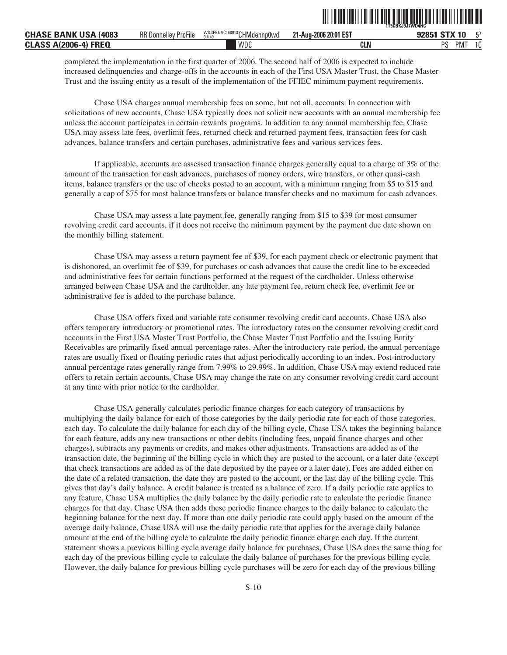|                                               |                             |                                      | - . - --- .--  . -. .- .- -.- | .BKJ9J7WD4HC<br><b>1T5CL</b> |              |
|-----------------------------------------------|-----------------------------|--------------------------------------|-------------------------------|------------------------------|--------------|
| <b>CHASE</b><br>(4083<br>'N<br>BANK<br>uər    | <b>RR Donnelley ProFile</b> | WDCFBUAC168013 CHMdennp0wd<br>9.4.49 | 20:01 EST<br>-2006<br>⊥1-Aua∹ | CTV <sub>10</sub><br>ומרח    | F¥           |
| <b>FREQ</b><br><b>CLASS</b><br>A(2006-<br>-41 |                             | WDC                                  | <b>CLN</b>                    | nc<br><b>PMT</b>             | $\sim$<br>ΙU |

ˆ1T5CBKJ9J7WD4HC.Š **1T5CBKJ9J7WD4HC**

completed the implementation in the first quarter of 2006. The second half of 2006 is expected to include increased delinquencies and charge-offs in the accounts in each of the First USA Master Trust, the Chase Master Trust and the issuing entity as a result of the implementation of the FFIEC minimum payment requirements.

Chase USA charges annual membership fees on some, but not all, accounts. In connection with solicitations of new accounts, Chase USA typically does not solicit new accounts with an annual membership fee unless the account participates in certain rewards programs. In addition to any annual membership fee, Chase USA may assess late fees, overlimit fees, returned check and returned payment fees, transaction fees for cash advances, balance transfers and certain purchases, administrative fees and various services fees.

If applicable, accounts are assessed transaction finance charges generally equal to a charge of 3% of the amount of the transaction for cash advances, purchases of money orders, wire transfers, or other quasi-cash items, balance transfers or the use of checks posted to an account, with a minimum ranging from \$5 to \$15 and generally a cap of \$75 for most balance transfers or balance transfer checks and no maximum for cash advances.

Chase USA may assess a late payment fee, generally ranging from \$15 to \$39 for most consumer revolving credit card accounts, if it does not receive the minimum payment by the payment due date shown on the monthly billing statement.

Chase USA may assess a return payment fee of \$39, for each payment check or electronic payment that is dishonored, an overlimit fee of \$39, for purchases or cash advances that cause the credit line to be exceeded and administrative fees for certain functions performed at the request of the cardholder. Unless otherwise arranged between Chase USA and the cardholder, any late payment fee, return check fee, overlimit fee or administrative fee is added to the purchase balance.

Chase USA offers fixed and variable rate consumer revolving credit card accounts. Chase USA also offers temporary introductory or promotional rates. The introductory rates on the consumer revolving credit card accounts in the First USA Master Trust Portfolio, the Chase Master Trust Portfolio and the Issuing Entity Receivables are primarily fixed annual percentage rates. After the introductory rate period, the annual percentage rates are usually fixed or floating periodic rates that adjust periodically according to an index. Post-introductory annual percentage rates generally range from 7.99% to 29.99%. In addition, Chase USA may extend reduced rate offers to retain certain accounts. Chase USA may change the rate on any consumer revolving credit card account at any time with prior notice to the cardholder.

Chase USA generally calculates periodic finance charges for each category of transactions by multiplying the daily balance for each of those categories by the daily periodic rate for each of those categories, each day. To calculate the daily balance for each day of the billing cycle, Chase USA takes the beginning balance for each feature, adds any new transactions or other debits (including fees, unpaid finance charges and other charges), subtracts any payments or credits, and makes other adjustments. Transactions are added as of the transaction date, the beginning of the billing cycle in which they are posted to the account, or a later date (except that check transactions are added as of the date deposited by the payee or a later date). Fees are added either on the date of a related transaction, the date they are posted to the account, or the last day of the billing cycle. This gives that day's daily balance. A credit balance is treated as a balance of zero. If a daily periodic rate applies to any feature, Chase USA multiplies the daily balance by the daily periodic rate to calculate the periodic finance charges for that day. Chase USA then adds these periodic finance charges to the daily balance to calculate the beginning balance for the next day. If more than one daily periodic rate could apply based on the amount of the average daily balance, Chase USA will use the daily periodic rate that applies for the average daily balance amount at the end of the billing cycle to calculate the daily periodic finance charge each day. If the current statement shows a previous billing cycle average daily balance for purchases, Chase USA does the same thing for each day of the previous billing cycle to calculate the daily balance of purchases for the previous billing cycle. However, the daily balance for previous billing cycle purchases will be zero for each day of the previous billing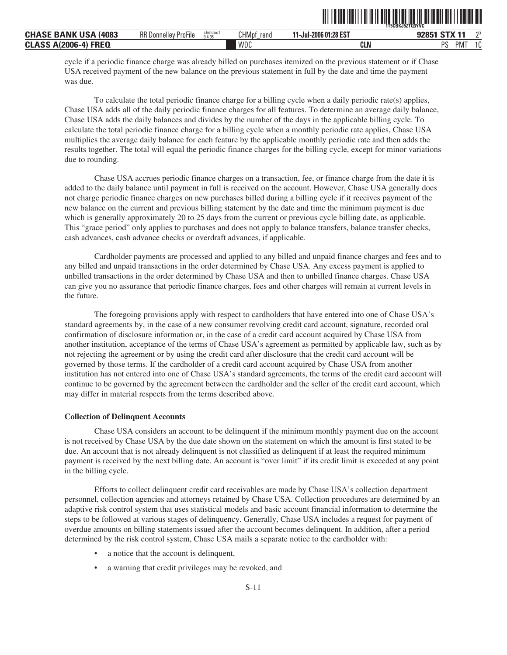| : BANK USA<br><b>CHASE</b><br>(4083   | <b>RR Donnelley ProFile</b> | chmdoc1<br>9.4.35 | <b>CHMpf</b><br>rend | 11-Jul-2006 01:28 EST | ግ*<br>G T V A<br><b>020E1</b>  |
|---------------------------------------|-----------------------------|-------------------|----------------------|-----------------------|--------------------------------|
| <b>CLASS A(2006-4)</b><br><b>FREQ</b> |                             |                   | <b>WDC</b>           | CLN                   | PM.<br>$\sim$<br>DC.<br>u<br>υ |

ˆ1T5CBKJ5ZTQ3YVC†Š **1T5CBKJ5ZTQ3YVC**

cycle if a periodic finance charge was already billed on purchases itemized on the previous statement or if Chase USA received payment of the new balance on the previous statement in full by the date and time the payment was due.

To calculate the total periodic finance charge for a billing cycle when a daily periodic rate(s) applies, Chase USA adds all of the daily periodic finance charges for all features. To determine an average daily balance, Chase USA adds the daily balances and divides by the number of the days in the applicable billing cycle. To calculate the total periodic finance charge for a billing cycle when a monthly periodic rate applies, Chase USA multiplies the average daily balance for each feature by the applicable monthly periodic rate and then adds the results together. The total will equal the periodic finance charges for the billing cycle, except for minor variations due to rounding.

Chase USA accrues periodic finance charges on a transaction, fee, or finance charge from the date it is added to the daily balance until payment in full is received on the account. However, Chase USA generally does not charge periodic finance charges on new purchases billed during a billing cycle if it receives payment of the new balance on the current and previous billing statement by the date and time the minimum payment is due which is generally approximately 20 to 25 days from the current or previous cycle billing date, as applicable. This "grace period" only applies to purchases and does not apply to balance transfers, balance transfer checks, cash advances, cash advance checks or overdraft advances, if applicable.

Cardholder payments are processed and applied to any billed and unpaid finance charges and fees and to any billed and unpaid transactions in the order determined by Chase USA. Any excess payment is applied to unbilled transactions in the order determined by Chase USA and then to unbilled finance charges. Chase USA can give you no assurance that periodic finance charges, fees and other charges will remain at current levels in the future.

The foregoing provisions apply with respect to cardholders that have entered into one of Chase USA's standard agreements by, in the case of a new consumer revolving credit card account, signature, recorded oral confirmation of disclosure information or, in the case of a credit card account acquired by Chase USA from another institution, acceptance of the terms of Chase USA's agreement as permitted by applicable law, such as by not rejecting the agreement or by using the credit card after disclosure that the credit card account will be governed by those terms. If the cardholder of a credit card account acquired by Chase USA from another institution has not entered into one of Chase USA's standard agreements, the terms of the credit card account will continue to be governed by the agreement between the cardholder and the seller of the credit card account, which may differ in material respects from the terms described above.

#### **Collection of Delinquent Accounts**

Chase USA considers an account to be delinquent if the minimum monthly payment due on the account is not received by Chase USA by the due date shown on the statement on which the amount is first stated to be due. An account that is not already delinquent is not classified as delinquent if at least the required minimum payment is received by the next billing date. An account is "over limit" if its credit limit is exceeded at any point in the billing cycle.

Efforts to collect delinquent credit card receivables are made by Chase USA's collection department personnel, collection agencies and attorneys retained by Chase USA. Collection procedures are determined by an adaptive risk control system that uses statistical models and basic account financial information to determine the steps to be followed at various stages of delinquency. Generally, Chase USA includes a request for payment of overdue amounts on billing statements issued after the account becomes delinquent. In addition, after a period determined by the risk control system, Chase USA mails a separate notice to the cardholder with:

- a notice that the account is delinquent,
- a warning that credit privileges may be revoked, and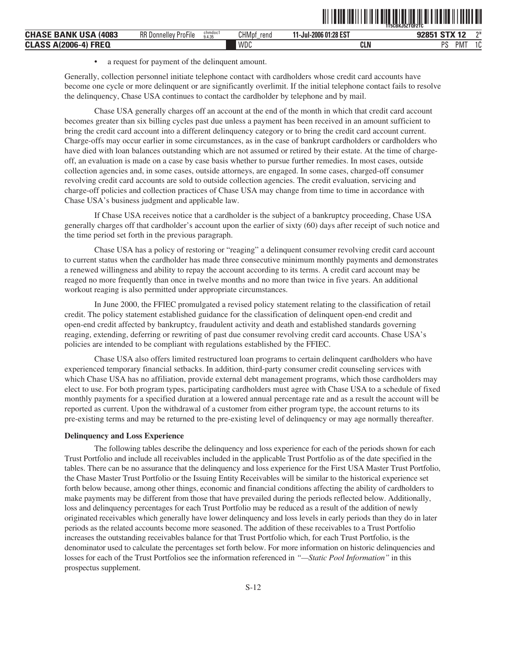|                                                 |                                |                   |                      |                       | `1T5CBKJ5ZTOF2TC            |    |
|-------------------------------------------------|--------------------------------|-------------------|----------------------|-----------------------|-----------------------------|----|
| <b>USA</b><br>: BANK<br><b>CHASE</b><br>(4083   | <b>RR</b> Donnelley<br>ProFile | chmdoc1<br>9.4.35 | <b>CHMpf</b><br>rend | 11-Jul-2006 01:28 EST | CTV <sub>10</sub><br>92851  | ግ* |
| <b>FREQ</b><br><b>CLASS</b><br>″ S A(2006-4) د. |                                |                   | WDC                  | CLN                   | <b>DC</b><br>.<br>PM.<br>د، | u  |

ˆ1T5CBKJ5ZTQF2TC!Š **1T5CBKJ5ZTQF2TC**

• a request for payment of the delinquent amount.

Generally, collection personnel initiate telephone contact with cardholders whose credit card accounts have become one cycle or more delinquent or are significantly overlimit. If the initial telephone contact fails to resolve the delinquency, Chase USA continues to contact the cardholder by telephone and by mail.

Chase USA generally charges off an account at the end of the month in which that credit card account becomes greater than six billing cycles past due unless a payment has been received in an amount sufficient to bring the credit card account into a different delinquency category or to bring the credit card account current. Charge-offs may occur earlier in some circumstances, as in the case of bankrupt cardholders or cardholders who have died with loan balances outstanding which are not assumed or retired by their estate. At the time of chargeoff, an evaluation is made on a case by case basis whether to pursue further remedies. In most cases, outside collection agencies and, in some cases, outside attorneys, are engaged. In some cases, charged-off consumer revolving credit card accounts are sold to outside collection agencies. The credit evaluation, servicing and charge-off policies and collection practices of Chase USA may change from time to time in accordance with Chase USA's business judgment and applicable law.

If Chase USA receives notice that a cardholder is the subject of a bankruptcy proceeding, Chase USA generally charges off that cardholder's account upon the earlier of sixty (60) days after receipt of such notice and the time period set forth in the previous paragraph.

Chase USA has a policy of restoring or "reaging" a delinquent consumer revolving credit card account to current status when the cardholder has made three consecutive minimum monthly payments and demonstrates a renewed willingness and ability to repay the account according to its terms. A credit card account may be reaged no more frequently than once in twelve months and no more than twice in five years. An additional workout reaging is also permitted under appropriate circumstances.

In June 2000, the FFIEC promulgated a revised policy statement relating to the classification of retail credit. The policy statement established guidance for the classification of delinquent open-end credit and open-end credit affected by bankruptcy, fraudulent activity and death and established standards governing reaging, extending, deferring or rewriting of past due consumer revolving credit card accounts. Chase USA's policies are intended to be compliant with regulations established by the FFIEC.

Chase USA also offers limited restructured loan programs to certain delinquent cardholders who have experienced temporary financial setbacks. In addition, third-party consumer credit counseling services with which Chase USA has no affiliation, provide external debt management programs, which those cardholders may elect to use. For both program types, participating cardholders must agree with Chase USA to a schedule of fixed monthly payments for a specified duration at a lowered annual percentage rate and as a result the account will be reported as current. Upon the withdrawal of a customer from either program type, the account returns to its pre-existing terms and may be returned to the pre-existing level of delinquency or may age normally thereafter.

#### **Delinquency and Loss Experience**

The following tables describe the delinquency and loss experience for each of the periods shown for each Trust Portfolio and include all receivables included in the applicable Trust Portfolio as of the date specified in the tables. There can be no assurance that the delinquency and loss experience for the First USA Master Trust Portfolio, the Chase Master Trust Portfolio or the Issuing Entity Receivables will be similar to the historical experience set forth below because, among other things, economic and financial conditions affecting the ability of cardholders to make payments may be different from those that have prevailed during the periods reflected below. Additionally, loss and delinquency percentages for each Trust Portfolio may be reduced as a result of the addition of newly originated receivables which generally have lower delinquency and loss levels in early periods than they do in later periods as the related accounts become more seasoned. The addition of these receivables to a Trust Portfolio increases the outstanding receivables balance for that Trust Portfolio which, for each Trust Portfolio, is the denominator used to calculate the percentages set forth below. For more information on historic delinquencies and losses for each of the Trust Portfolios see the information referenced in *"—Static Pool Information"* in this prospectus supplement.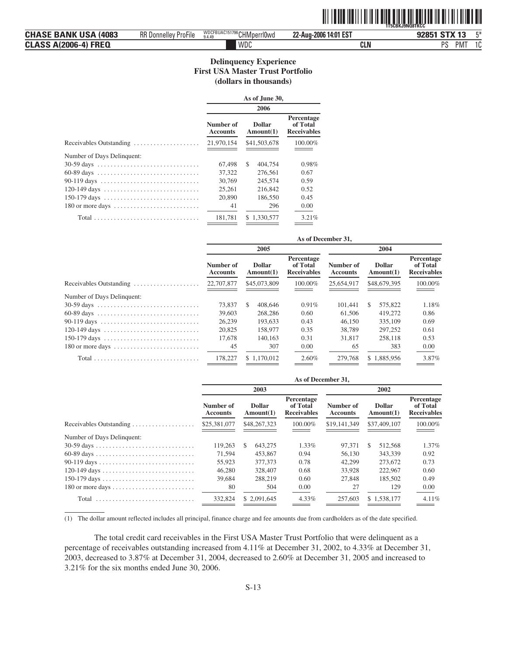|                                |                             |                                      | ,,,,,,,,,,,,          | `1T5CBKJ9NQ8TKCC                         |
|--------------------------------|-----------------------------|--------------------------------------|-----------------------|------------------------------------------|
| <b>CHASE BANK USA</b><br>(4083 | <b>RR Donnelley ProFile</b> | WDCFBUAC151796 CHMperrl0wd<br>9.4.49 | 22-Aug-2006 14:01 EST | F <sub>*</sub><br><b>STX 13</b><br>92851 |
| <b>CLASS A(2006-4) FREQ</b>    |                             | WDC                                  | CLN                   | nc<br>- ა<br>IVI                         |

ˆ1T5CBKJ9NQ8TKCCqŠ **1T5CBKJ9NQ8TKCC**

#### **Delinquency Experience First USA Master Trust Portfolio (dollars in thousands)**

|                                                          | As of June 30,               |                            |                                              |  |  |  |
|----------------------------------------------------------|------------------------------|----------------------------|----------------------------------------------|--|--|--|
|                                                          | 2006                         |                            |                                              |  |  |  |
|                                                          | Number of<br><b>Accounts</b> | <b>Dollar</b><br>Amount(1) | Percentage<br>of Total<br><b>Receivables</b> |  |  |  |
| Receivables Outstanding $\dots\dots\dots\dots\dots\dots$ | 21,970,154                   | \$41,503,678               | 100.00%                                      |  |  |  |
| Number of Days Delinquent:                               |                              |                            |                                              |  |  |  |
|                                                          | 67,498                       | \$.<br>404,754             | 0.98%                                        |  |  |  |
|                                                          | 37,322                       | 276,561                    | 0.67                                         |  |  |  |
|                                                          | 30,769                       | 245,574                    | 0.59                                         |  |  |  |
|                                                          | 25.261                       | 216,842                    | 0.52                                         |  |  |  |
|                                                          | 20,890                       | 186,550                    | 0.45                                         |  |  |  |
|                                                          | 41                           | 296                        | 0.00                                         |  |  |  |
|                                                          | 181.781                      | 1.330.577<br>S.            | 3.21%                                        |  |  |  |
|                                                          |                              |                            |                                              |  |  |  |

| As of December 31,           |                            |                                              |                              |                            |                                              |
|------------------------------|----------------------------|----------------------------------------------|------------------------------|----------------------------|----------------------------------------------|
|                              | 2005                       |                                              | 2004                         |                            |                                              |
| Number of<br><b>Accounts</b> | <b>Dollar</b><br>Amount(1) | Percentage<br>of Total<br><b>Receivables</b> | Number of<br><b>Accounts</b> | <b>Dollar</b><br>Amount(1) | Percentage<br>of Total<br><b>Receivables</b> |
| 22,707,877                   | \$45,073,809               | 100.00%                                      | 25,654,917                   | \$48,679,395               | 100.00%                                      |
|                              |                            |                                              |                              |                            |                                              |
| 73,837                       | S<br>408,646               | 0.91%                                        | 101.441                      | 575,822<br>\$.             | 1.18%                                        |
| 39,603                       | 268,286                    | 0.60                                         | 61.506                       | 419,272                    | 0.86                                         |
| 26,239                       | 193,633                    | 0.43                                         | 46,150                       | 335,109                    | 0.69                                         |
| 20,825                       | 158,977                    | 0.35                                         | 38,789                       | 297,252                    | 0.61                                         |
| 17,678                       | 140,163                    | 0.31                                         | 31,817                       | 258,118                    | 0.53                                         |
| 45                           | 307                        | 0.00                                         | 65                           | 383                        | 0.00                                         |
| 178,227                      | \$1.170,012                | 2.60%                                        | 279,768                      | \$1,885,956                | 3.87%                                        |
|                              |                            |                                              |                              |                            |                                              |

|                                                         | As of December 31,           |                            |                                              |                              |                            |                                       |  |
|---------------------------------------------------------|------------------------------|----------------------------|----------------------------------------------|------------------------------|----------------------------|---------------------------------------|--|
|                                                         |                              | 2003                       |                                              |                              | 2002                       |                                       |  |
|                                                         | Number of<br><b>Accounts</b> | <b>Dollar</b><br>Amount(1) | Percentage<br>of Total<br><b>Receivables</b> | Number of<br><b>Accounts</b> | <b>Dollar</b><br>Amount(1) | Percentage<br>of Total<br>Receivables |  |
| Receivables Outstanding $\dots \dots \dots \dots \dots$ | \$25,381,077                 | \$48,267,323               | 100.00%                                      | \$19,141,349                 | \$37,409,107               | 100.00%                               |  |
| Number of Days Delinquent:                              |                              |                            |                                              |                              |                            |                                       |  |
|                                                         | 119,263                      | 643,275<br>S.              | 1.33%                                        | 97,371                       | 512,568<br>\$.             | 1.37%                                 |  |
|                                                         | 71.594                       | 453,867                    | 0.94                                         | 56,130                       | 343.339                    | 0.92                                  |  |
|                                                         | 55,923                       | 377,373                    | 0.78                                         | 42,299                       | 273,672                    | 0.73                                  |  |
|                                                         | 46,280                       | 328,407                    | 0.68                                         | 33,928                       | 222,967                    | 0.60                                  |  |
|                                                         | 39,684                       | 288,219                    | 0.60                                         | 27,848                       | 185,502                    | 0.49                                  |  |
|                                                         | 80                           | 504                        | 0.00                                         | 27                           | 129                        | 0.00                                  |  |
|                                                         | 332,824                      | \$ 2,091,645               | $4.33\%$                                     | 257,603                      | \$1.538,177                | $4.11\%$                              |  |

(1) The dollar amount reflected includes all principal, finance charge and fee amounts due from cardholders as of the date specified.

The total credit card receivables in the First USA Master Trust Portfolio that were delinquent as a percentage of receivables outstanding increased from 4.11% at December 31, 2002, to 4.33% at December 31, 2003, decreased to 3.87% at December 31, 2004, decreased to 2.60% at December 31, 2005 and increased to 3.21% for the six months ended June 30, 2006.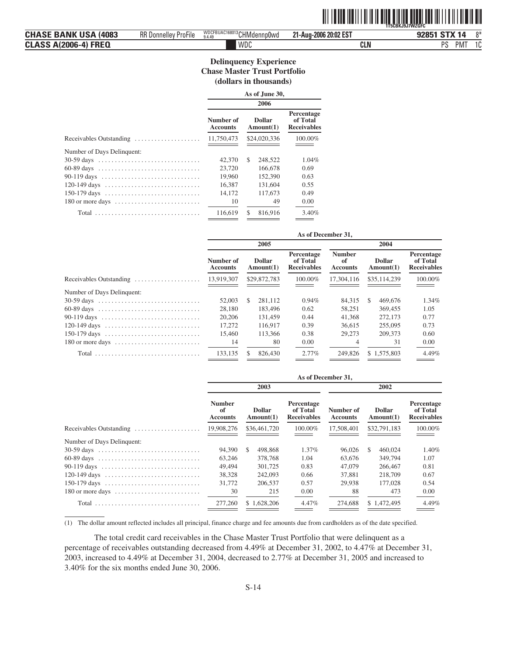|                              |                             |                            |                       | <b>1T5CBKJ9J7WZGFC</b> |
|------------------------------|-----------------------------|----------------------------|-----------------------|------------------------|
| <b>CHASE BANK USA (4083)</b> | <b>RR Donnelley ProFile</b> | WDCFBUAC168013 CHMdennp0wd | 21-Aug-2006 20:02 EST | $8*$<br>92851 STX 14   |
| <b>CLASS A(2006-4) FREQ</b>  |                             | WDC                        | CLN                   | PS<br>PM.<br>1C        |

#### **Delinquency Experience Chase Master Trust Portfolio (dollars in thousands)**

|                                                                              | As of June 30,               |               |                            |                                              |  |  |
|------------------------------------------------------------------------------|------------------------------|---------------|----------------------------|----------------------------------------------|--|--|
|                                                                              |                              |               |                            |                                              |  |  |
|                                                                              | Number of<br><b>Accounts</b> |               | <b>Dollar</b><br>Amount(1) | Percentage<br>of Total<br><b>Receivables</b> |  |  |
| Receivables Outstanding                                                      | 11,750,473                   |               | \$24,020,336               | 100.00%                                      |  |  |
| Number of Days Delinquent:                                                   |                              |               |                            |                                              |  |  |
|                                                                              | 42,370                       | <sup>\$</sup> | 248,522                    | $1.04\%$                                     |  |  |
| 60-89 days                                                                   | 23,720                       |               | 166,678                    | 0.69                                         |  |  |
| 90-119 days $\ldots \ldots \ldots \ldots \ldots \ldots \ldots \ldots \ldots$ | 19,960                       |               | 152,390                    | 0.63                                         |  |  |
| 120-149 days $\dots \dots \dots \dots \dots \dots \dots \dots \dots \dots$   | 16,387                       |               | 131,604                    | 0.55                                         |  |  |
|                                                                              | 14.172                       |               | 117,673                    | 0.49                                         |  |  |
|                                                                              | 10                           |               | 49                         | 0.00                                         |  |  |
| Total                                                                        | 116,619                      | <sup>\$</sup> | 816.916                    | 3.40%                                        |  |  |

|                              | 2005                       |                                              |                                        | 2004                       |                                              |  |
|------------------------------|----------------------------|----------------------------------------------|----------------------------------------|----------------------------|----------------------------------------------|--|
| Number of<br><b>Accounts</b> | <b>Dollar</b><br>Amount(1) | Percentage<br>of Total<br><b>Receivables</b> | <b>Number</b><br>of<br><b>Accounts</b> | <b>Dollar</b><br>Amount(1) | Percentage<br>of Total<br><b>Receivables</b> |  |
| 13.919.307                   | \$29,872,783               | 100.00%                                      | 17,304,116                             | \$35,114,239               | 100.00%                                      |  |
|                              |                            |                                              |                                        |                            |                                              |  |
| 52,003                       | 281.112<br>\$.             | 0.94%                                        | 84.315                                 | 469,676<br>S               | 1.34%                                        |  |
| 28,180                       | 183,496                    | 0.62                                         | 58.251                                 | 369,455                    | 1.05                                         |  |
| 20,206                       | 131.459                    | 0.44                                         | 41,368                                 | 272,173                    | 0.77                                         |  |
| 17.272                       | 116,917                    | 0.39                                         | 36,615                                 | 255,095                    | 0.73                                         |  |
| 15,460                       | 113,366                    | 0.38                                         | 29,273                                 | 209,373                    | 0.60                                         |  |
| 14                           | 80                         | 0.00                                         |                                        | 31                         | 0.00                                         |  |
| 133.135                      | 826,430                    | 2.77%                                        | 249,826                                | \$1.575,803                | 4.49%                                        |  |
|                              |                            |                                              |                                        | As of December 31,         |                                              |  |

| As of December 31,                     |                            |                                              |                              |                            |                                              |
|----------------------------------------|----------------------------|----------------------------------------------|------------------------------|----------------------------|----------------------------------------------|
|                                        | 2003                       |                                              | 2002                         |                            |                                              |
| <b>Number</b><br>of<br><b>Accounts</b> | <b>Dollar</b><br>Amount(1) | Percentage<br>of Total<br><b>Receivables</b> | Number of<br><b>Accounts</b> | <b>Dollar</b><br>Amount(1) | Percentage<br>of Total<br><b>Receivables</b> |
| 19,908,276                             | \$36,461,720               | 100.00%                                      | 17,508,401                   | \$32,791,183               | 100.00%                                      |
|                                        |                            |                                              |                              |                            |                                              |
| 94,390                                 | <sup>\$</sup><br>498,868   | $1.37\%$                                     | 96,026                       | 460,024<br>\$.             | 1.40%                                        |
| 63.246                                 | 378,768                    | 1.04                                         | 63,676                       | 349,794                    | 1.07                                         |
| 49.494                                 | 301.725                    | 0.83                                         | 47,079                       | 266,467                    | 0.81                                         |
| 38,328                                 | 242,093                    | 0.66                                         | 37,881                       | 218,709                    | 0.67                                         |
| 31,772                                 | 206,537                    | 0.57                                         | 29,938                       | 177,028                    | 0.54                                         |
| 30                                     | 215                        | 0.00                                         | 88                           | 473                        | 0.00                                         |
| 277,260                                | \$1.628,206                | 4.47%                                        | 274,688                      | \$1,472,495                | 4.49%                                        |
|                                        |                            |                                              |                              |                            |                                              |

(1) The dollar amount reflected includes all principal, finance charge and fee amounts due from cardholders as of the date specified.

The total credit card receivables in the Chase Master Trust Portfolio that were delinquent as a percentage of receivables outstanding decreased from 4.49% at December 31, 2002, to 4.47% at December 31, 2003, increased to 4.49% at December 31, 2004, decreased to 2.77% at December 31, 2005 and increased to 3.40% for the six months ended June 30, 2006.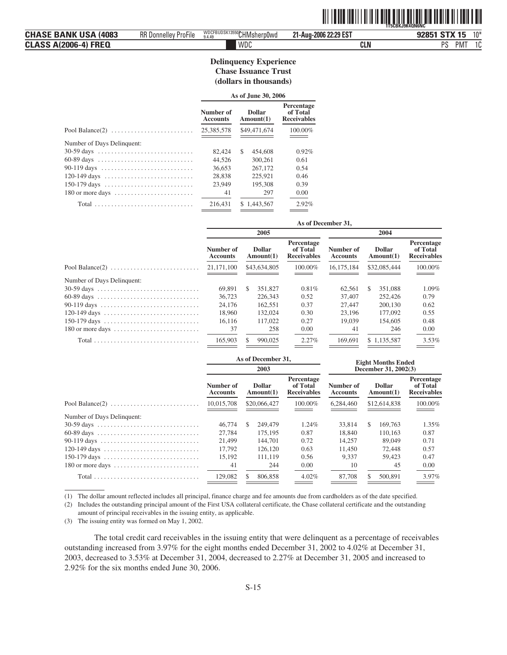|                              |                             |                           |                       | <u> 111   111   111   111   111   111   111   111   111   111   111   111   111   111   111   111   111   1</u><br>1T5CBKJ9K40N6NC |
|------------------------------|-----------------------------|---------------------------|-----------------------|------------------------------------------------------------------------------------------------------------------------------------|
| <b>CHASE BANK USA (4083)</b> | <b>RR Donnelley ProFile</b> | WDCFBUDSK13550CHMsherp0wd | 21-Aug-2006 22:29 EST | 92851 STX 15<br>$10*$                                                                                                              |
| <b>CLASS A(2006-4) FREQ</b>  |                             | WDC                       | <b>CLN</b>            | PS<br><b>PMT</b><br>10<br>ιu                                                                                                       |

#### **Delinquency Experience Chase Issuance Trust (dollars in thousands)**

|                                                                              | As of June 30, 2006          |                            |                                              |  |  |
|------------------------------------------------------------------------------|------------------------------|----------------------------|----------------------------------------------|--|--|
|                                                                              | Number of<br><b>Accounts</b> | <b>Dollar</b><br>Amount(1) | Percentage<br>of Total<br><b>Receivables</b> |  |  |
|                                                                              | 25,385,578                   | \$49,471,674               | 100.00%                                      |  |  |
| Number of Days Delinquent:                                                   |                              |                            |                                              |  |  |
|                                                                              | 82,424                       | \$<br>454,608              | 0.92%                                        |  |  |
| 60-89 days                                                                   | 44.526                       | 300,261                    | 0.61                                         |  |  |
| 90-119 days $\ldots \ldots \ldots \ldots \ldots \ldots \ldots \ldots \ldots$ | 36.653                       | 267,172                    | 0.54                                         |  |  |
| 120-149 days $\ldots \ldots \ldots \ldots \ldots \ldots \ldots \ldots$       | 28,838                       | 225.921                    | 0.46                                         |  |  |
| 150-179 days                                                                 | 23,949                       | 195,308                    | 0.39                                         |  |  |
|                                                                              | 41                           | 297                        | 0.00                                         |  |  |
|                                                                              | 216.431                      | \$1,443,567                | 2.92%                                        |  |  |

|                                                                            | As of December 31,           |                            |                                              |                              |                            |                                       |
|----------------------------------------------------------------------------|------------------------------|----------------------------|----------------------------------------------|------------------------------|----------------------------|---------------------------------------|
|                                                                            |                              | 2005                       |                                              | 2004                         |                            |                                       |
|                                                                            | Number of<br><b>Accounts</b> | <b>Dollar</b><br>Amount(1) | Percentage<br>of Total<br><b>Receivables</b> | Number of<br><b>Accounts</b> | <b>Dollar</b><br>Amount(1) | Percentage<br>of Total<br>Receivables |
|                                                                            | 21,171,100                   | \$43,634,805               | 100.00%                                      | 16.175.184                   | \$32,085,444               | 100.00%                               |
| Number of Days Delinquent:                                                 |                              |                            |                                              |                              |                            |                                       |
|                                                                            | 69.891                       | S<br>351,827               | 0.81%                                        | 62.561                       | 351,088<br>S               | 1.09%                                 |
|                                                                            | 36,723                       | 226,343                    | 0.52                                         | 37,407                       | 252,426                    | 0.79                                  |
| 90-119 days $\dots\dots\dots\dots\dots\dots\dots\dots\dots\dots\dots\dots$ | 24.176                       | 162.551                    | 0.37                                         | 27,447                       | 200,130                    | 0.62                                  |
|                                                                            | 18.960                       | 132,024                    | 0.30                                         | 23,196                       | 177,092                    | 0.55                                  |
| 150-179 days                                                               | 16.116                       | 117,022                    | 0.27                                         | 19,039                       | 154,605                    | 0.48                                  |
|                                                                            | 37                           | 258                        | 0.00                                         | 41                           | 246                        | 0.00                                  |
|                                                                            | 165,903                      | 990,025                    | 2.27%                                        | 169,691                      | \$1.135.587                | 3.53%                                 |

|                            | As of December 31,           |                            |                                              | <b>Eight Months Ended</b>    |                            |                                              |  |
|----------------------------|------------------------------|----------------------------|----------------------------------------------|------------------------------|----------------------------|----------------------------------------------|--|
|                            |                              | 2003                       |                                              | December 31, 2002(3)         |                            |                                              |  |
|                            | Number of<br><b>Accounts</b> | <b>Dollar</b><br>Amount(1) | Percentage<br>of Total<br><b>Receivables</b> | Number of<br><b>Accounts</b> | <b>Dollar</b><br>Amount(1) | Percentage<br>of Total<br><b>Receivables</b> |  |
|                            | 10.015.708                   | \$20,066,427               | 100.00%                                      | 6.284,460                    | \$12,614,838               | 100.00%                                      |  |
| Number of Days Delinquent: |                              |                            |                                              |                              |                            |                                              |  |
|                            | 46,774                       | \$.<br>249,479             | 1.24%                                        | 33,814                       | S.<br>169,763              | 1.35%                                        |  |
|                            | 27.784                       | 175,195                    | 0.87                                         | 18,840                       | 110.163                    | 0.87                                         |  |
|                            | 21,499                       | 144,701                    | 0.72                                         | 14.257                       | 89,049                     | 0.71                                         |  |
|                            | 17.792                       | 126,120                    | 0.63                                         | 11.450                       | 72,448                     | 0.57                                         |  |
|                            | 15.192                       | 111.119                    | 0.56                                         | 9.337                        | 59.423                     | 0.47                                         |  |
|                            | 41                           | 244                        | 0.00                                         | 10                           | 45                         | 0.00                                         |  |
| $Total$                    | 129,082                      | 806,858<br>Ъ               | $4.02\%$                                     | 87,708                       | 500,891<br>S               | 3.97%                                        |  |

(1) The dollar amount reflected includes all principal, finance charge and fee amounts due from cardholders as of the date specified.

(2) Includes the outstanding principal amount of the First USA collateral certificate, the Chase collateral certificate and the outstanding amount of principal receivables in the issuing entity, as applicable.

(3) The issuing entity was formed on May 1, 2002.

The total credit card receivables in the issuing entity that were delinquent as a percentage of receivables outstanding increased from 3.97% for the eight months ended December 31, 2002 to 4.02% at December 31, 2003, decreased to 3.53% at December 31, 2004, decreased to 2.27% at December 31, 2005 and increased to 2.92% for the six months ended June 30, 2006.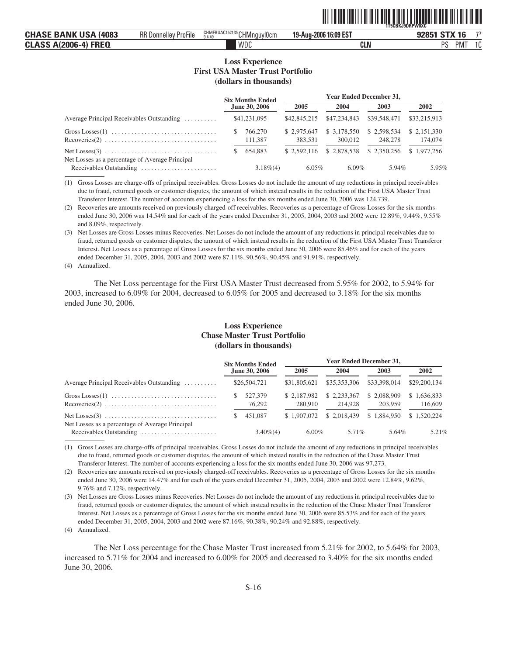|                                |                      |                                           |                       | `1T5CBKJ9DRPW0XC             |
|--------------------------------|----------------------|-------------------------------------------|-----------------------|------------------------------|
| <b>CHASE BANK USA</b><br>(4083 | RR Donnelley ProFile | CHMFBUAC152135 CHMngu<br>uylocm<br>3.4.49 | 19-Aug-2006 16:09 EST | コ米<br><b>STX 16</b><br>92851 |
| <b>CLASS A(2006-4) FREQ</b>    |                      | WDC                                       | CLN                   | nc<br>$\sim$<br>PM<br>v      |

ˆ1T5CBKJ9DRPW0XCFŠ **1T5CBKJ9DRPW0XC**

#### **Loss Experience First USA Master Trust Portfolio (dollars in thousands)**

|                                                                                                      | <b>Year Ended December 31,</b><br><b>Six Months Ended</b> |                    |                        |                         |                        |                         |  |  |
|------------------------------------------------------------------------------------------------------|-----------------------------------------------------------|--------------------|------------------------|-------------------------|------------------------|-------------------------|--|--|
|                                                                                                      |                                                           | June 30, 2006      | 2005                   | 2004                    | 2003                   | 2002                    |  |  |
| Average Principal Receivables Outstanding                                                            |                                                           | \$41,231,095       | \$42,845,215           | \$47,234,843            | \$39,548,471           | \$33,215,913            |  |  |
| Gross Losses $(1)$<br>$Recoveries(2) \ldots \ldots \ldots \ldots \ldots \ldots \ldots \ldots \ldots$ |                                                           | 766,270<br>111,387 | \$2.975,647<br>383.531 | \$ 3,178,550<br>300,012 | \$2.598,534<br>248,278 | \$ 2.151,330<br>174,074 |  |  |
| Net Losses as a percentage of Average Principal                                                      |                                                           | 654.883            | \$2.592,116            | \$2.878,538             | \$2,350,256            | \$1,977,256             |  |  |
| Receivables Outstanding                                                                              |                                                           | $3.18\%(4)$        | $6.05\%$               | $6.09\%$                | 5.94%                  | 5.95%                   |  |  |

(1) Gross Losses are charge-offs of principal receivables. Gross Losses do not include the amount of any reductions in principal receivables due to fraud, returned goods or customer disputes, the amount of which instead results in the reduction of the First USA Master Trust Transferor Interest. The number of accounts experiencing a loss for the six months ended June 30, 2006 was 124,739.

(2) Recoveries are amounts received on previously charged-off receivables. Recoveries as a percentage of Gross Losses for the six months ended June 30, 2006 was 14.54% and for each of the years ended December 31, 2005, 2004, 2003 and 2002 were 12.89%, 9.44%, 9.55% and 8.09%, respectively.

(3) Net Losses are Gross Losses minus Recoveries. Net Losses do not include the amount of any reductions in principal receivables due to fraud, returned goods or customer disputes, the amount of which instead results in the reduction of the First USA Master Trust Transferor Interest. Net Losses as a percentage of Gross Losses for the six months ended June 30, 2006 were 85.46% and for each of the years ended December 31, 2005, 2004, 2003 and 2002 were 87.11%, 90.56%, 90.45% and 91.91%, respectively.

(4) Annualized.

The Net Loss percentage for the First USA Master Trust decreased from 5.95% for 2002, to 5.94% for 2003, increased to 6.09% for 2004, decreased to 6.05% for 2005 and decreased to 3.18% for the six months ended June 30, 2006.

#### **Loss Experience Chase Master Trust Portfolio (dollars in thousands)**

|                                                                                | <b>Six Months Ended</b> | <b>Year Ended December 31,</b> |                        |                        |                        |
|--------------------------------------------------------------------------------|-------------------------|--------------------------------|------------------------|------------------------|------------------------|
|                                                                                | June 30, 2006           | 2005                           | 2004                   | 2003                   | 2002                   |
| Average Principal Receivables Outstanding                                      | \$26,504,721            | \$31,805,621                   | \$35,353,306           | \$33,398,014           | \$29,200,134           |
| $Recoveries(2) \ldots \ldots \ldots \ldots \ldots \ldots \ldots \ldots \ldots$ | 527,379<br>76.292       | \$2,187,982<br>280,910         | \$2.233,367<br>214,928 | \$2,088,909<br>203,959 | \$1,636,833<br>116,609 |
| Net Losses as a percentage of Average Principal                                | 451,087                 | \$1,907,072                    | \$2.018.439            | \$1,884,950            | \$1,520,224            |
| Receivables Outstanding                                                        | $3.40\%$ (4)            | $6.00\%$                       | 5.71%                  | 5.64%                  | 5.21%                  |

(1) Gross Losses are charge-offs of principal receivables. Gross Losses do not include the amount of any reductions in principal receivables due to fraud, returned goods or customer disputes, the amount of which instead results in the reduction of the Chase Master Trust Transferor Interest. The number of accounts experiencing a loss for the six months ended June 30, 2006 was 97,273.

(2) Recoveries are amounts received on previously charged-off receivables. Recoveries as a percentage of Gross Losses for the six months ended June 30, 2006 were 14.47% and for each of the years ended December 31, 2005, 2004, 2003 and 2002 were 12.84%, 9.62%, 9.76% and 7.12%, respectively.

(3) Net Losses are Gross Losses minus Recoveries. Net Losses do not include the amount of any reductions in principal receivables due to fraud, returned goods or customer disputes, the amount of which instead results in the reduction of the Chase Master Trust Transferor Interest. Net Losses as a percentage of Gross Losses for the six months ended June 30, 2006 were 85.53% and for each of the years ended December 31, 2005, 2004, 2003 and 2002 were 87.16%, 90.38%, 90.24% and 92.88%, respectively.

(4) Annualized.

The Net Loss percentage for the Chase Master Trust increased from 5.21% for 2002, to 5.64% for 2003, increased to 5.71% for 2004 and increased to 6.00% for 2005 and decreased to 3.40% for the six months ended June 30, 2006.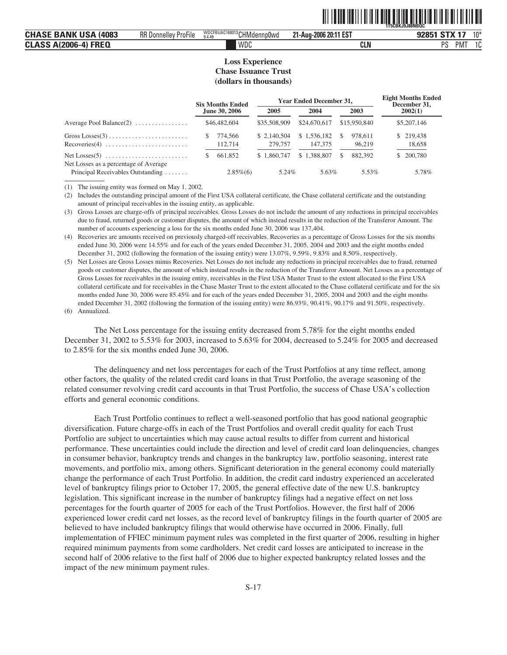|                                                                             |                                               |                                                 | _____<br>1T5CBKJ9J88NBQC |                                                                |
|-----------------------------------------------------------------------------|-----------------------------------------------|-------------------------------------------------|--------------------------|----------------------------------------------------------------|
| (4083<br>RANK<br>і ІІСЛ.<br><b>CHA</b><br>. .                               | $\cdots$<br>RR Donnei.<br>/ ProFile<br>11 H M | WDCFBUAC168013rL<br>`HMde.<br>`nnp0wd<br>9.4.49 | 21-Aug-2006 20:11 EST    | $10*$<br>G <sub>T</sub> V A <sub>T</sub><br><b>OOOF</b><br>-03 |
| <b>FREQ</b><br><b>\</b> 2006<br>CI A<br>. <i>. .</i><br>ulajj<br>$\sqrt{2}$ |                                               | WDC                                             | <b>CLN</b>               | <sub>D</sub> e<br>$\sim$<br><b>PMT</b><br>1 U<br>u             |

ˆ1T5CBKJ9J88NBQC(Š **1T5CBKJ9J88NBQC**

#### **Loss Experience Chase Issuance Trust (dollars in thousands)**

|                                       | <b>Six Months Ended</b> |                         | <b>Year Ended December 31,</b> |    |                   |  | <b>Eight Months Ended</b><br>December 31, |  |
|---------------------------------------|-------------------------|-------------------------|--------------------------------|----|-------------------|--|-------------------------------------------|--|
|                                       | June 30, 2006           | 2005                    | 2004                           |    | 2003              |  | 2002(1)                                   |  |
| Average Pool Balance $(2)$            | \$46,482,604            | \$35,508,909            | \$24,670,617                   |    | \$15,950,840      |  | \$5,207,146                               |  |
|                                       | 774.566<br>112,714      | \$ 2,140,504<br>279,757 | \$1.536,182<br>147,375         | S. | 978.611<br>96.219 |  | \$219,438<br>18,658                       |  |
| Net Losses as a percentage of Average | 661,852                 | \$1,860,747             | \$1,388,807                    | S. | 882,392           |  | \$ 200,780                                |  |
| Principal Receivables Outstanding     | $2.85\%(6)$             | 5.24%                   | 5.63%                          |    | 5.53%             |  | 5.78%                                     |  |

(1) The issuing entity was formed on May 1, 2002.

(2) Includes the outstanding principal amount of the First USA collateral certificate, the Chase collateral certificate and the outstanding amount of principal receivables in the issuing entity, as applicable.

(3) Gross Losses are charge-offs of principal receivables. Gross Losses do not include the amount of any reductions in principal receivables due to fraud, returned goods or customer disputes, the amount of which instead results in the reduction of the Transferor Amount. The number of accounts experiencing a loss for the six months ended June 30, 2006 was 137,404.

(4) Recoveries are amounts received on previously charged-off receivables. Recoveries as a percentage of Gross Losses for the six months ended June 30, 2006 were 14.55% and for each of the years ended December 31, 2005, 2004 and 2003 and the eight months ended December 31, 2002 (following the formation of the issuing entity) were 13.07%, 9.59%, 9.83% and 8.50%, respectively.

(5) Net Losses are Gross Losses minus Recoveries. Net Losses do not include any reductions in principal receivables due to fraud, returned goods or customer disputes, the amount of which instead results in the reduction of the Transferor Amount. Net Losses as a percentage of Gross Losses for receivables in the issuing entity, receivables in the First USA Master Trust to the extent allocated to the First USA collateral certificate and for receivables in the Chase Master Trust to the extent allocated to the Chase collateral certificate and for the six months ended June 30, 2006 were 85.45% and for each of the years ended December 31, 2005, 2004 and 2003 and the eight months ended December 31, 2002 (following the formation of the issuing entity) were 86.93%, 90.41%, 90.17% and 91.50%, respectively. (6) Annualized.

The Net Loss percentage for the issuing entity decreased from 5.78% for the eight months ended December 31, 2002 to 5.53% for 2003, increased to 5.63% for 2004, decreased to 5.24% for 2005 and decreased to 2.85% for the six months ended June 30, 2006.

The delinquency and net loss percentages for each of the Trust Portfolios at any time reflect, among other factors, the quality of the related credit card loans in that Trust Portfolio, the average seasoning of the related consumer revolving credit card accounts in that Trust Portfolio, the success of Chase USA's collection efforts and general economic conditions.

Each Trust Portfolio continues to reflect a well-seasoned portfolio that has good national geographic diversification. Future charge-offs in each of the Trust Portfolios and overall credit quality for each Trust Portfolio are subject to uncertainties which may cause actual results to differ from current and historical performance. These uncertainties could include the direction and level of credit card loan delinquencies, changes in consumer behavior, bankruptcy trends and changes in the bankruptcy law, portfolio seasoning, interest rate movements, and portfolio mix, among others. Significant deterioration in the general economy could materially change the performance of each Trust Portfolio. In addition, the credit card industry experienced an accelerated level of bankruptcy filings prior to October 17, 2005, the general effective date of the new U.S. bankruptcy legislation. This significant increase in the number of bankruptcy filings had a negative effect on net loss percentages for the fourth quarter of 2005 for each of the Trust Portfolios. However, the first half of 2006 experienced lower credit card net losses, as the record level of bankruptcy filings in the fourth quarter of 2005 are believed to have included bankruptcy filings that would otherwise have occurred in 2006. Finally, full implementation of FFIEC minimum payment rules was completed in the first quarter of 2006, resulting in higher required minimum payments from some cardholders. Net credit card losses are anticipated to increase in the second half of 2006 relative to the first half of 2006 due to higher expected bankruptcy related losses and the impact of the new minimum payment rules.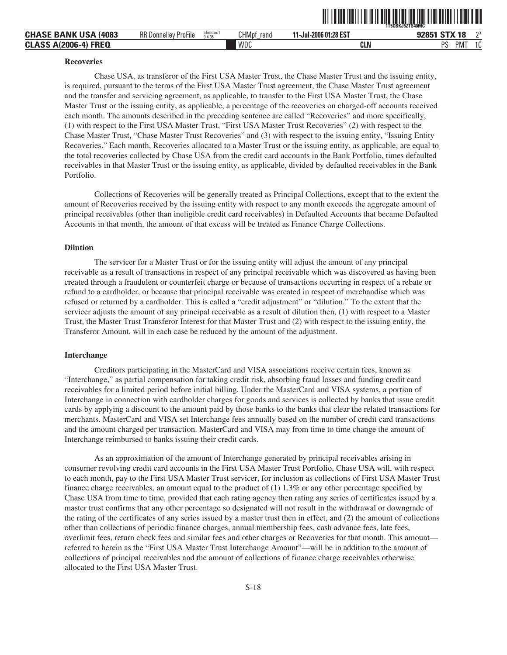|                                |                             |                   |                      |                       | 1T5CBKJ5ZTS40MC  |                       |
|--------------------------------|-----------------------------|-------------------|----------------------|-----------------------|------------------|-----------------------|
| <b>CHASE BANK USA</b><br>(4083 | <b>RR Donnelley ProFile</b> | chmdoc1<br>9.4.35 | <b>CHMpf</b><br>rend | 11-Jul-2006 01:28 EST | 92851 STX 18     | ግ*                    |
| <b>CLASS A(2006-4) FREQ</b>    |                             |                   | WDC                  | <b>CLN</b>            | PS<br><b>PMT</b> | 10 <sup>1</sup><br>ΙU |

#### **Recoveries**

Chase USA, as transferor of the First USA Master Trust, the Chase Master Trust and the issuing entity, is required, pursuant to the terms of the First USA Master Trust agreement, the Chase Master Trust agreement and the transfer and servicing agreement, as applicable, to transfer to the First USA Master Trust, the Chase Master Trust or the issuing entity, as applicable, a percentage of the recoveries on charged-off accounts received each month. The amounts described in the preceding sentence are called "Recoveries" and more specifically, (1) with respect to the First USA Master Trust, "First USA Master Trust Recoveries" (2) with respect to the Chase Master Trust, "Chase Master Trust Recoveries" and (3) with respect to the issuing entity, "Issuing Entity Recoveries." Each month, Recoveries allocated to a Master Trust or the issuing entity, as applicable, are equal to the total recoveries collected by Chase USA from the credit card accounts in the Bank Portfolio, times defaulted receivables in that Master Trust or the issuing entity, as applicable, divided by defaulted receivables in the Bank Portfolio.

Collections of Recoveries will be generally treated as Principal Collections, except that to the extent the amount of Recoveries received by the issuing entity with respect to any month exceeds the aggregate amount of principal receivables (other than ineligible credit card receivables) in Defaulted Accounts that became Defaulted Accounts in that month, the amount of that excess will be treated as Finance Charge Collections.

#### **Dilution**

The servicer for a Master Trust or for the issuing entity will adjust the amount of any principal receivable as a result of transactions in respect of any principal receivable which was discovered as having been created through a fraudulent or counterfeit charge or because of transactions occurring in respect of a rebate or refund to a cardholder, or because that principal receivable was created in respect of merchandise which was refused or returned by a cardholder. This is called a "credit adjustment" or "dilution." To the extent that the servicer adjusts the amount of any principal receivable as a result of dilution then, (1) with respect to a Master Trust, the Master Trust Transferor Interest for that Master Trust and (2) with respect to the issuing entity, the Transferor Amount, will in each case be reduced by the amount of the adjustment.

#### **Interchange**

Creditors participating in the MasterCard and VISA associations receive certain fees, known as "Interchange," as partial compensation for taking credit risk, absorbing fraud losses and funding credit card receivables for a limited period before initial billing. Under the MasterCard and VISA systems, a portion of Interchange in connection with cardholder charges for goods and services is collected by banks that issue credit cards by applying a discount to the amount paid by those banks to the banks that clear the related transactions for merchants. MasterCard and VISA set Interchange fees annually based on the number of credit card transactions and the amount charged per transaction. MasterCard and VISA may from time to time change the amount of Interchange reimbursed to banks issuing their credit cards.

As an approximation of the amount of Interchange generated by principal receivables arising in consumer revolving credit card accounts in the First USA Master Trust Portfolio, Chase USA will, with respect to each month, pay to the First USA Master Trust servicer, for inclusion as collections of First USA Master Trust finance charge receivables, an amount equal to the product of (1) 1.3% or any other percentage specified by Chase USA from time to time, provided that each rating agency then rating any series of certificates issued by a master trust confirms that any other percentage so designated will not result in the withdrawal or downgrade of the rating of the certificates of any series issued by a master trust then in effect, and (2) the amount of collections other than collections of periodic finance charges, annual membership fees, cash advance fees, late fees, overlimit fees, return check fees and similar fees and other charges or Recoveries for that month. This amount referred to herein as the "First USA Master Trust Interchange Amount"—will be in addition to the amount of collections of principal receivables and the amount of collections of finance charge receivables otherwise allocated to the First USA Master Trust.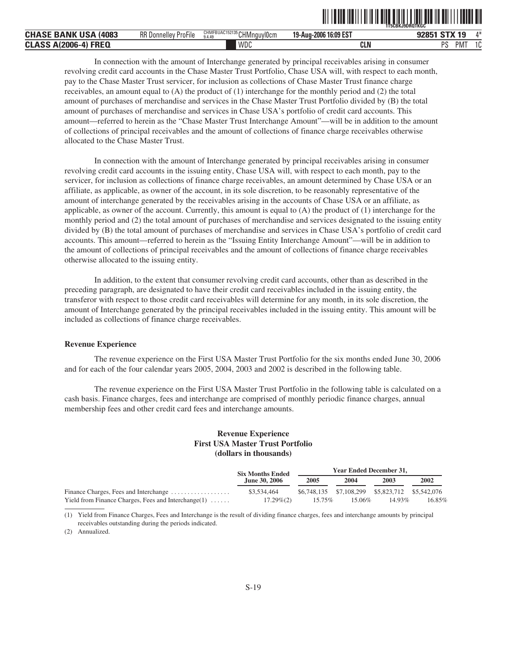|                                            |                             |                                                  |                       | `1T5CBKJ9DROTKGC` |              |
|--------------------------------------------|-----------------------------|--------------------------------------------------|-----------------------|-------------------|--------------|
| CHASE<br><b>BANK USA</b><br>(4083          | <b>RR Donnelley ProFile</b> | CHMFBUAC152135 CHMnquyl0cm<br>9.4.4 <sup>c</sup> | 19-Aug-2006 16:09 EST |                   | $A*$         |
| $A(2006-4)$<br><b>FREQ</b><br><b>CLASS</b> |                             | WDC                                              | <b>CLN</b>            | DC<br>PMT         | $\sim$<br>ιu |

ˆ1T5CBKJ9DRQTKGC7Š **1T5CBKJ9DRQTKGC**

In connection with the amount of Interchange generated by principal receivables arising in consumer revolving credit card accounts in the Chase Master Trust Portfolio, Chase USA will, with respect to each month, pay to the Chase Master Trust servicer, for inclusion as collections of Chase Master Trust finance charge receivables, an amount equal to  $(A)$  the product of  $(1)$  interchange for the monthly period and  $(2)$  the total amount of purchases of merchandise and services in the Chase Master Trust Portfolio divided by (B) the total amount of purchases of merchandise and services in Chase USA's portfolio of credit card accounts. This amount—referred to herein as the "Chase Master Trust Interchange Amount"—will be in addition to the amount of collections of principal receivables and the amount of collections of finance charge receivables otherwise allocated to the Chase Master Trust.

In connection with the amount of Interchange generated by principal receivables arising in consumer revolving credit card accounts in the issuing entity, Chase USA will, with respect to each month, pay to the servicer, for inclusion as collections of finance charge receivables, an amount determined by Chase USA or an affiliate, as applicable, as owner of the account, in its sole discretion, to be reasonably representative of the amount of interchange generated by the receivables arising in the accounts of Chase USA or an affiliate, as applicable, as owner of the account. Currently, this amount is equal to (A) the product of (1) interchange for the monthly period and (2) the total amount of purchases of merchandise and services designated to the issuing entity divided by (B) the total amount of purchases of merchandise and services in Chase USA's portfolio of credit card accounts. This amount—referred to herein as the "Issuing Entity Interchange Amount"—will be in addition to the amount of collections of principal receivables and the amount of collections of finance charge receivables otherwise allocated to the issuing entity.

In addition, to the extent that consumer revolving credit card accounts, other than as described in the preceding paragraph, are designated to have their credit card receivables included in the issuing entity, the transferor with respect to those credit card receivables will determine for any month, in its sole discretion, the amount of Interchange generated by the principal receivables included in the issuing entity. This amount will be included as collections of finance charge receivables.

#### **Revenue Experience**

The revenue experience on the First USA Master Trust Portfolio for the six months ended June 30, 2006 and for each of the four calendar years 2005, 2004, 2003 and 2002 is described in the following table.

The revenue experience on the First USA Master Trust Portfolio in the following table is calculated on a cash basis. Finance charges, fees and interchange are comprised of monthly periodic finance charges, annual membership fees and other credit card fees and interchange amounts.

#### **Revenue Experience First USA Master Trust Portfolio (dollars in thousands)**

|                                                        | <b>Six Months Ended</b> |        | Year Ended December 31, |                                                 |        |
|--------------------------------------------------------|-------------------------|--------|-------------------------|-------------------------------------------------|--------|
|                                                        | <b>June 30, 2006</b>    | 2004   | 2003                    | 2002                                            |        |
| Finance Charges, Fees and Interchange                  | \$3,534,464             |        |                         | \$6,748,135 \$7,108,299 \$5,823,712 \$5,542,076 |        |
| Yield from Finance Charges, Fees and Interchange $(1)$ | $17.29\%(2)$            | 15.75% | 15.06%                  | $14.93\%$                                       | 16.85% |

(1) Yield from Finance Charges, Fees and Interchange is the result of dividing finance charges, fees and interchange amounts by principal receivables outstanding during the periods indicated.

(2) Annualized.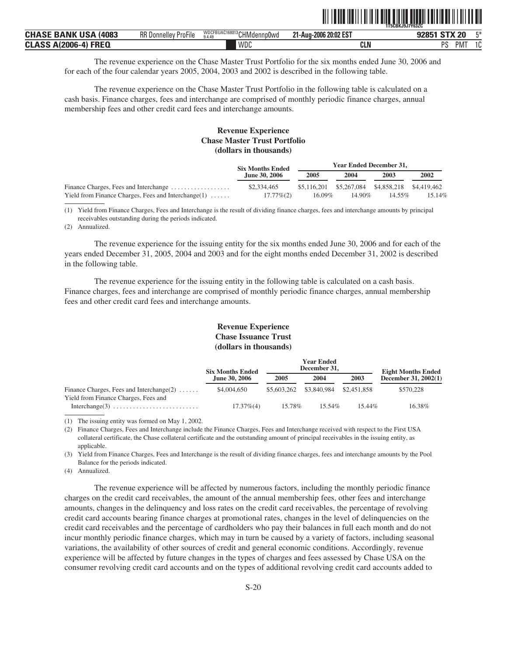|                              |                             |                                      |                       | <b>1T5CBKJ9J7Y63ZC</b>              |
|------------------------------|-----------------------------|--------------------------------------|-----------------------|-------------------------------------|
| <b>CHASE BANK USA (4083)</b> | <b>RR Donnelley ProFile</b> | WDCFBUAC168013 CHMdennp0wd<br>9.4.49 | 21-Aug-2006 20:02 EST | <b>FX</b><br><b>STX 20</b><br>92851 |
| <b>CLASS A(2006-4) FREQ</b>  |                             | WDC                                  | CLN                   | PS<br>$\sim$<br><b>PM</b><br>v      |

ˆ1T5CBKJ9J7Y63ZC\$Š **1T5CBKJ9J7Y63ZC**

The revenue experience on the Chase Master Trust Portfolio for the six months ended June 30, 2006 and for each of the four calendar years 2005, 2004, 2003 and 2002 is described in the following table.

The revenue experience on the Chase Master Trust Portfolio in the following table is calculated on a cash basis. Finance charges, fees and interchange are comprised of monthly periodic finance charges, annual membership fees and other credit card fees and interchange amounts.

#### **Revenue Experience Chase Master Trust Portfolio (dollars in thousands)**

|                                                        | <b>Six Months Ended</b> |                                                 | <b>Year Ended December 31.</b> |        |        |
|--------------------------------------------------------|-------------------------|-------------------------------------------------|--------------------------------|--------|--------|
|                                                        | <b>June 30, 2006</b>    | 2005                                            | 2004                           | 2003   | 2002   |
| Finance Charges, Fees and Interchange                  | \$2,334,465             | \$5,116,201 \$5,267,084 \$4,858,218 \$4,419,462 |                                |        |        |
| Yield from Finance Charges, Fees and Interchange $(1)$ | $17.77\%(2)$            | $16.09\%$                                       | 14.90%                         | 14.55% | 15.14% |

(1) Yield from Finance Charges, Fees and Interchange is the result of dividing finance charges, fees and interchange amounts by principal receivables outstanding during the periods indicated.

(2) Annualized.

The revenue experience for the issuing entity for the six months ended June 30, 2006 and for each of the years ended December 31, 2005, 2004 and 2003 and for the eight months ended December 31, 2002 is described in the following table.

The revenue experience for the issuing entity in the following table is calculated on a cash basis. Finance charges, fees and interchange are comprised of monthly periodic finance charges, annual membership fees and other credit card fees and interchange amounts.

#### **Revenue Experience Chase Issuance Trust (dollars in thousands)**

|                                                                                     | <b>Six Months Ended</b> |                         | <b>Year Ended</b><br>December 31, |             | <b>Eight Months Ended</b><br>December 31, 2002(1) |  |
|-------------------------------------------------------------------------------------|-------------------------|-------------------------|-----------------------------------|-------------|---------------------------------------------------|--|
|                                                                                     | <b>June 30, 2006</b>    | 2005                    | 2004                              | 2003        |                                                   |  |
| Finance Charges, Fees and Interchange $(2)$<br>Yield from Finance Charges, Fees and | \$4,004,650             | \$5,603,262 \$3,840,984 |                                   | \$2,451,858 | \$570.228                                         |  |
|                                                                                     | $17.37\%$ (4)           | 15.78%                  | $15.54\%$                         | 15.44%      | 16.38%                                            |  |

(1) The issuing entity was formed on May 1, 2002.

(2) Finance Charges, Fees and Interchange include the Finance Charges, Fees and Interchange received with respect to the First USA collateral certificate, the Chase collateral certificate and the outstanding amount of principal receivables in the issuing entity, as applicable.

(3) Yield from Finance Charges, Fees and Interchange is the result of dividing finance charges, fees and interchange amounts by the Pool Balance for the periods indicated.

(4) Annualized.

The revenue experience will be affected by numerous factors, including the monthly periodic finance charges on the credit card receivables, the amount of the annual membership fees, other fees and interchange amounts, changes in the delinquency and loss rates on the credit card receivables, the percentage of revolving credit card accounts bearing finance charges at promotional rates, changes in the level of delinquencies on the credit card receivables and the percentage of cardholders who pay their balances in full each month and do not incur monthly periodic finance charges, which may in turn be caused by a variety of factors, including seasonal variations, the availability of other sources of credit and general economic conditions. Accordingly, revenue experience will be affected by future changes in the types of charges and fees assessed by Chase USA on the consumer revolving credit card accounts and on the types of additional revolving credit card accounts added to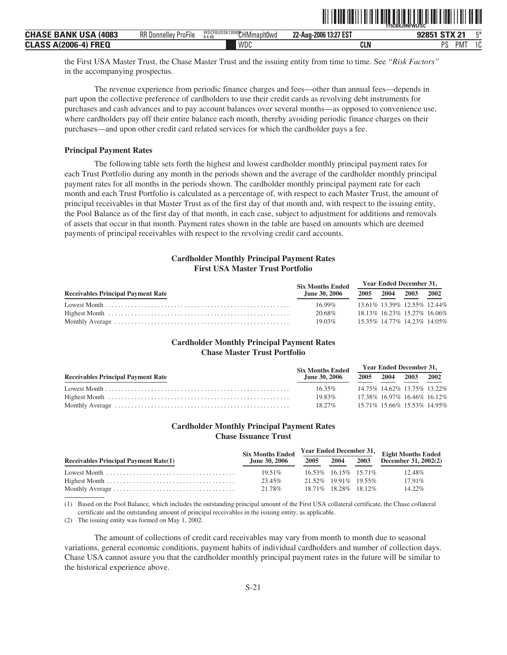|                                |                             |                                      |                       | <b>1T5CBKJ9NFWLFSC</b> |
|--------------------------------|-----------------------------|--------------------------------------|-----------------------|------------------------|
| <b>CHASE BANK USA</b><br>(4083 | <b>RR Donnelley ProFile</b> | WDCFBUDSK13550 CHMmapIt0wd<br>9.4.49 | 22-Aug-2006 13:27 EST | 92851 STX 21<br>F*     |
| <b>CLASS A(2006-4) FREQ</b>    |                             | WDC                                  | CLN                   | nс<br><b>PM</b><br>טו  |

ˆ1T5CBKJ9NFWLFSCbŠ **1T5CBKJ9NFWLFSC**

the First USA Master Trust, the Chase Master Trust and the issuing entity from time to time. See *"Risk Factors"* in the accompanying prospectus.

The revenue experience from periodic finance charges and fees—other than annual fees—depends in part upon the collective preference of cardholders to use their credit cards as revolving debt instruments for purchases and cash advances and to pay account balances over several months—as opposed to convenience use, where cardholders pay off their entire balance each month, thereby avoiding periodic finance charges on their purchases—and upon other credit card related services for which the cardholder pays a fee.

#### **Principal Payment Rates**

The following table sets forth the highest and lowest cardholder monthly principal payment rates for each Trust Portfolio during any month in the periods shown and the average of the cardholder monthly principal payment rates for all months in the periods shown. The cardholder monthly principal payment rate for each month and each Trust Portfolio is calculated as a percentage of, with respect to each Master Trust, the amount of principal receivables in that Master Trust as of the first day of that month and, with respect to the issuing entity, the Pool Balance as of the first day of that month, in each case, subject to adjustment for additions and removals of assets that occur in that month. Payment rates shown in the table are based on amounts which are deemed payments of principal receivables with respect to the revolving credit card accounts.

#### **Cardholder Monthly Principal Payment Rates First USA Master Trust Portfolio**

|                                           | <b>Six Months Ended</b> | <b>Year Ended December 31,</b> |                |  |      |
|-------------------------------------------|-------------------------|--------------------------------|----------------|--|------|
| <b>Receivables Principal Payment Rate</b> | <b>June 30, 2006</b>    |                                | 2005 2004 2003 |  | 2002 |
|                                           | $16.99\%$               | 13.61% 13.39% 12.55% 12.44%    |                |  |      |
|                                           | 20.68%                  | 18.13% 16.23% 15.27% 16.06%    |                |  |      |
|                                           | $19.03\%$               | 15.35% 14.77% 14.23% 14.05%    |                |  |      |

#### **Cardholder Monthly Principal Payment Rates Chase Master Trust Portfolio**

|                                           | <b>Six Months Ended</b> | Year Ended December 31,     |  |                     |  |
|-------------------------------------------|-------------------------|-----------------------------|--|---------------------|--|
| <b>Receivables Principal Payment Rate</b> | June 30, 2006           |                             |  | 2005 2004 2003 2002 |  |
|                                           | $16.35\%$               | 14.75% 14.62% 13.75% 13.22% |  |                     |  |
|                                           | 19.83%                  | 17.38% 16.97% 16.46% 16.12% |  |                     |  |
|                                           | $18.27\%$               | 15.71% 15.66% 15.53% 14.95% |  |                     |  |

#### **Cardholder Monthly Principal Payment Rates Chase Issuance Trust**

|                                                                                       | <b>Six Months Ended</b> |      |                         |      | $\frac{1}{4}$ Year Ended December 31, Eight Months Ended |  |
|---------------------------------------------------------------------------------------|-------------------------|------|-------------------------|------|----------------------------------------------------------|--|
| <b>Receivables Principal Payment Rate(1)</b>                                          | <b>June 30, 2006</b>    | 2005 | 2004                    | 2003 | December 31, 2002(2)                                     |  |
| Lowest Month $\ldots, \ldots, \ldots, \ldots, \ldots, \ldots, \ldots, \ldots, \ldots$ | $19.51\%$               |      | 16.53\% 16.15\% 15.71\% |      | 12.48%                                                   |  |
|                                                                                       | 23.45%                  |      | 21.52\% 19.91\% 19.55\% |      | $17.91\%$                                                |  |
|                                                                                       | 21.78%                  |      | 18.71\% 18.28\% 18.12\% |      | 14.22%                                                   |  |

(1) Based on the Pool Balance, which includes the outstanding principal amount of the First USA collateral certificate, the Chase collateral certificate and the outstanding amount of principal receivables in the issuing entity, as applicable.

(2) The issuing entity was formed on May 1, 2002.

The amount of collections of credit card receivables may vary from month to month due to seasonal variations, general economic conditions, payment habits of individual cardholders and number of collection days. Chase USA cannot assure you that the cardholder monthly principal payment rates in the future will be similar to the historical experience above.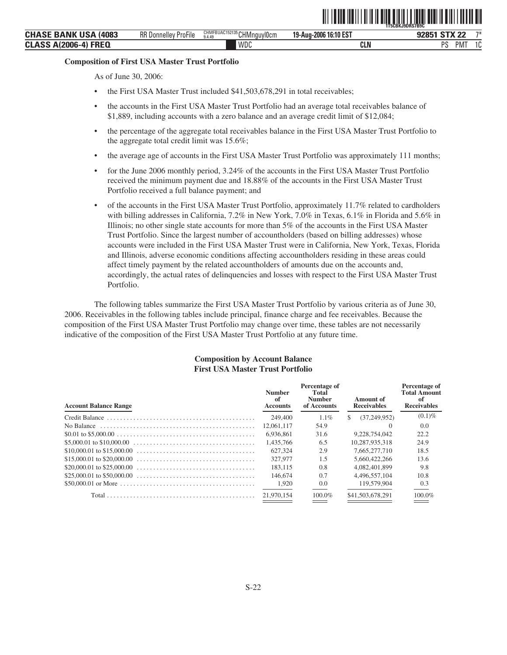ˆ1T5CBKJ9DRS7B9C"Š **1T5CBKJ9DRS7B9C**

#### **Composition of First USA Master Trust Portfolio**

As of June 30, 2006:

- the First USA Master Trust included \$41,503,678,291 in total receivables;
- the accounts in the First USA Master Trust Portfolio had an average total receivables balance of \$1,889, including accounts with a zero balance and an average credit limit of \$12,084;
- the percentage of the aggregate total receivables balance in the First USA Master Trust Portfolio to the aggregate total credit limit was 15.6%;
- the average age of accounts in the First USA Master Trust Portfolio was approximately 111 months;
- for the June 2006 monthly period, 3.24% of the accounts in the First USA Master Trust Portfolio received the minimum payment due and 18.88% of the accounts in the First USA Master Trust Portfolio received a full balance payment; and
- of the accounts in the First USA Master Trust Portfolio, approximately 11.7% related to cardholders with billing addresses in California, 7.2% in New York, 7.0% in Texas, 6.1% in Florida and 5.6% in Illinois; no other single state accounts for more than 5% of the accounts in the First USA Master Trust Portfolio. Since the largest number of accountholders (based on billing addresses) whose accounts were included in the First USA Master Trust were in California, New York, Texas, Florida and Illinois, adverse economic conditions affecting accountholders residing in these areas could affect timely payment by the related accountholders of amounts due on the accounts and, accordingly, the actual rates of delinquencies and losses with respect to the First USA Master Trust Portfolio.

The following tables summarize the First USA Master Trust Portfolio by various criteria as of June 30, 2006. Receivables in the following tables include principal, finance charge and fee receivables. Because the composition of the First USA Master Trust Portfolio may change over time, these tables are not necessarily indicative of the composition of the First USA Master Trust Portfolio at any future time.

#### **Composition by Account Balance First USA Master Trust Portfolio**

| <b>Account Balance Range</b> | <b>Number</b><br>of<br><b>Accounts</b> | Percentage of<br>Total<br><b>Number</b><br>of Accounts | Amount of<br><b>Receivables</b> | Percentage of<br><b>Total Amount</b><br>-of<br><b>Receivables</b> |
|------------------------------|----------------------------------------|--------------------------------------------------------|---------------------------------|-------------------------------------------------------------------|
|                              | 249,400                                | $1.1\%$                                                | (37, 249, 952)<br>\$.           | $(0.1)\%$                                                         |
|                              | 12,061,117                             | 54.9                                                   | $\left( \right)$                | 0.0                                                               |
|                              | 6.936.861                              | 31.6                                                   | 9.228.754.042                   | 22.2                                                              |
|                              | 1.435.766                              | 6.5                                                    | 10.287.935.318                  | 24.9                                                              |
|                              | 627,324                                | 2.9                                                    | 7.665.277.710                   | 18.5                                                              |
|                              | 327,977                                | 1.5                                                    | 5.660,422,266                   | 13.6                                                              |
|                              | 183.115                                | 0.8                                                    | 4.082.401.899                   | 9.8                                                               |
|                              | 146,674                                | 0.7                                                    | 4.496.557.104                   | 10.8                                                              |
|                              | 1,920                                  | 0.0                                                    | 119,579,904                     | 0.3                                                               |
|                              | 21,970,154                             | 100.0%                                                 | \$41,503,678,291                | 100.0%                                                            |
|                              |                                        |                                                        |                                 |                                                                   |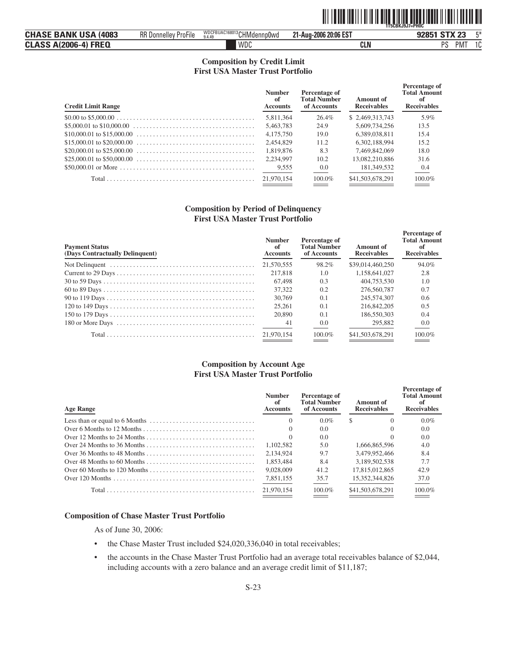|--|

| <b>CHASE BANK USA</b>       | RR D                | WDCFBUAC168013 CHMdennp0wd | 21-Aug-2006 20:06 EST | 工米                          |
|-----------------------------|---------------------|----------------------------|-----------------------|-----------------------------|
| (4083                       | l Donnellev ProFile | 9.4.49                     |                       | 92851 STX 23                |
| <b>CLASS A(2006-4) FREQ</b> |                     | WDC                        | CLN                   | nc<br>10<br>PM <sup>-</sup> |

### **Composition by Credit Limit First USA Master Trust Portfolio**

| <b>Credit Limit Range</b> | <b>Number</b><br>of<br><b>Accounts</b> | Percentage of<br><b>Total Number</b><br>of Accounts | Amount of<br><b>Receivables</b> | Percentage of<br><b>Total Amount</b><br>-of<br><b>Receivables</b> |
|---------------------------|----------------------------------------|-----------------------------------------------------|---------------------------------|-------------------------------------------------------------------|
|                           | 5.811.364                              | 26.4%                                               | \$2.469,313,743                 | 5.9%                                                              |
|                           | 5.463.783                              | 24.9                                                | 5,609,734,256                   | 13.5                                                              |
|                           | 4,175,750                              | 19.0                                                | 6.389.038.811                   | 15.4                                                              |
|                           | 2.454.829                              | 11.2                                                | 6.302.188.994                   | 15.2                                                              |
|                           | 1.819.876                              | 8.3                                                 | 7.469.842.069                   | 18.0                                                              |
|                           | 2.234.997                              | 10.2                                                | 13.082.210.886                  | 31.6                                                              |
|                           | 9,555                                  | 0.0                                                 | 181,349,532                     | 0.4                                                               |
|                           | 21,970,154                             | $100.0\%$                                           | \$41,503,678,291                | 100.0%                                                            |

#### **Composition by Period of Delinquency First USA Master Trust Portfolio**

| <b>Payment Status</b><br>(Days Contractually Delinquent) | <b>Number</b><br>of<br><b>Accounts</b> | Percentage of<br><b>Total Number</b><br>of Accounts | Amount of<br><b>Receivables</b> | Percentage of<br><b>Total Amount</b><br>оf<br><b>Receivables</b> |
|----------------------------------------------------------|----------------------------------------|-----------------------------------------------------|---------------------------------|------------------------------------------------------------------|
|                                                          | 21,570,555                             | 98.2%                                               | \$39,014,460,250                | 94.0%                                                            |
|                                                          | 217,818                                | 1.0                                                 | 1.158.641.027                   | 2.8                                                              |
|                                                          | 67,498                                 | 0.3                                                 | 404,753,530                     | 1.0                                                              |
|                                                          | 37.322                                 | 0.2                                                 | 276,560,787                     | 0.7                                                              |
|                                                          | 30,769                                 | 0.1                                                 | 245,574,307                     | 0.6                                                              |
|                                                          | 25,261                                 | 0.1                                                 | 216,842,205                     | 0.5                                                              |
|                                                          | 20,890                                 | 0.1                                                 | 186,550,303                     | 0.4                                                              |
|                                                          | 41                                     | $0.0^{\circ}$                                       | 295,882                         | 0.0                                                              |
|                                                          | 21.970.154                             | 100.0%                                              | \$41,503,678,291                | 100.0%                                                           |

#### **Composition by Account Age First USA Master Trust Portfolio**

| <b>Age Range</b>                                                                             | <b>Number</b><br>of<br><b>Accounts</b> | Percentage of<br><b>Total Number</b><br>of Accounts | Amount of<br><b>Receivables</b> | Percentage of<br><b>Total Amount</b><br><b>Receivables</b> |
|----------------------------------------------------------------------------------------------|----------------------------------------|-----------------------------------------------------|---------------------------------|------------------------------------------------------------|
| Less than or equal to 6 Months $\dots \dots \dots \dots \dots \dots \dots \dots \dots \dots$ |                                        | $0.0\%$                                             | \$.                             | $0.0\%$                                                    |
|                                                                                              |                                        | 0.0                                                 |                                 | $0.0^{\circ}$                                              |
|                                                                                              |                                        | 0.0                                                 |                                 | 0.0                                                        |
|                                                                                              | 1.102.582                              | 5.0                                                 | 1.666.865.596                   | 4.0                                                        |
|                                                                                              | 2.134.924                              | 9.7                                                 | 3,479,952,466                   | 8.4                                                        |
|                                                                                              | 1.853.484                              | 8.4                                                 | 3.189.502.538                   | 7.7                                                        |
|                                                                                              | 9,028,009                              | 41.2                                                | 17.815.012.865                  | 42.9                                                       |
|                                                                                              | 7,851,155                              | 35.7                                                | 15.352.344.826                  | 37.0                                                       |
|                                                                                              | 21,970,154                             | $100.0\%$                                           | \$41,503,678,291                | 100.0%                                                     |

#### **Composition of Chase Master Trust Portfolio**

As of June 30, 2006:

- the Chase Master Trust included \$24,020,336,040 in total receivables;
- the accounts in the Chase Master Trust Portfolio had an average total receivables balance of \$2,044, including accounts with a zero balance and an average credit limit of \$11,187;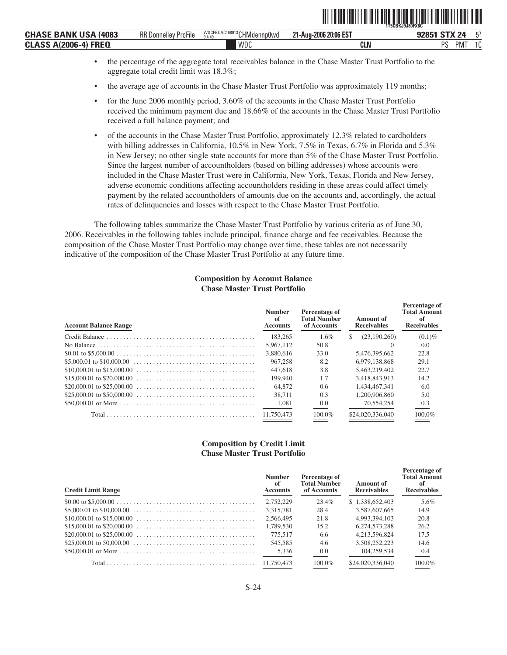|                                               |                                        |                                      | ---------------------- | <b>1T5CBKJ9J80FX8C</b>        |        |
|-----------------------------------------------|----------------------------------------|--------------------------------------|------------------------|-------------------------------|--------|
| <b>BANK USA</b><br>(4083<br>CHASE             | $-1$<br><b>RR</b> Donnelley<br>ProFile | WDCFBUAC168013 CHMdennp0wd<br>9.4.49 | 21-Aug-2006 20:06 EST  | <b>STX 24</b><br><b>020E1</b> | F*     |
| <b>FREQ</b><br><b>CLASS</b><br>2006-4)<br>AIZ |                                        | <b>WDC</b>                           | CLN                    | DС<br>PM.<br>د،               | $\sim$ |

• the percentage of the aggregate total receivables balance in the Chase Master Trust Portfolio to the aggregate total credit limit was 18.3%;

**↑1T5CBKI9J80FX8CBKJ9J8UFX8CBKJ9J8UFX8CBKJ9J8UFX8CBKJ9J8UFX8CBKJ** 

- the average age of accounts in the Chase Master Trust Portfolio was approximately 119 months;
- for the June 2006 monthly period, 3.60% of the accounts in the Chase Master Trust Portfolio received the minimum payment due and 18.66% of the accounts in the Chase Master Trust Portfolio received a full balance payment; and
- of the accounts in the Chase Master Trust Portfolio, approximately 12.3% related to cardholders with billing addresses in California, 10.5% in New York, 7.5% in Texas, 6.7% in Florida and 5.3% in New Jersey; no other single state accounts for more than 5% of the Chase Master Trust Portfolio. Since the largest number of accountholders (based on billing addresses) whose accounts were included in the Chase Master Trust were in California, New York, Texas, Florida and New Jersey, adverse economic conditions affecting accountholders residing in these areas could affect timely payment by the related accountholders of amounts due on the accounts and, accordingly, the actual rates of delinquencies and losses with respect to the Chase Master Trust Portfolio.

The following tables summarize the Chase Master Trust Portfolio by various criteria as of June 30, 2006. Receivables in the following tables include principal, finance charge and fee receivables. Because the composition of the Chase Master Trust Portfolio may change over time, these tables are not necessarily indicative of the composition of the Chase Master Trust Portfolio at any future time.

#### **Composition by Account Balance Chase Master Trust Portfolio**

| <b>Account Balance Range</b>                                                                            | <b>Number</b><br>of<br><b>Accounts</b> | Percentage of<br><b>Total Number</b><br>of Accounts | Amount of<br><b>Receivables</b> | Percentage of<br><b>Total Amount</b><br>оf<br><b>Receivables</b> |
|---------------------------------------------------------------------------------------------------------|----------------------------------------|-----------------------------------------------------|---------------------------------|------------------------------------------------------------------|
|                                                                                                         | 183,265                                | $1.6\%$                                             | (23,190,260)<br>S.              | $(0.1)\%$                                                        |
| No Balance $\ldots \ldots \ldots \ldots \ldots \ldots \ldots \ldots \ldots \ldots \ldots \ldots \ldots$ | 5.967.112                              | 50.8                                                |                                 | 0.0                                                              |
|                                                                                                         | 3.880.616                              | 33.0                                                | 5.476.395.662                   | 22.8                                                             |
|                                                                                                         | 967,258                                | 8.2                                                 | 6.979.138.868                   | 29.1                                                             |
|                                                                                                         | 447,618                                | 3.8                                                 | 5.463.219.402                   | 22.7                                                             |
|                                                                                                         | 199,940                                | 1.7                                                 | 3.418.843.913                   | 14.2                                                             |
|                                                                                                         | 64,872                                 | 0.6                                                 | 1.434.467.341                   | 6.0                                                              |
|                                                                                                         | 38.711                                 | 0.3                                                 | 1.200.906.860                   | 5.0                                                              |
|                                                                                                         | 1,081                                  | 0.0                                                 | 70.554.254                      | 0.3                                                              |
|                                                                                                         | 11.750.473                             | 100.0%                                              | \$24,020,336,040                | 100.0%                                                           |
|                                                                                                         |                                        |                                                     |                                 |                                                                  |

#### **Composition by Credit Limit Chase Master Trust Portfolio**

| <b>Credit Limit Range</b> | <b>Number</b><br>of<br><b>Accounts</b> | Percentage of<br><b>Total Number</b><br>of Accounts | Amount of<br><b>Receivables</b> | Percentage of<br><b>Total Amount</b><br>-of<br><b>Receivables</b> |
|---------------------------|----------------------------------------|-----------------------------------------------------|---------------------------------|-------------------------------------------------------------------|
|                           | 2.752.229                              | 23.4%                                               | \$1.338,652,403                 | 5.6%                                                              |
|                           | 3.315.781                              | 28.4                                                | 3.587.607.665                   | 14.9                                                              |
|                           | 2.566,495                              | 21.8                                                | 4.993.394.103                   | 20.8                                                              |
|                           | 1.789.530                              | 15.2                                                | 6.274.573.288                   | 26.2                                                              |
|                           | 775.517                                | 6.6                                                 | 4.213.596.824                   | 17.5                                                              |
|                           | 545.585                                | 4.6                                                 | 3.508.252.223                   | 14.6                                                              |
|                           | 5,336                                  | 0.0                                                 | 104,259,534                     | 0.4                                                               |
|                           |                                        | $100.0\%$                                           | \$24,020,336,040                | 100.0%                                                            |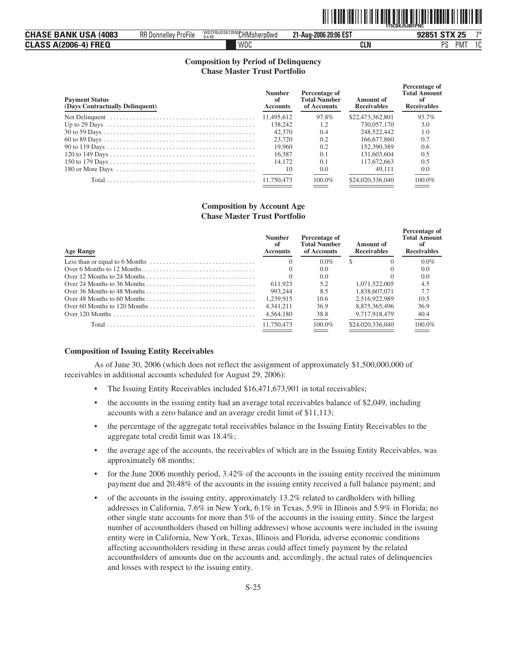|--|

| <b>CHASE BANK USA (4083)</b> | <b>RR Donnelley ProFile</b> | WDCFBUDSK13550CHMsherp0wd | 21-Aug-2006 20:06 EST | 92851 STX 25                 | $7*$ |
|------------------------------|-----------------------------|---------------------------|-----------------------|------------------------------|------|
| <b>CLASS A(2006-4) FREQ</b>  |                             | WDC                       | <b>CLN</b>            | <b>DC</b><br>PM <sub>1</sub> | 10   |

#### **Composition by Period of Delinquency Chase Master Trust Portfolio**

| <b>Payment Status</b><br>(Days Contractually Delinquent) | <b>Number</b><br>of<br><b>Accounts</b> | Percentage of<br><b>Total Number</b><br>of Accounts | Amount of<br><b>Receivables</b> | Percentage of<br><b>Total Amount</b><br>-nf<br><b>Receivables</b> |
|----------------------------------------------------------|----------------------------------------|-----------------------------------------------------|---------------------------------|-------------------------------------------------------------------|
|                                                          | 11.495.612                             | 97.8%                                               | \$22,473,362,801                | 93.7%                                                             |
|                                                          | 138,242                                | 1.2                                                 | 730,057,170                     | 3.0                                                               |
|                                                          | 42,370                                 | 0.4                                                 | 248,522,442                     | 1.0                                                               |
|                                                          | 23.720                                 | 0.2                                                 | 166,677,860                     | 0.7                                                               |
|                                                          | 19.960                                 | 0.2                                                 | 152,390,389                     | 0.6                                                               |
|                                                          | 16.387                                 | 0.1                                                 | 131,603,604                     | 0.5                                                               |
|                                                          | 14.172                                 | 0.1                                                 | 117,672,663                     | 0.5                                                               |
|                                                          | 10                                     | 0.0                                                 | 49.111                          | 0.0                                                               |
|                                                          | 11.750.473                             | $100.0\%$                                           | \$24,020,336,040                | 100.0%                                                            |

#### **Composition by Account Age Chase Master Trust Portfolio**

| <b>Age Range</b>                                                                             | <b>Number</b><br>of<br><b>Accounts</b> | Percentage of<br><b>Total Number</b><br>of Accounts | Amount of<br><b>Receivables</b> | Percentage of<br><b>Total Amount</b><br><b>Receivables</b> |
|----------------------------------------------------------------------------------------------|----------------------------------------|-----------------------------------------------------|---------------------------------|------------------------------------------------------------|
| Less than or equal to 6 Months $\dots \dots \dots \dots \dots \dots \dots \dots \dots \dots$ |                                        | $0.0\%$                                             | \$.                             | $0.0\%$                                                    |
|                                                                                              |                                        | 0.0                                                 |                                 | 0.0                                                        |
|                                                                                              |                                        | 0.0                                                 |                                 | 0.0                                                        |
|                                                                                              | 611.923                                | 5.2                                                 | 1.071.522.005                   | 4.5                                                        |
|                                                                                              | 993.244                                | 8.5                                                 | 1.838.607.071                   | 7.7                                                        |
|                                                                                              | 1.239.915                              | 10.6                                                | 2.516.922.989                   | 10.5                                                       |
|                                                                                              | 4.341.211                              | 36.9                                                | 8.875.365.496                   | 36.9                                                       |
|                                                                                              | 4,564,180                              | 38.8                                                | 9.717.918.479                   | 40.4                                                       |
|                                                                                              | 11.750,473                             | $100.0\%$                                           | \$24,020,336,040                | $100.0\%$                                                  |
|                                                                                              |                                        |                                                     |                                 |                                                            |

#### **Composition of Issuing Entity Receivables**

As of June 30, 2006 (which does not reflect the assignment of approximately \$1,500,000,000 of receivables in additional accounts scheduled for August 29, 2006):

- The Issuing Entity Receivables included \$16,471,673,901 in total receivables;
- the accounts in the issuing entity had an average total receivables balance of \$2,049, including accounts with a zero balance and an average credit limit of \$11,113;
- the percentage of the aggregate total receivables balance in the Issuing Entity Receivables to the aggregate total credit limit was 18.4%;
- the average age of the accounts, the receivables of which are in the Issuing Entity Receivables, was approximately 68 months;
- for the June 2006 monthly period, 3.42% of the accounts in the issuing entity received the minimum payment due and 20.48% of the accounts in the issuing entity received a full balance payment; and
- of the accounts in the issuing entity, approximately 13.2% related to cardholders with billing addresses in California, 7.6% in New York, 6.1% in Texas, 5.9% in Illinois and 5.9% in Florida; no other single state accounts for more than 5% of the accounts in the issuing entity. Since the largest number of accountholders (based on billing addresses) whose accounts were included in the issuing entity were in California, New York, Texas, Illinois and Florida, adverse economic conditions affecting accountholders residing in these areas could affect timely payment by the related accountholders of amounts due on the accounts and, accordingly, the actual rates of delinquencies and losses with respect to the issuing entity.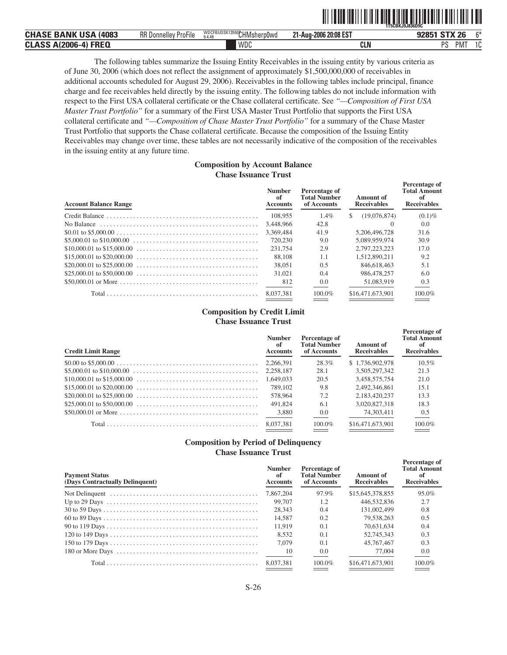|                                            |                                                    |                                     |                                    | 1T5CBKJ9J836D9C                  |              |
|--------------------------------------------|----------------------------------------------------|-------------------------------------|------------------------------------|----------------------------------|--------------|
| <b>CHASE BANK USA</b><br>(4083             | $- \cdot$<br><b>RR</b><br>ProFile<br>. Donnellev i | WDCFBUDSK13550CHMsherp0wd<br>9.4.49 | 21-Aug-2006 20:08 EST<br><b>OA</b> | <b>CTV</b><br>26<br>92851        | C*           |
| <b>FREQ</b><br><b>CLASS A(2006-</b><br>î-4 |                                                    | <b>WDC</b>                          | <b>CLN</b>                         | <sub>D</sub> <sub>C</sub><br>PMT | $\sim$<br>ΙU |

ˆ1T5CBKJ9J836D9ClŠ **1T5CBKJ9J836D9C**

**Percentage of**

The following tables summarize the Issuing Entity Receivables in the issuing entity by various criteria as of June 30, 2006 (which does not reflect the assignment of approximately \$1,500,000,000 of receivables in additional accounts scheduled for August 29, 2006). Receivables in the following tables include principal, finance charge and fee receivables held directly by the issuing entity. The following tables do not include information with respect to the First USA collateral certificate or the Chase collateral certificate. See *"—Composition of First USA Master Trust Portfolio"* for a summary of the First USA Master Trust Portfolio that supports the First USA collateral certificate and *"—Composition of Chase Master Trust Portfolio"* for a summary of the Chase Master Trust Portfolio that supports the Chase collateral certificate. Because the composition of the Issuing Entity Receivables may change over time, these tables are not necessarily indicative of the composition of the receivables in the issuing entity at any future time.

#### **Composition by Account Balance Chase Issuance Trust**

| <b>Account Balance Range</b>                                                                           | <b>Number</b><br>of<br><b>Accounts</b> | Percentage of<br><b>Total Number</b><br>of Accounts | Amount of<br><b>Receivables</b> | Percentage of<br><b>Total Amount</b><br>-nf<br><b>Receivables</b> |
|--------------------------------------------------------------------------------------------------------|----------------------------------------|-----------------------------------------------------|---------------------------------|-------------------------------------------------------------------|
|                                                                                                        | 108,955                                | $1.4\%$                                             | (19,076,874)<br>S.              | $(0.1)\%$                                                         |
| No Balance $\dots \dots \dots \dots \dots \dots \dots \dots \dots \dots \dots \dots \dots \dots \dots$ | 3.448.966                              | 42.8                                                |                                 | 0.0                                                               |
|                                                                                                        | 3.369.484                              | 41.9                                                | 5.206.496.728                   | 31.6                                                              |
|                                                                                                        | 720,230                                | 9.0                                                 | 5.089.959.974                   | 30.9                                                              |
|                                                                                                        | 231.754                                | 2.9                                                 | 2.797.223.223                   | 17.0                                                              |
|                                                                                                        | 88,108                                 | 1.1                                                 | 1.512.890.211                   | 9.2                                                               |
|                                                                                                        | 38,051                                 | 0.5                                                 | 846,618,463                     | 5.1                                                               |
|                                                                                                        | 31,021                                 | 0.4                                                 | 986,478,257                     | 6.0                                                               |
|                                                                                                        | 812                                    | 0.0                                                 | 51,083,919                      | 0.3                                                               |
|                                                                                                        | 8.037.381                              | $100.0\%$                                           | \$16,471,673,901                | 100.0%                                                            |

#### **Composition by Credit Limit Chase Issuance Trust**

| <b>Credit Limit Range</b> | <b>Number</b><br>of<br><b>Accounts</b> | Percentage of<br><b>Total Number</b><br>of Accounts | Amount of<br><b>Receivables</b> | T erechtage of<br><b>Total Amount</b><br>-of<br><b>Receivables</b> |
|---------------------------|----------------------------------------|-----------------------------------------------------|---------------------------------|--------------------------------------------------------------------|
|                           | 2.266.391                              | 28.3%                                               | \$1,736,902,978                 | $10.5\%$                                                           |
|                           | 2.258.187                              | 28.1                                                | 3.505.297.342                   | 21.3                                                               |
|                           | 1.649.033                              | 20.5                                                | 3.458.575.754                   | 21.0                                                               |
|                           | 789,102                                | 9.8                                                 | 2.492.346.861                   | 15.1                                                               |
|                           | 578,964                                | 7.2                                                 | 2.183.420.237                   | 13.3                                                               |
|                           | 491,824                                | 6.1                                                 | 3,020,827,318                   | 18.3                                                               |
|                           | 3,880                                  | 0.0                                                 | 74.303.411                      | 0.5                                                                |
|                           | 8.037.381                              | $100.0\%$                                           | \$16,471,673,901                | 100.0%                                                             |

#### **Composition by Period of Delinquency Chase Issuance Trust**

| <b>Payment Status</b><br>(Days Contractually Delinquent) | <b>Number</b><br>of<br><b>Accounts</b> | Percentage of<br><b>Total Number</b><br>of Accounts | Amount of<br><b>Receivables</b> | Percentage of<br><b>Total Amount</b><br><b>Receivables</b> |
|----------------------------------------------------------|----------------------------------------|-----------------------------------------------------|---------------------------------|------------------------------------------------------------|
|                                                          | 7,867,204                              | 97.9%                                               | \$15,645,378,855                | 95.0%                                                      |
|                                                          | 99,707                                 | 1.2                                                 | 446,532,836                     | 2.7                                                        |
|                                                          | 28.343                                 | 0.4                                                 | 131.002.499                     | 0.8                                                        |
|                                                          | 14.587                                 | 0.2                                                 | 79.538.263                      | 0.5                                                        |
|                                                          | 11.919                                 | 0.1                                                 | 70.631.634                      | 0.4                                                        |
|                                                          | 8.532                                  | 0.1                                                 | 52,745,343                      | 0.3                                                        |
|                                                          | 7.079                                  | 0.1                                                 | 45,767,467                      | 0.3                                                        |
|                                                          | 10                                     | 0.0                                                 | 77,004                          | 0.0                                                        |
|                                                          | 8.037.381                              | 100.0%                                              | \$16,471,673,901                | $100.0\%$                                                  |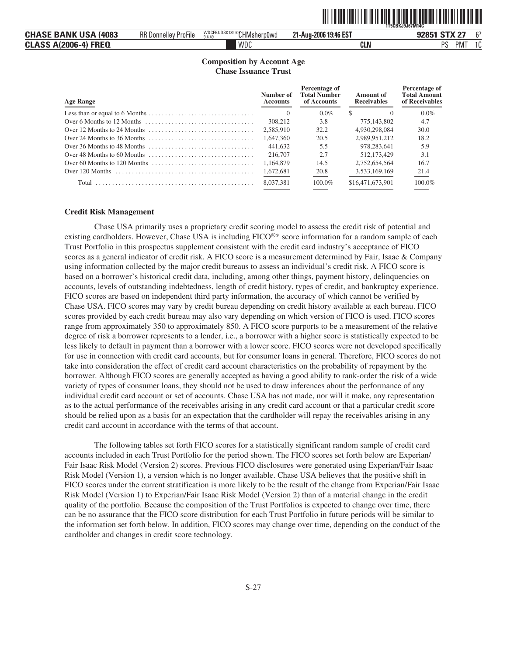|                              |                             |                                     | ,,,,,,,,,,,,,         | `1T5CBKJ9J67M14L          |
|------------------------------|-----------------------------|-------------------------------------|-----------------------|---------------------------|
| <b>CHASE BANK USA (4083)</b> | <b>RR Donnelley ProFile</b> | WDCFBUDSK13550CHMsherp0wd<br>9.4.49 | 21-Aug-2006 19:46 EST | 92851 STX 27<br>C*        |
| <b>CLASS A(2006-4) FREQ</b>  |                             | WDC                                 | CLN                   | PS<br>$\sim$<br>PM.<br>ιu |

ˆ1T5CBKJ9J67M14C[Š **1T5CBKJ9J67M14C**

#### **Composition by Account Age Chase Issuance Trust**

| <b>Age Range</b>                                                                                                                       | Number of<br><b>Accounts</b> | Percentage of<br><b>Total Number</b><br>of Accounts | Amount of<br><b>Receivables</b> | Percentage of<br><b>Total Amount</b><br>of Receivables |
|----------------------------------------------------------------------------------------------------------------------------------------|------------------------------|-----------------------------------------------------|---------------------------------|--------------------------------------------------------|
|                                                                                                                                        | $\Omega$                     | $0.0\%$                                             | S.                              | $0.0\%$                                                |
| Over 6 Months to 12 Months                                                                                                             | 308,212                      | 3.8                                                 | 775,143,802                     | 4.7                                                    |
|                                                                                                                                        | 2.585.910                    | 32.2                                                | 4.930.298.084                   | 30.0                                                   |
| Over 24 Months to 36 Months $\dots \dots \dots \dots \dots \dots \dots \dots \dots \dots$                                              | 1.647.360                    | 20.5                                                | 2.989.951.212                   | 18.2                                                   |
|                                                                                                                                        | 441,632                      | 5.5                                                 | 978.283.641                     | 5.9                                                    |
| Over 48 Months to 60 Months                                                                                                            | 216,707                      | 2.7                                                 | 512,173,429                     | 3.1                                                    |
|                                                                                                                                        | 1.164.879                    | 14.5                                                | 2.752.654.564                   | 16.7                                                   |
| Over 120 Months $\ldots$ , $\ldots$ , $\ldots$ , $\ldots$ , $\ldots$ , $\ldots$ , $\ldots$ , $\ldots$ , $\ldots$ , $\ldots$ , $\ldots$ | 1,672,681                    | 20.8                                                | 3,533,169,169                   | 21.4                                                   |
|                                                                                                                                        | 8.037.381                    | $100.0\%$                                           | \$16,471,673,901                | 100.0%                                                 |

#### **Credit Risk Management**

Chase USA primarily uses a proprietary credit scoring model to assess the credit risk of potential and existing cardholders. However, Chase USA is including FICO®\* score information for a random sample of each Trust Portfolio in this prospectus supplement consistent with the credit card industry's acceptance of FICO scores as a general indicator of credit risk. A FICO score is a measurement determined by Fair, Isaac & Company using information collected by the major credit bureaus to assess an individual's credit risk. A FICO score is based on a borrower's historical credit data, including, among other things, payment history, delinquencies on accounts, levels of outstanding indebtedness, length of credit history, types of credit, and bankruptcy experience. FICO scores are based on independent third party information, the accuracy of which cannot be verified by Chase USA. FICO scores may vary by credit bureau depending on credit history available at each bureau. FICO scores provided by each credit bureau may also vary depending on which version of FICO is used. FICO scores range from approximately 350 to approximately 850. A FICO score purports to be a measurement of the relative degree of risk a borrower represents to a lender, i.e., a borrower with a higher score is statistically expected to be less likely to default in payment than a borrower with a lower score. FICO scores were not developed specifically for use in connection with credit card accounts, but for consumer loans in general. Therefore, FICO scores do not take into consideration the effect of credit card account characteristics on the probability of repayment by the borrower. Although FICO scores are generally accepted as having a good ability to rank-order the risk of a wide variety of types of consumer loans, they should not be used to draw inferences about the performance of any individual credit card account or set of accounts. Chase USA has not made, nor will it make, any representation as to the actual performance of the receivables arising in any credit card account or that a particular credit score should be relied upon as a basis for an expectation that the cardholder will repay the receivables arising in any credit card account in accordance with the terms of that account.

The following tables set forth FICO scores for a statistically significant random sample of credit card accounts included in each Trust Portfolio for the period shown. The FICO scores set forth below are Experian/ Fair Isaac Risk Model (Version 2) scores. Previous FICO disclosures were generated using Experian/Fair Isaac Risk Model (Version 1), a version which is no longer available. Chase USA believes that the positive shift in FICO scores under the current stratification is more likely to be the result of the change from Experian/Fair Isaac Risk Model (Version 1) to Experian/Fair Isaac Risk Model (Version 2) than of a material change in the credit quality of the portfolio. Because the composition of the Trust Portfolios is expected to change over time, there can be no assurance that the FICO score distribution for each Trust Portfolio in future periods will be similar to the information set forth below. In addition, FICO scores may change over time, depending on the conduct of the cardholder and changes in credit score technology.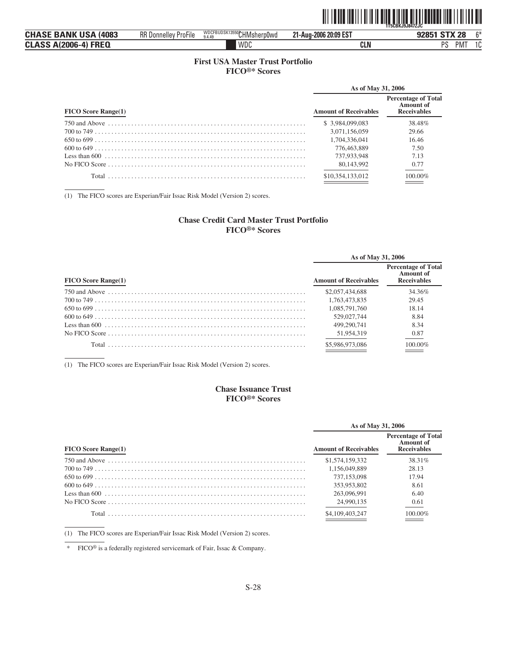|                              |                             |                                     |                       | <b>1T5CBKJ9J847ZJC</b>         |
|------------------------------|-----------------------------|-------------------------------------|-----------------------|--------------------------------|
| <b>CHASE BANK USA (4083)</b> | <b>RR Donnelley ProFile</b> | WDCFBUDSK13550CHMsherp0wd<br>9.4.49 | 21-Aug-2006 20:09 EST | <b>STX 28</b><br>$R*$<br>92851 |
| <b>CLASS A(2006-4) FREQ</b>  |                             | WDC                                 | <b>CLN</b>            | DC<br>1C<br>PMT                |

ˆ1T5CBKJ9J847ZJC%Š **1T5CBKJ9J847ZJC**

#### **First USA Master Trust Portfolio FICO®\* Scores**

|                              | As of May 31, 2006           |                                                               |  |
|------------------------------|------------------------------|---------------------------------------------------------------|--|
| <b>FICO Score Range(1)</b>   | <b>Amount of Receivables</b> | <b>Percentage of Total</b><br>Amount of<br><b>Receivables</b> |  |
|                              | \$ 3.984,099,083             | 38.48%                                                        |  |
|                              | 3.071.156.059                | 29.66                                                         |  |
| $650 \text{ to } 699 \ldots$ | 1.704.336.041                | 16.46                                                         |  |
|                              | 776,463,889                  | 7.50                                                          |  |
|                              | 737,933,948                  | 7.13                                                          |  |
|                              | 80,143,992                   | 0.77                                                          |  |
|                              | \$10.354.133.012             | 100.00%                                                       |  |

(1) The FICO scores are Experian/Fair Issac Risk Model (Version 2) scores.

#### **Chase Credit Card Master Trust Portfolio FICO®\* Scores**

|                            | As of May 31, 2006           |                                                               |  |  |  |
|----------------------------|------------------------------|---------------------------------------------------------------|--|--|--|
| <b>FICO Score Range(1)</b> | <b>Amount of Receivables</b> | <b>Percentage of Total</b><br>Amount of<br><b>Receivables</b> |  |  |  |
|                            | \$2,057,434,688              | 34.36%                                                        |  |  |  |
|                            | 1.763.473.835                | 29.45                                                         |  |  |  |
|                            | 1.085.791.760                | 18.14                                                         |  |  |  |
|                            | 529.027.744                  | 8.84                                                          |  |  |  |
|                            | 499.290.741                  | 8.34                                                          |  |  |  |
|                            | 51,954,319                   | 0.87                                                          |  |  |  |
|                            | \$5,986,973,086              | 100.00%                                                       |  |  |  |

(1) The FICO scores are Experian/Fair Issac Risk Model (Version 2) scores.

#### **Chase Issuance Trust FICO®\* Scores**

|                            | As of May 31, 2006           |                                                               |  |  |
|----------------------------|------------------------------|---------------------------------------------------------------|--|--|
| <b>FICO Score Range(1)</b> | <b>Amount of Receivables</b> | <b>Percentage of Total</b><br>Amount of<br><b>Receivables</b> |  |  |
|                            | \$1,574,159,332              | 38.31%                                                        |  |  |
|                            | 1.156.049.889                | 28.13                                                         |  |  |
|                            | 737,153,098                  | 17.94                                                         |  |  |
| $600 \text{ to } 649$      | 353,953,802                  | 8.61                                                          |  |  |
|                            | 263,096.991                  | 6.40                                                          |  |  |
|                            | 24,990,135                   | 0.61                                                          |  |  |
|                            | \$4,109,403,247              | 100.00%                                                       |  |  |

(1) The FICO scores are Experian/Fair Issac Risk Model (Version 2) scores.

\* FICO® is a federally registered servicemark of Fair, Issac & Company.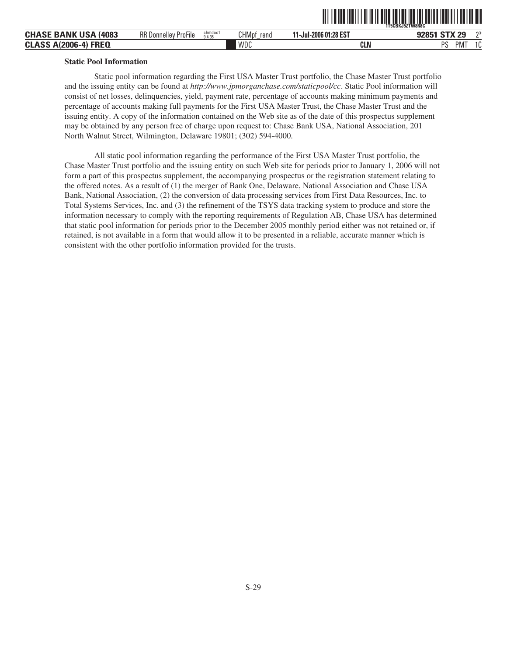|                                |                             |                   |                      | ,,,,,,,,,,,,          | <b>1T5CBKJ5ZTW8R8C</b>         |
|--------------------------------|-----------------------------|-------------------|----------------------|-----------------------|--------------------------------|
| <b>CHASE BANK USA</b><br>(4083 | <b>RR Donnelley ProFile</b> | chmdoc1<br>9.4.35 | <b>CHMpf</b><br>rend | .1-Jul-2006 01:28 EST | <b>STX 29</b><br>$n+$<br>92851 |
| <b>CLASS A(2006-4)</b><br>FREQ |                             |                   | WDC                  | CLN                   | PS<br>PM.<br>$\sim$<br>. U     |

ˆ1T5CBKJ5ZTW8R8C:Š **1T5CBKJ5ZTW8R8C**

#### **Static Pool Information**

Static pool information regarding the First USA Master Trust portfolio, the Chase Master Trust portfolio and the issuing entity can be found at *http://www.jpmorganchase.com/staticpool/cc*. Static Pool information will consist of net losses, delinquencies, yield, payment rate, percentage of accounts making minimum payments and percentage of accounts making full payments for the First USA Master Trust, the Chase Master Trust and the issuing entity. A copy of the information contained on the Web site as of the date of this prospectus supplement may be obtained by any person free of charge upon request to: Chase Bank USA, National Association, 201 North Walnut Street, Wilmington, Delaware 19801; (302) 594-4000.

All static pool information regarding the performance of the First USA Master Trust portfolio, the Chase Master Trust portfolio and the issuing entity on such Web site for periods prior to January 1, 2006 will not form a part of this prospectus supplement, the accompanying prospectus or the registration statement relating to the offered notes. As a result of (1) the merger of Bank One, Delaware, National Association and Chase USA Bank, National Association, (2) the conversion of data processing services from First Data Resources, Inc. to Total Systems Services, Inc. and (3) the refinement of the TSYS data tracking system to produce and store the information necessary to comply with the reporting requirements of Regulation AB, Chase USA has determined that static pool information for periods prior to the December 2005 monthly period either was not retained or, if retained, is not available in a form that would allow it to be presented in a reliable, accurate manner which is consistent with the other portfolio information provided for the trusts.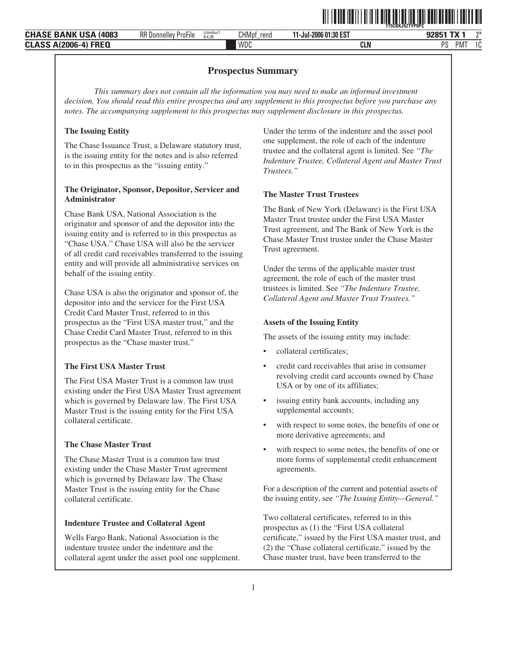|                                                               |                                            |                   |               |                      |            | <b>TISLBKJSZIYPUPU</b>           |            |               |
|---------------------------------------------------------------|--------------------------------------------|-------------------|---------------|----------------------|------------|----------------------------------|------------|---------------|
| <b>TISA</b><br>$\sim$<br><b>BANK</b><br>(4083<br><b>CHASE</b> | $\cdots$<br><b>RR</b> Donnelley<br>ProFile | chmdoci<br>9.4.35 | CHMpf<br>rend | 1-Jul-2006 01:30 EST |            | $-1$<br>$\overline{\phantom{a}}$ |            | ባች            |
| <b>FREQ</b><br><b>CLAS:</b><br>. Δ'<br>A1200F<br>rw.<br>-uuu  |                                            |                   | <b>WDC</b>    |                      | <b>CLN</b> | DC<br>ັບ                         | <b>PMT</b> | $\sim$<br>1 U |
|                                                               |                                            |                   |               |                      |            |                                  |            |               |

#### **Prospectus Summary**

*This summary does not contain all the information you may need to make an informed investment decision. You should read this entire prospectus and any supplement to this prospectus before you purchase any notes. The accompanying supplement to this prospectus may supplement disclosure in this prospectus.*

#### **The Issuing Entity**

The Chase Issuance Trust, a Delaware statutory trust, is the issuing entity for the notes and is also referred to in this prospectus as the "issuing entity."

#### **The Originator, Sponsor, Depositor, Servicer and Administrator**

Chase Bank USA, National Association is the originator and sponsor of and the depositor into the issuing entity and is referred to in this prospectus as "Chase USA." Chase USA will also be the servicer of all credit card receivables transferred to the issuing entity and will provide all administrative services on behalf of the issuing entity.

Chase USA is also the originator and sponsor of, the depositor into and the servicer for the First USA Credit Card Master Trust, referred to in this prospectus as the "First USA master trust," and the Chase Credit Card Master Trust, referred to in this prospectus as the "Chase master trust."

#### **The First USA Master Trust**

The First USA Master Trust is a common law trust existing under the First USA Master Trust agreement which is governed by Delaware law. The First USA Master Trust is the issuing entity for the First USA collateral certificate.

#### **The Chase Master Trust**

The Chase Master Trust is a common law trust existing under the Chase Master Trust agreement which is governed by Delaware law. The Chase Master Trust is the issuing entity for the Chase collateral certificate.

#### **Indenture Trustee and Collateral Agent**

Wells Fargo Bank, National Association is the indenture trustee under the indenture and the collateral agent under the asset pool one supplement. Under the terms of the indenture and the asset pool one supplement, the role of each of the indenture trustee and the collateral agent is limited. See *"The Indenture Trustee, Collateral Agent and Master Trust Trustees."*

**↑1T5CBKI1T5CBKJ5ZTYPOPCBKJ5ZTYPOPCBE** 

#### **The Master Trust Trustees**

The Bank of New York (Delaware) is the First USA Master Trust trustee under the First USA Master Trust agreement, and The Bank of New York is the Chase Master Trust trustee under the Chase Master Trust agreement.

Under the terms of the applicable master trust agreement, the role of each of the master trust trustees is limited. See *"The Indenture Trustee, Collateral Agent and Master Trust Trustees."*

#### **Assets of the Issuing Entity**

The assets of the issuing entity may include:

- collateral certificates;
- credit card receivables that arise in consumer revolving credit card accounts owned by Chase USA or by one of its affiliates;
- issuing entity bank accounts, including any supplemental accounts;
- with respect to some notes, the benefits of one or more derivative agreements; and
- with respect to some notes, the benefits of one or more forms of supplemental credit enhancement agreements.

For a description of the current and potential assets of the issuing entity, see *"The Issuing Entity—General."*

Two collateral certificates, referred to in this prospectus as (1) the "First USA collateral certificate," issued by the First USA master trust, and (2) the "Chase collateral certificate," issued by the Chase master trust, have been transferred to the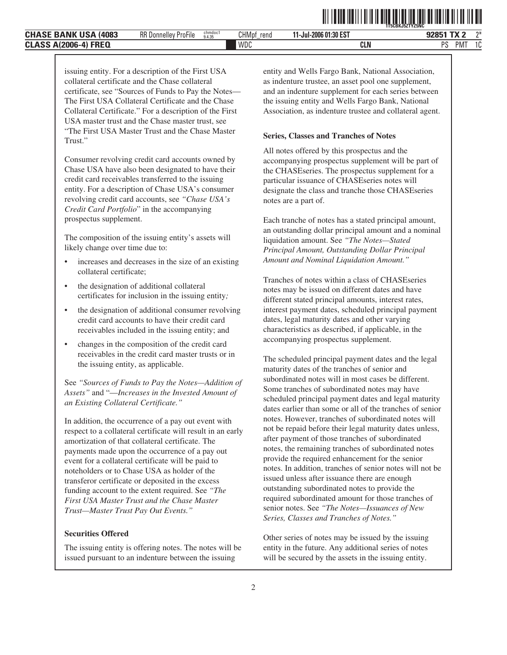respect to a collateral certificate will result in an early amortization of that collateral certificate. The payments made upon the occurrence of a pay out event for a collateral certificate will be paid to

See *"Sources of Funds to Pay the Notes—Addition of Assets"* and "—*Increases in the Invested Amount of an Existing Collateral Certificate."* In addition, the occurrence of a pay out event with

noteholders or to Chase USA as holder of the transferor certificate or deposited in the excess funding account to the extent required. See *"The First USA Master Trust and the Chase Master Trust—Master Trust Pay Out Events."*

The issuing entity is offering notes. The notes will be issued pursuant to an indenture between the issuing

**Securities Offered**

- collateral certificate;
- 

issuing entity. For a description of the First USA collateral certificate and the Chase collateral

certificate, see "Sources of Funds to Pay the Notes— The First USA Collateral Certificate and the Chase Collateral Certificate." For a description of the First USA master trust and the Chase master trust, see "The First USA Master Trust and the Chase Master

Consumer revolving credit card accounts owned by Chase USA have also been designated to have their credit card receivables transferred to the issuing entity. For a description of Chase USA's consumer revolving credit card accounts, see *"Chase USA's Credit Card Portfolio*" in the accompanying

- The composition of the issuing entity's assets will
- likely change over time due to:
- increases and decreases in the size of an existing
- 
- 
- 
- the designation of additional collateral
- certificates for inclusion in the issuing entity*;*
- 
- 
- 
- the designation of additional consumer revolving
- credit card accounts to have their credit card
- receivables included in the issuing entity; and • changes in the composition of the credit card
- receivables in the credit card master trusts or in the issuing entity, as applicable.

as indenture trustee, an asset pool one supplement, and an indenture supplement for each series between the issuing entity and Wells Fargo Bank, National Association, as indenture trustee and collateral agent.

entity and Wells Fargo Bank, National Association,

ˆ1T5CBKJ5ZTYZ5NCnŠ **1T5CBKJ5ZTYZ5NC**

#### **Series, Classes and Tranches of Notes**

All notes offered by this prospectus and the accompanying prospectus supplement will be part of the CHASEseries. The prospectus supplement for a particular issuance of CHASEseries notes will designate the class and tranche those CHASEseries notes are a part of.

Each tranche of notes has a stated principal amount, an outstanding dollar principal amount and a nominal liquidation amount. See *"The Notes—Stated Principal Amount, Outstanding Dollar Principal Amount and Nominal Liquidation Amount."*

Tranches of notes within a class of CHASEseries notes may be issued on different dates and have different stated principal amounts, interest rates, interest payment dates, scheduled principal payment dates, legal maturity dates and other varying characteristics as described, if applicable, in the accompanying prospectus supplement.

The scheduled principal payment dates and the legal maturity dates of the tranches of senior and subordinated notes will in most cases be different. Some tranches of subordinated notes may have scheduled principal payment dates and legal maturity dates earlier than some or all of the tranches of senior notes. However, tranches of subordinated notes will not be repaid before their legal maturity dates unless, after payment of those tranches of subordinated notes, the remaining tranches of subordinated notes provide the required enhancement for the senior notes. In addition, tranches of senior notes will not be issued unless after issuance there are enough outstanding subordinated notes to provide the required subordinated amount for those tranches of senior notes. See *"The Notes—Issuances of New Series, Classes and Tranches of Notes."*

Other series of notes may be issued by the issuing entity in the future. Any additional series of notes will be secured by the assets in the issuing entity.

Trust."

prospectus supplement.

**11-Jul-2006 01:30 EST**

PMT 1C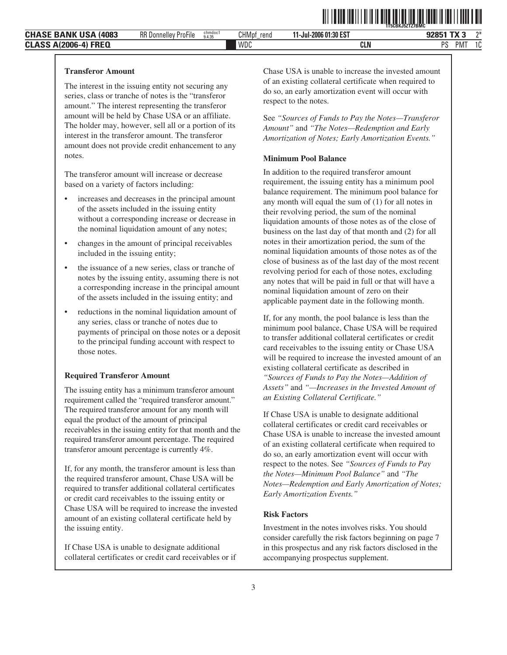**11-Jul-2006 01:30 EST**

ˆ1T5CBKJ5ZTZ7BMC>Š **1T5CBKJ5ZTZ7BMC**

#### **Transferor Amount**

The interest in the issuing entity not securing any series, class or tranche of notes is the "transferor amount." The interest representing the transferor amount will be held by Chase USA or an affiliate. The holder may, however, sell all or a portion of its interest in the transferor amount. The transferor amount does not provide credit enhancement to any notes.

The transferor amount will increase or decrease based on a variety of factors including:

- increases and decreases in the principal amount of the assets included in the issuing entity without a corresponding increase or decrease in the nominal liquidation amount of any notes;
- changes in the amount of principal receivables included in the issuing entity;
- the issuance of a new series, class or tranche of notes by the issuing entity, assuming there is not a corresponding increase in the principal amount of the assets included in the issuing entity; and
- reductions in the nominal liquidation amount of any series, class or tranche of notes due to payments of principal on those notes or a deposit to the principal funding account with respect to those notes.

#### **Required Transferor Amount**

The issuing entity has a minimum transferor amount requirement called the "required transferor amount." The required transferor amount for any month will equal the product of the amount of principal receivables in the issuing entity for that month and the required transferor amount percentage. The required transferor amount percentage is currently 4%.

If, for any month, the transferor amount is less than the required transferor amount, Chase USA will be required to transfer additional collateral certificates or credit card receivables to the issuing entity or Chase USA will be required to increase the invested amount of an existing collateral certificate held by the issuing entity.

If Chase USA is unable to designate additional collateral certificates or credit card receivables or if Chase USA is unable to increase the invested amount of an existing collateral certificate when required to do so, an early amortization event will occur with respect to the notes.

See *"Sources of Funds to Pay the Notes—Transferor Amount"* and *"The Notes—Redemption and Early Amortization of Notes; Early Amortization Events."*

#### **Minimum Pool Balance**

In addition to the required transferor amount requirement, the issuing entity has a minimum pool balance requirement. The minimum pool balance for any month will equal the sum of (1) for all notes in their revolving period, the sum of the nominal liquidation amounts of those notes as of the close of business on the last day of that month and (2) for all notes in their amortization period, the sum of the nominal liquidation amounts of those notes as of the close of business as of the last day of the most recent revolving period for each of those notes, excluding any notes that will be paid in full or that will have a nominal liquidation amount of zero on their applicable payment date in the following month.

If, for any month, the pool balance is less than the minimum pool balance, Chase USA will be required to transfer additional collateral certificates or credit card receivables to the issuing entity or Chase USA will be required to increase the invested amount of an existing collateral certificate as described in *"Sources of Funds to Pay the Notes—Addition of Assets"* and *"—Increases in the Invested Amount of an Existing Collateral Certificate."*

If Chase USA is unable to designate additional collateral certificates or credit card receivables or Chase USA is unable to increase the invested amount of an existing collateral certificate when required to do so, an early amortization event will occur with respect to the notes. See *"Sources of Funds to Pay the Notes—Minimum Pool Balance"* and *"The Notes—Redemption and Early Amortization of Notes; Early Amortization Events."*

#### **Risk Factors**

Investment in the notes involves risks. You should consider carefully the risk factors beginning on page 7 in this prospectus and any risk factors disclosed in the accompanying prospectus supplement.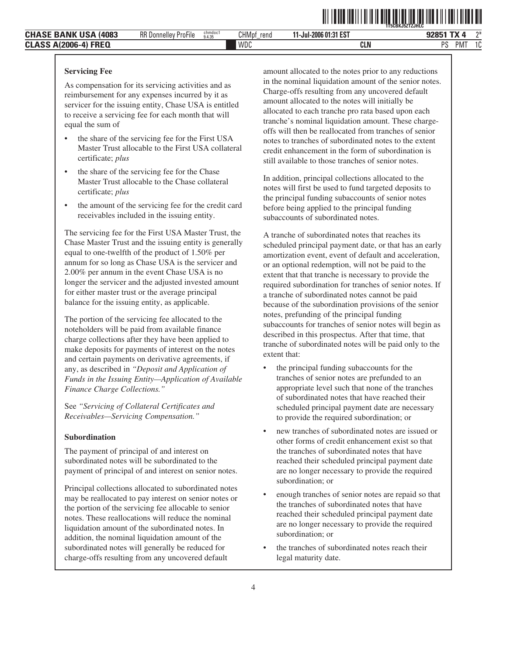**11-Jul-2006 01:31 EST**

**T**itis **in the film of the film of the film** 

WDC **CLN** PS PMT 1C

#### **Servicing Fee**

As compensation for its servicing activities and as reimbursement for any expenses incurred by it as servicer for the issuing entity, Chase USA is entitled to receive a servicing fee for each month that will equal the sum of

- the share of the servicing fee for the First USA Master Trust allocable to the First USA collateral certificate; *plus*
- the share of the servicing fee for the Chase Master Trust allocable to the Chase collateral certificate; *plus*
- the amount of the servicing fee for the credit card receivables included in the issuing entity.

The servicing fee for the First USA Master Trust, the Chase Master Trust and the issuing entity is generally equal to one-twelfth of the product of 1.50% per annum for so long as Chase USA is the servicer and 2.00% per annum in the event Chase USA is no longer the servicer and the adjusted invested amount for either master trust or the average principal balance for the issuing entity, as applicable.

The portion of the servicing fee allocated to the noteholders will be paid from available finance charge collections after they have been applied to make deposits for payments of interest on the notes and certain payments on derivative agreements, if any, as described in *"Deposit and Application of Funds in the Issuing Entity—Application of Available Finance Charge Collections."*

See *"Servicing of Collateral Certificates and Receivables—Servicing Compensation."*

#### **Subordination**

The payment of principal of and interest on subordinated notes will be subordinated to the payment of principal of and interest on senior notes.

Principal collections allocated to subordinated notes may be reallocated to pay interest on senior notes or the portion of the servicing fee allocable to senior notes. These reallocations will reduce the nominal liquidation amount of the subordinated notes. In addition, the nominal liquidation amount of the subordinated notes will generally be reduced for charge-offs resulting from any uncovered default

amount allocated to the notes prior to any reductions in the nominal liquidation amount of the senior notes. Charge-offs resulting from any uncovered default amount allocated to the notes will initially be allocated to each tranche pro rata based upon each tranche's nominal liquidation amount. These chargeoffs will then be reallocated from tranches of senior notes to tranches of subordinated notes to the extent credit enhancement in the form of subordination is still available to those tranches of senior notes.

In addition, principal collections allocated to the notes will first be used to fund targeted deposits to the principal funding subaccounts of senior notes before being applied to the principal funding subaccounts of subordinated notes.

A tranche of subordinated notes that reaches its scheduled principal payment date, or that has an early amortization event, event of default and acceleration, or an optional redemption, will not be paid to the extent that that tranche is necessary to provide the required subordination for tranches of senior notes. If a tranche of subordinated notes cannot be paid because of the subordination provisions of the senior notes, prefunding of the principal funding subaccounts for tranches of senior notes will begin as described in this prospectus. After that time, that tranche of subordinated notes will be paid only to the extent that:

- the principal funding subaccounts for the tranches of senior notes are prefunded to an appropriate level such that none of the tranches of subordinated notes that have reached their scheduled principal payment date are necessary to provide the required subordination; or
- new tranches of subordinated notes are issued or other forms of credit enhancement exist so that the tranches of subordinated notes that have reached their scheduled principal payment date are no longer necessary to provide the required subordination; or
- enough tranches of senior notes are repaid so that the tranches of subordinated notes that have reached their scheduled principal payment date are no longer necessary to provide the required subordination; or
- the tranches of subordinated notes reach their legal maturity date.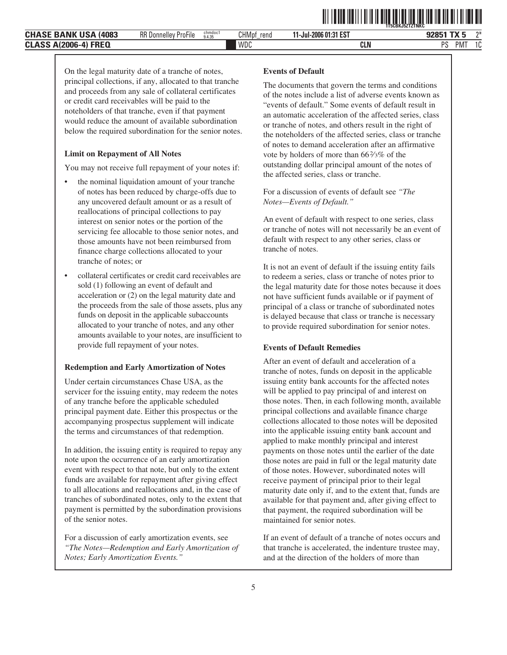

**11-Jul-2006 01:31 EST**

WDC **CLN** PS PMT 1C

On the legal maturity date of a tranche of notes, principal collections, if any, allocated to that tranche and proceeds from any sale of collateral certificates or credit card receivables will be paid to the noteholders of that tranche, even if that payment would reduce the amount of available subordination below the required subordination for the senior notes.

#### **Limit on Repayment of All Notes**

You may not receive full repayment of your notes if:

- the nominal liquidation amount of your tranche of notes has been reduced by charge-offs due to any uncovered default amount or as a result of reallocations of principal collections to pay interest on senior notes or the portion of the servicing fee allocable to those senior notes, and those amounts have not been reimbursed from finance charge collections allocated to your tranche of notes; or
- collateral certificates or credit card receivables are sold (1) following an event of default and acceleration or (2) on the legal maturity date and the proceeds from the sale of those assets, plus any funds on deposit in the applicable subaccounts allocated to your tranche of notes, and any other amounts available to your notes, are insufficient to provide full repayment of your notes.

#### **Redemption and Early Amortization of Notes**

Under certain circumstances Chase USA, as the servicer for the issuing entity, may redeem the notes of any tranche before the applicable scheduled principal payment date. Either this prospectus or the accompanying prospectus supplement will indicate the terms and circumstances of that redemption.

In addition, the issuing entity is required to repay any note upon the occurrence of an early amortization event with respect to that note, but only to the extent funds are available for repayment after giving effect to all allocations and reallocations and, in the case of tranches of subordinated notes, only to the extent that payment is permitted by the subordination provisions of the senior notes.

For a discussion of early amortization events, see *"The Notes—Redemption and Early Amortization of Notes; Early Amortization Events."*

#### **Events of Default**

The documents that govern the terms and conditions of the notes include a list of adverse events known as "events of default." Some events of default result in an automatic acceleration of the affected series, class or tranche of notes, and others result in the right of the noteholders of the affected series, class or tranche of notes to demand acceleration after an affirmative vote by holders of more than 66 $\frac{2}{3}$ % of the outstanding dollar principal amount of the notes of the affected series, class or tranche.

For a discussion of events of default see *"The Notes—Events of Default."*

An event of default with respect to one series, class or tranche of notes will not necessarily be an event of default with respect to any other series, class or tranche of notes.

It is not an event of default if the issuing entity fails to redeem a series, class or tranche of notes prior to the legal maturity date for those notes because it does not have sufficient funds available or if payment of principal of a class or tranche of subordinated notes is delayed because that class or tranche is necessary to provide required subordination for senior notes.

#### **Events of Default Remedies**

After an event of default and acceleration of a tranche of notes, funds on deposit in the applicable issuing entity bank accounts for the affected notes will be applied to pay principal of and interest on those notes. Then, in each following month, available principal collections and available finance charge collections allocated to those notes will be deposited into the applicable issuing entity bank account and applied to make monthly principal and interest payments on those notes until the earlier of the date those notes are paid in full or the legal maturity date of those notes. However, subordinated notes will receive payment of principal prior to their legal maturity date only if, and to the extent that, funds are available for that payment and, after giving effect to that payment, the required subordination will be maintained for senior notes.

If an event of default of a tranche of notes occurs and that tranche is accelerated, the indenture trustee may, and at the direction of the holders of more than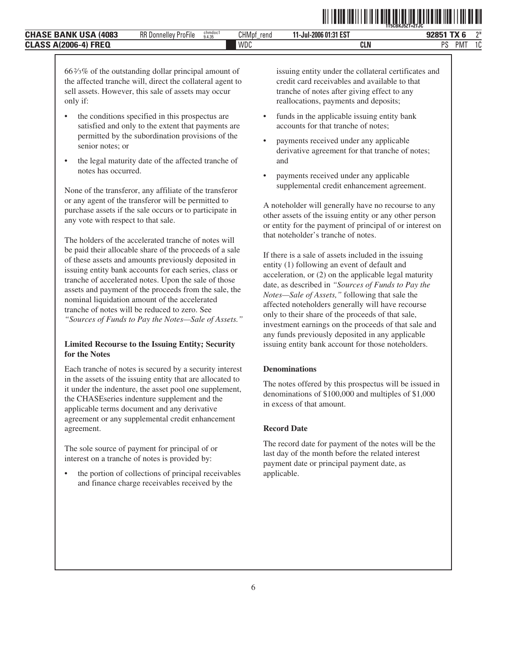$66\frac{2}{3}\%$  of the outstanding dollar principal amount of the affected tranche will, direct the collateral agent to sell assets. However, this sale of assets may occur only if:

- the conditions specified in this prospectus are satisfied and only to the extent that payments are permitted by the subordination provisions of the senior notes; or
- the legal maturity date of the affected tranche of notes has occurred.

None of the transferor, any affiliate of the transferor or any agent of the transferor will be permitted to purchase assets if the sale occurs or to participate in any vote with respect to that sale.

The holders of the accelerated tranche of notes will be paid their allocable share of the proceeds of a sale of these assets and amounts previously deposited in issuing entity bank accounts for each series, class or tranche of accelerated notes. Upon the sale of those assets and payment of the proceeds from the sale, the nominal liquidation amount of the accelerated tranche of notes will be reduced to zero. See *"Sources of Funds to Pay the Notes—Sale of Assets."*

#### **Limited Recourse to the Issuing Entity; Security for the Notes**

Each tranche of notes is secured by a security interest in the assets of the issuing entity that are allocated to it under the indenture, the asset pool one supplement, the CHASEseries indenture supplement and the applicable terms document and any derivative agreement or any supplemental credit enhancement agreement.

The sole source of payment for principal of or interest on a tranche of notes is provided by:

• the portion of collections of principal receivables and finance charge receivables received by the

issuing entity under the collateral certificates and credit card receivables and available to that tranche of notes after giving effect to any reallocations, payments and deposits;

funds in the applicable issuing entity bank accounts for that tranche of notes;

WDC **CLN** PS

- payments received under any applicable derivative agreement for that tranche of notes; and
- payments received under any applicable supplemental credit enhancement agreement.

A noteholder will generally have no recourse to any other assets of the issuing entity or any other person or entity for the payment of principal of or interest on that noteholder's tranche of notes.

If there is a sale of assets included in the issuing entity (1) following an event of default and acceleration, or (2) on the applicable legal maturity date, as described in *"Sources of Funds to Pay the Notes—Sale of Assets,"* following that sale the affected noteholders generally will have recourse only to their share of the proceeds of that sale, investment earnings on the proceeds of that sale and any funds previously deposited in any applicable issuing entity bank account for those noteholders.

#### **Denominations**

The notes offered by this prospectus will be issued in denominations of \$100,000 and multiples of \$1,000 in excess of that amount.

#### **Record Date**

The record date for payment of the notes will be the last day of the month before the related interest payment date or principal payment date, as applicable.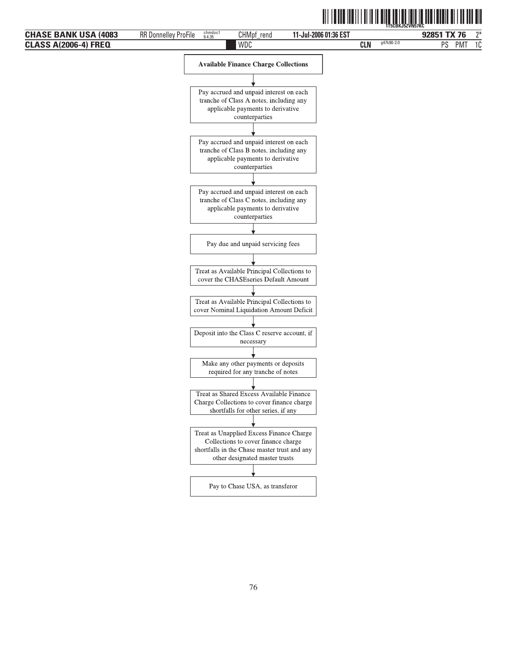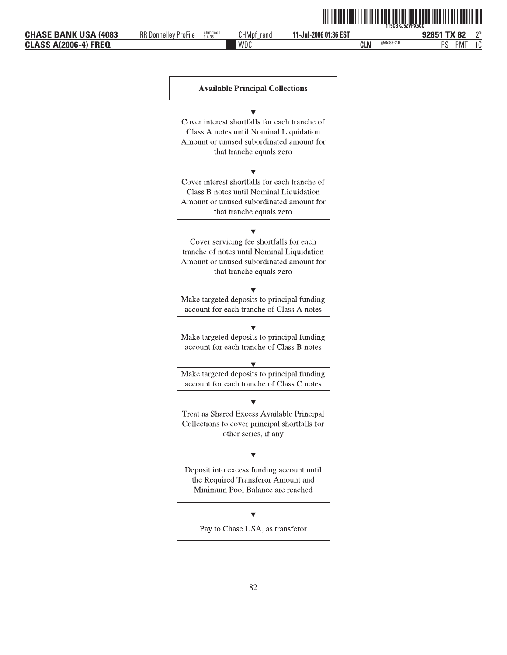

Cover interest shortfalls for each tranche of Class B notes until Nominal Liquidation Amount or unused subordinated amount for that tranche equals zero

Cover servicing fee shortfalls for each tranche of notes until Nominal Liquidation Amount or unused subordinated amount for that tranche equals zero

Make targeted deposits to principal funding account for each tranche of Class A notes

Make targeted deposits to principal funding account for each tranche of Class B notes

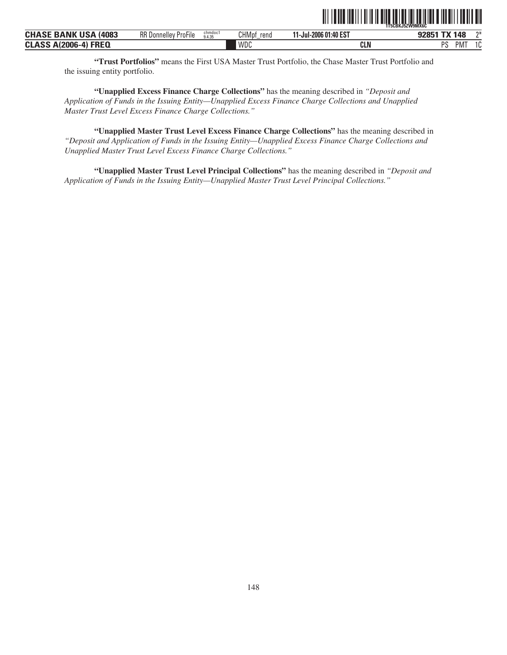|                              |                             |                   |               |                       | `1T5CBKJ5ZW9MX6C` |     |    |
|------------------------------|-----------------------------|-------------------|---------------|-----------------------|-------------------|-----|----|
| <b>CHASE BANK USA (4083)</b> | <b>RR Donnelley ProFile</b> | chmdoc1<br>9.4.35 | CHMpf<br>rend | 11-Jul-2006 01:40 EST | 92851 TX 148      |     | ግ* |
| <b>CLASS A(2006-4) FREQ</b>  |                             |                   | WDC           | CLN                   | PS                | PM. | 10 |

**"Trust Portfolios"** means the First USA Master Trust Portfolio, the Chase Master Trust Portfolio and the issuing entity portfolio.

**"Unapplied Excess Finance Charge Collections"** has the meaning described in *"Deposit and Application of Funds in the Issuing Entity—Unapplied Excess Finance Charge Collections and Unapplied Master Trust Level Excess Finance Charge Collections."*

**"Unapplied Master Trust Level Excess Finance Charge Collections"** has the meaning described in *"Deposit and Application of Funds in the Issuing Entity—Unapplied Excess Finance Charge Collections and Unapplied Master Trust Level Excess Finance Charge Collections."*

**"Unapplied Master Trust Level Principal Collections"** has the meaning described in *"Deposit and Application of Funds in the Issuing Entity—Unapplied Master Trust Level Principal Collections."*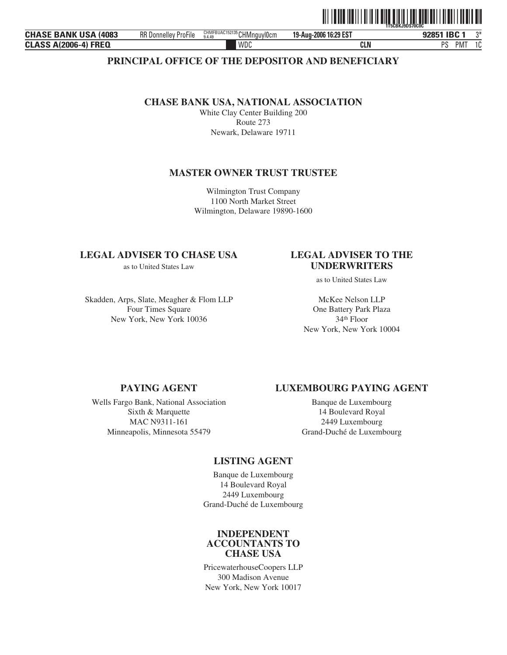|                                |                             |                                                           |                       | 1T5CBKJ9DS70C0C      |  |
|--------------------------------|-----------------------------|-----------------------------------------------------------|-----------------------|----------------------|--|
| <b>CHASE BANK USA</b><br>(4083 | <b>RR Donnelley ProFile</b> | $_{9.4.49}^{\text{CHMFBUAC152135}}$ CHMnguyl0cm<br>9.4.49 | 19-Aug-2006 16:29 EST | <b>IBC1</b><br>92851 |  |
| <b>CLASS A(2006-4) FREQ</b>    |                             | WDC                                                       | CLN                   | PS<br><b>PM</b>      |  |

### **PRINCIPAL OFFICE OF THE DEPOSITOR AND BENEFICIARY**

### **CHASE BANK USA, NATIONAL ASSOCIATION**

White Clay Center Building 200 Route 273 Newark, Delaware 19711

### **MASTER OWNER TRUST TRUSTEE**

Wilmington Trust Company 1100 North Market Street Wilmington, Delaware 19890-1600

### **LEGAL ADVISER TO CHASE USA LEGAL ADVISER TO THE**

Skadden, Arps, Slate, Meagher & Flom LLP Four Times Square New York, New York 10036

# as to United States Law **UNDERWRITERS**

ˆ1T5CBKJ9DS70C0C6Š **1T5CBKJ9DS70C0C**

as to United States Law

McKee Nelson LLP One Battery Park Plaza 34th Floor New York, New York 10004

Wells Fargo Bank, National Association Sixth & Marquette MAC N9311-161 Minneapolis, Minnesota 55479

### **PAYING AGENT LUXEMBOURG PAYING AGENT**

Banque de Luxembourg 14 Boulevard Royal 2449 Luxembourg Grand-Duché de Luxembourg

### **LISTING AGENT**

Banque de Luxembourg 14 Boulevard Royal 2449 Luxembourg Grand-Duché de Luxembourg

### **INDEPENDENT ACCOUNTANTS TO CHASE USA**

PricewaterhouseCoopers LLP 300 Madison Avenue New York, New York 10017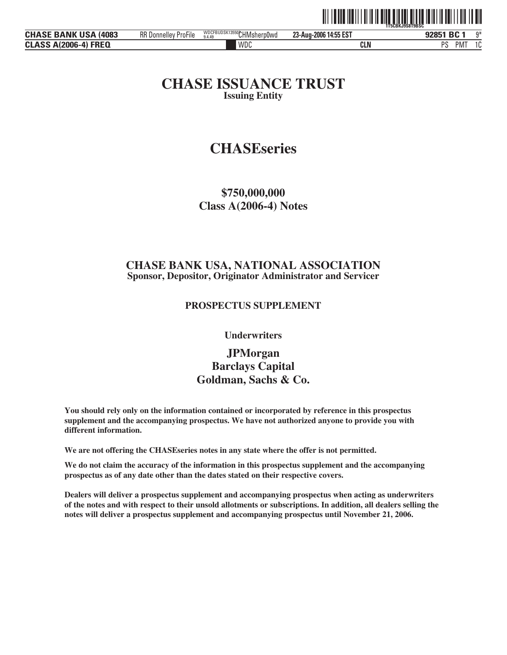|                                |                             |                                     |                       | 1 I III I II III<br><b>1T5CBKJ9S8T9BSL</b> |    |  |  |
|--------------------------------|-----------------------------|-------------------------------------|-----------------------|--------------------------------------------|----|--|--|
| <b>CHASE BANK USA</b><br>(4083 | <b>RR Donnelley ProFile</b> | WDCFBUDSK13550CHMsherp0wd<br>9.4.49 | 23-Aug-2006 14:55 EST | 92851 BC 1                                 | ∩* |  |  |
| <b>CLASS A(2006-4) FREQ</b>    |                             | WDC                                 | <b>CLN</b>            | nс<br><b>PMT</b>                           |    |  |  |

ˆ1T5CBKJ9S8T9BSCfŠ **1T5CBKJ9S8T9BSC**

### **CHASE ISSUANCE TRUST Issuing Entity**

# **CHASEseries**

**\$750,000,000 Class A(2006-4) Notes**

### **CHASE BANK USA, NATIONAL ASSOCIATION Sponsor, Depositor, Originator Administrator and Servicer**

### **PROSPECTUS SUPPLEMENT**

**Underwriters**

## **JPMorgan Barclays Capital Goldman, Sachs & Co.**

**You should rely only on the information contained or incorporated by reference in this prospectus supplement and the accompanying prospectus. We have not authorized anyone to provide you with different information.**

**We are not offering the CHASEseries notes in any state where the offer is not permitted.**

**We do not claim the accuracy of the information in this prospectus supplement and the accompanying prospectus as of any date other than the dates stated on their respective covers.**

**Dealers will deliver a prospectus supplement and accompanying prospectus when acting as underwriters of the notes and with respect to their unsold allotments or subscriptions. In addition, all dealers selling the notes will deliver a prospectus supplement and accompanying prospectus until November 21, 2006.**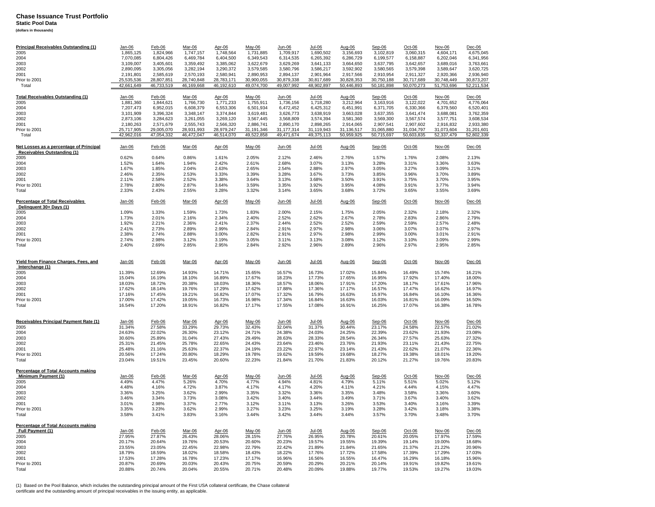**Static Pool Data**

**(dollars in thousands)**

| <b>Principal Receivables Outstanding (1)</b>                           | Jan-06        | Feb-06     | <b>Mar-06</b> | Apr-06     | May-06     | <u>Jun-06</u> | $Jul-06$   | <u>Aug-06</u> | Sep-06     | $Oct-06$   | Nov-06     | Dec-06     |
|------------------------------------------------------------------------|---------------|------------|---------------|------------|------------|---------------|------------|---------------|------------|------------|------------|------------|
| 2005                                                                   | 1,865,125     | 1,824,966  | 1,747,157     | 1,748,564  | 1,731,885  | 1,709,917     | 1,690,502  | 3,156,693     | 3,102,819  | 3,060,315  | 4,604,171  | 4,675,045  |
| 2004                                                                   | 7.070.085     | 6,804,426  | 6.469.784     | 6.404.500  | 6.349.543  | 6,314,535     | 6,265,392  | 6,286,729     | 6,199,577  | 6,158,887  | 6.202.046  | 6,341,956  |
| 2003                                                                   | 3,109,007     | 3,405,601  | 3,359,492     | 3,385,062  | 3,622,679  | 3,629,269     | 3,641,133  | 3,664,650     | 3,637,795  | 3,642,657  | 3,689,016  | 3,763,661  |
| 2002                                                                   | 2,890,095     | 3,305,056  | 3,282,194     | 3,290,372  | 3,579,585  | 3,580,796     | 3,586,217  | 3,592,902     | 3,580,565  | 3,579,398  | 3,589,647  | 3,620,725  |
| 2001                                                                   | 2,191,801     | 2,585,619  | 2,570,193     | 2,580,941  | 2,890,953  | 2,894,137     | 2,901,964  | 2,917,566     | 2,910,954  | 2,911,327  | 2,920,366  | 2,936,940  |
| Prior to 2001                                                          | 25,535,536    | 28,807,851 | 28,740,848    | 28,783,171 | 30,900,055 | 30,879,338    | 30,817,689 | 30,828,353    | 30,750,188 | 30,717,689 | 30,748,449 | 30,873,207 |
| Total                                                                  | 42,661,649    | 46,733,519 | 46,169,668    | 46,192,610 | 49,074,700 | 49,007,992    | 48,902,897 | 50,446,893    | 50,181,898 | 50.070.273 | 51.753.696 | 52,211,534 |
|                                                                        |               |            |               |            |            |               |            |               |            |            |            |            |
| <b>Total Receivables Outstanding (1)</b>                               | $Jan-06$      | Feb-06     | Mar-06        | Apr-06     | May-06     | Jun-06        | Jul-06     | Aug-06        |            | $Oct-06$   | Nov-06     | $Dec-06$   |
|                                                                        |               |            |               |            |            |               |            |               | Sep-06     |            |            |            |
| 2005                                                                   | 1,881,360     | 1,844,621  | 1,766,730     | 1,771,233  | 1,755,911  | 1,736,156     | 1,718,280  | 3,212,964     | 3,163,916  | 3,122,022  | 4,701,652  | 4,776,064  |
| 2004                                                                   | 7,207,473     | 6,952,015  | 6,608,379     | 6,553,306  | 6,501,934  | 6,472,452     | 6,425,312  | 6,451,991     | 6,371,705  | 6,330,366  | 6,379,560  | 6,520,401  |
| 2003                                                                   | 3,101,909     | 3,396,324  | 3,348,147     | 3,374,844  | 3,619,481  | 3,626,773     | 3,638,919  | 3,663,028     | 3,637,355  | 3,641,474  | 3,688,081  | 3,762,359  |
| 2002                                                                   | 2,873,106     | 3,284,623  | 3,261,055     | 3,269,120  | 3,567,445  | 3,568,809     | 3,574,394  | 3,581,360     | 3,569,300  | 3,567,574  | 3,577,751  | 3,608,534  |
| 2001                                                                   | 2,180,263     | 2,571,679  | 2,555,743     | 2,566,320  | 2,886,741  | 2,890,170     | 2,898,265  | 2,914,065     | 2,907,541  | 2,907,602  | 2,916,832  | 2,933,380  |
| Prior to 2001                                                          | 25,717,905    | 29,005,070 | 28,931,993    | 28,979,247 | 31,191,346 | 31, 177, 314  | 31,119,943 | 31,136,517    | 31,065,880 | 31,034,797 | 31,073,604 | 31,201,601 |
| Total                                                                  | 42,962,016    | 47,054,332 | 46,472,047    | 46,514,070 | 49,522,858 | 49,471,674    | 49,375,113 | 50,959,925    | 50,715,697 | 50,603,835 | 52,337,479 | 52,802,339 |
|                                                                        |               |            |               |            |            |               |            |               |            |            |            |            |
| Net Losses as a percentage of Principal<br>Receivables Outstanding (1) | $Jan-06$      | $Feb-06$   | Mar-06        | Apr-06     | May-06     | Jun-06        | $Jul-06$   | Aug-06        | Sep-06     | $Oct-06$   | Nov-06     | $Dec-06$   |
| 2005                                                                   | 0.62%         | 0.64%      | 0.86%         | 1.61%      | 2.05%      | 2.12%         | 2.46%      | 2.76%         | 1.57%      | 1.76%      | 2.08%      | 2.13%      |
| 2004                                                                   | 1.52%         | 1.64%      | 1.94%         | 2.42%      | 2.61%      | 2.68%         | 3.07%      | 3.13%         | 3.28%      | 3.31%      | 3.36%      | 3.63%      |
| 2003                                                                   | 1.67%         | 1.85%      | 2.04%         | 2.63%      | 2.65%      | 2.54%         | 2.88%      | 2.97%         | 3.05%      | 3.27%      | 3.09%      | 3.21%      |
|                                                                        | 2.46%         | 2.35%      | 2.53%         |            | 3.39%      | 3.28%         | 3.67%      | 3.73%         | 3.85%      | 3.96%      | 3.70%      | 3.89%      |
| 2002                                                                   |               |            |               | 3.33%      |            |               |            |               |            |            |            |            |
| 2001                                                                   | 2.11%         | 2.58%      | 2.52%         | 3.38%      | 3.64%      | 3.13%         | 3.68%      | 3.50%         | 3.91%      | 3.75%      | 3.70%      | 3.95%      |
| Prior to 2001                                                          | 2.78%         | 2.80%      | 2.87%         | 3.64%      | 3.59%      | 3.35%         | 3.92%      | 3.95%         | 4.08%      | 3.91%      | 3.77%      | 3.94%      |
| Total                                                                  | 2.33%         | 2.43%      | 2.55%         | 3.28%      | 3.32%      | 3.14%         | 3.65%      | 3.68%         | 3.72%      | 3.65%      | 3.55%      | 3.69%      |
|                                                                        |               |            |               |            |            |               |            |               |            |            |            |            |
| <b>Percentage of Total Receivables</b><br>Delinquent 30+ Days (1)      | <u>Jan-06</u> | Feb-06     | Mar-06        | Apr-06     | May-06     | <u>Jun-06</u> | $Jul-06$   | Aug-06        | Sep-06     | $Oct-06$   | Nov-06     | Dec-06     |
| 2005                                                                   | 1.09%         | 1.33%      | 1.59%         | 1.73%      | 1.83%      | 2.00%         | 2.15%      | 1.75%         | 2.05%      | 2.32%      | 2.18%      | 2.32%      |
| 2004                                                                   | 1.73%         | 2.01%      | 2.16%         | 2.34%      | 2.40%      | 2.52%         | 2.62%      | 2.67%         | 2.78%      | 2.83%      | 2.86%      | 2.79%      |
| 2003                                                                   | 1.92%         | 2.21%      | 2.36%         | 2.41%      | 2.37%      | 2.44%         | 2.52%      | 2.52%         | 2.59%      | 2.59%      | 2.57%      | 2.48%      |
| 2002                                                                   | 2.41%         | 2.73%      | 2.89%         | 2.99%      | 2.84%      | 2.91%         | 2.97%      | 2.98%         | 3.06%      | 3.07%      | 3.07%      | 2.97%      |
| 2001                                                                   | 2.38%         | 2.74%      | 2.88%         | 3.00%      | 2.82%      | 2.91%         | 2.97%      | 2.98%         | 2.99%      | 3.00%      | 3.01%      | 2.91%      |
| Prior to 2001                                                          | 2.74%         | 2.98%      | 3.12%         | 3.19%      | 3.05%      | 3.11%         | 3.13%      | 3.08%         | 3.12%      | 3.10%      | 3.09%      | 2.99%      |
| Total                                                                  | 2.40%         | 2.69%      | 2.85%         | 2.95%      | 2.84%      | 2.92%         | 2.96%      | 2.89%         | 2.96%      | 2.97%      | 2.95%      | 2.85%      |
|                                                                        |               |            |               |            |            |               |            |               |            |            |            |            |
|                                                                        |               |            |               |            |            |               |            |               |            |            |            |            |
|                                                                        |               |            |               |            |            |               |            |               |            |            |            |            |
| Yield from Finance Charges, Fees, and                                  | $Jan-06$      | Feb-06     | Mar-06        | Apr-06     | May-06     | Jun-06        | Jul-06     | Aug-06        | $Sep-06$   | Oct-06     | Nov-06     | $Dec-06$   |
| Interchange (1)                                                        |               |            |               |            |            |               |            |               |            |            |            |            |
| 2005                                                                   | 11.39%        | 12.69%     | 14.93%        | 14.71%     | 15.65%     | 16.57%        | 16.73%     | 17.02%        | 15.84%     | 16.49%     | 15.74%     | 16.21%     |
| 2004                                                                   | 15.04%        | 16.19%     | 18.10%        | 16.89%     | 17.67%     | 18.23%        | 17.73%     | 17.65%        | 16.95%     | 17.92%     | 17.40%     | 18.00%     |
| 2003                                                                   | 18.03%        | 18.72%     | 20.38%        | 18.03%     | 18.36%     | 18.57%        | 18.06%     | 17.91%        | 17.20%     | 18.17%     | 17.61%     | 17.96%     |
| 2002                                                                   | 17.62%        | 18.14%     | 19.76%        | 17.29%     | 17.62%     | 17.88%        | 17.36%     | 17.17%        | 16.57%     | 17.47%     | 16.62%     | 16.97%     |
| 2001                                                                   | 17.16%        | 17.45%     | 19.21%        | 16.82%     | 17.07%     | 17.32%        | 16.79%     | 16.63%        | 15.97%     | 16.84%     | 16.10%     | 16.36%     |
| Prior to 2001                                                          | 17.00%        | 17.42%     | 19.05%        | 16.73%     | 16.98%     | 17.34%        | 16.84%     | 16.63%        | 16.03%     | 16.81%     | 16.09%     | 16.50%     |
| Total                                                                  | 16.54%        | 17.20%     | 18.91%        | 16.82%     | 17.17%     | 17.55%        | 17.08%     | 16.91%        | 16.25%     | 17.07%     | 16.38%     | 16.78%     |
|                                                                        |               |            |               |            |            |               |            |               |            |            |            |            |
|                                                                        |               |            |               |            |            |               |            |               |            |            |            |            |
| Receivables Principal Payment Rate (1)                                 | Jan-06        | Feb-06     | Mar-06        | Apr-06     | May-06     | Jun-06        | Jul-06     | Aug-06        | Sep-06     | Oct-06     | Nov-06     | Dec-06     |
| 2005                                                                   | 31.34%        | 27.58%     | 33.29%        | 29.73%     | 32.43%     | 32.04%        | 31.37%     | 30.44%        | 23.17%     | 24.58%     | 22.57%     | 21.02%     |
|                                                                        |               |            |               |            |            |               |            |               |            |            |            |            |
| 2004                                                                   | 24.63%        | 22.02%     | 26.30%        | 23.12%     | 24.71%     | 24.38%        | 24.03%     | 24.25%        | 22.39%     | 23.62%     | 21.93%     | 23.08%     |
| 2003                                                                   | 30.60%        | 25.89%     | 31.04%        | 27.43%     | 29.49%     | 28.63%        | 28.33%     | 28.54%        | 26.34%     | 27.57%     | 25.63%     | 27.32%     |
| 2002                                                                   | 25.31%        | 21.45%     | 25.78%        | 22.65%     | 24.43%     | 23.64%        | 23.46%     | 23.76%        | 21.93%     | 23.11%     | 21.43%     | 22.75%     |
| 2001                                                                   | 25.48%        | 21.16%     | 25.63%        | 22.37%     | 24.19%     | 23.22%        | 22.97%     | 23.14%        | 21.43%     | 22.62%     | 21.07%     | 22.36%     |
| Prior to 2001                                                          | 20.56%        | 17.24%     | 20.80%        | 18.29%     | 19.78%     | 19.62%        | 19.59%     | 19.68%        | 18.27%     | 19.38%     | 18.01%     | 19.20%     |
| Total                                                                  | 23.04%        | 19.51%     | 23.45%        | 20.60%     | 22.23%     | 21.84%        | 21.70%     | 21.83%        | 20.12%     | 21.27%     | 19.76%     | 20.83%     |
|                                                                        |               |            |               |            |            |               |            |               |            |            |            |            |
| Percentage of Total Accounts making                                    |               |            |               |            |            |               |            |               |            |            |            |            |
| Minimum Payment (1)                                                    | Jan-06        | Feb-06     | Mar-06        | Apr-06     | May-06     | Jun-06        | Jul-06     | Aug-06        | Sep-06     | Oct-06     | Nov-06     | Dec-06     |
| 2005                                                                   | 4.49%         | 4.47%      | 5.26%         | 4.70%      | 4.77%      | 4.94%         | 4.81%      | 4.79%         | 5.11%      | 5.51%      | 5.02%      | 5.12%      |
| 2004                                                                   | 4.48%         | 4.16%      | 4.72%         | 3.87%      | 4.17%      | 4.17%         | 4.20%      | 4.11%         | 4.21%      | 4.44%      | 4.15%      | 4.47%      |
| 2003                                                                   | 3.36%         | 3.25%      | 3.62%         | 2.99%      | 3.35%      | 3.32%         | 3.36%      | 3.35%         | 3.48%      | 3.58%      | 3.36%      | 3.60%      |
| 2002                                                                   | 3.46%         | 3.34%      | 3.73%         | 3.08%      | 3.42%      | 3.40%         | 3.44%      | 3.49%         | 3.71%      | 3.67%      | 3.40%      | 3.62%      |
| 2001                                                                   | 3.01%         | 2.98%      | 3.37%         | 2.77%      | 3.12%      | 3.11%         | 3.13%      | 3.26%         | 3.53%      | 3.40%      | 3.16%      | 3.39%      |
|                                                                        |               |            |               |            |            |               |            |               |            |            |            |            |
| Prior to 2001<br>Total                                                 | 3.35%         | 3.23%      | 3.62%         | 2.99%      | 3.27%      | 3.23%         | 3.25%      | 3.19%         | 3.28%      | 3.42%      | 3.18%      | 3.38%      |
|                                                                        | 3.58%         | 3.41%      | 3.83%         | 3.16%      | 3.44%      | 3.42%         | 3.44%      | 3.44%         | 3.57%      | 3.70%      | 3.48%      | 3.70%      |
|                                                                        |               |            |               |            |            |               |            |               |            |            |            |            |
| Percentage of Total Accounts making                                    |               |            |               |            |            |               |            |               |            |            |            |            |
| Full Payment (1)                                                       | $Jan-06$      | $Feb-06$   | Mar-06        | Apr-06     | May-06     | Jun-06        | $Jul-06$   | Aug-06        | Sep-06     | $Oct-06$   | Nov-06     | $Dec-06$   |
| 2005                                                                   | 27.95%        | 27.87%     | 26.43%        | 28.06%     | 28.15%     | 27.76%        | 26.95%     | 20.78%        | 20.61%     | 20.05%     | 17.97%     | 17.59%     |
| 2004                                                                   | 20.17%        | 20.64%     | 19.76%        | 20.53%     | 20.60%     | 20.23%        | 19.57%     | 19.55%        | 19.39%     | 19.14%     | 19.00%     | 18.68%     |
| 2003                                                                   | 23.55%        | 23.05%     | 22.45%        | 22.98%     | 22.79%     | 22.42%        | 21.89%     | 21.84%        | 21.65%     | 21.37%     | 21.22%     | 20.96%     |
| 2002                                                                   | 18.79%        | 18.59%     | 18.02%        | 18.58%     | 18.43%     | 18.22%        | 17.76%     | 17.72%        | 17.58%     | 17.39%     | 17.29%     | 17.03%     |
| 2001                                                                   | 17.53%        | 17.28%     | 16.78%        | 17.23%     | 17.17%     | 16.96%        | 16.56%     | 16.55%        | 16.47%     | 16.29%     | 16.18%     | 15.96%     |
| Prior to 2001                                                          | 20.87%        | 20.69%     | 20.03%        | 20.43%     | 20.75%     | 20.59%        | 20.29%     | 20.21%        | 20.14%     | 19.91%     | 19.82%     | 19.61%     |
| Total                                                                  | 20.88%        | 20.74%     | 20.04%        | 20.55%     | 20.71%     | 20.48%        | 20.09%     | 19.88%        | 19.77%     | 19.53%     | 19.27%     | 19.03%     |
|                                                                        |               |            |               |            |            |               |            |               |            |            |            |            |

(1) Based on the Pool Balance, which includes the outstanding principal amount of the First USA collateral certificate, the Chase collateral<br>certificate and the outstanding amount of principal receivables in the issuing en